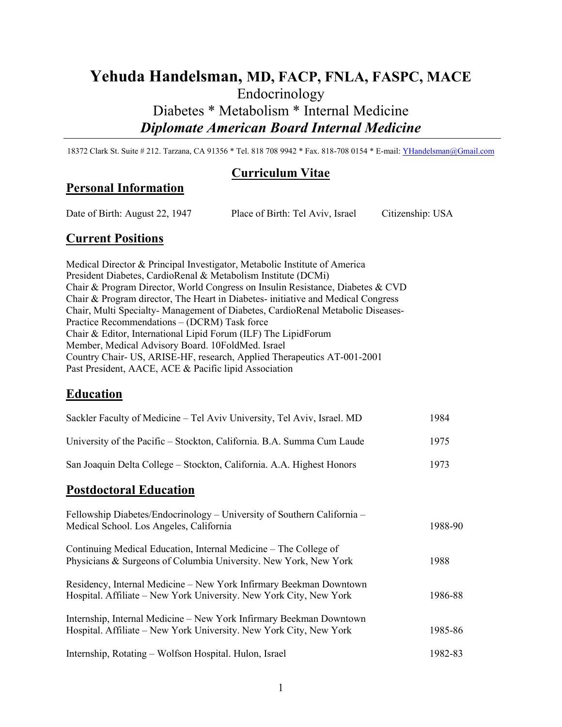# **Yehuda Handelsman, MD, FACP, FNLA, FASPC, MACE** Endocrinology Diabetes \* Metabolism \* Internal Medicine *Diplomate American Board Internal Medicine*

18372 Clark St. Suite # 212. Tarzana, CA 91356 \* Tel. 818 708 9942 \* Fax. 818-708 0154 \* E-mail: [YHandelsman@Gmail.com](mailto:YHandelsman@Gmail.com)

### **Curriculum Vitae**

### **Personal Information**

Date of Birth: August 22, 1947 Place of Birth: Tel Aviv, Israel Citizenship: USA

## **Current Positions**

Medical Director & Principal Investigator, Metabolic Institute of America President Diabetes, CardioRenal & Metabolism Institute (DCMi) Chair & Program Director, World Congress on Insulin Resistance, Diabetes & CVD Chair & Program director, The Heart in Diabetes- initiative and Medical Congress Chair, Multi Specialty- Management of Diabetes, CardioRenal Metabolic Diseases-Practice Recommendations – (DCRM) Task force Chair & Editor, International Lipid Forum (ILF) The LipidForum Member, Medical Advisory Board. 10FoldMed. Israel Country Chair- US, ARISE-HF, research, Applied Therapeutics AT-001-2001 Past President, AACE, ACE & Pacific lipid Association

## **Education**

| Sackler Faculty of Medicine - Tel Aviv University, Tel Aviv, Israel. MD                                                                   | 1984    |
|-------------------------------------------------------------------------------------------------------------------------------------------|---------|
| University of the Pacific - Stockton, California. B.A. Summa Cum Laude                                                                    | 1975    |
| San Joaquin Delta College - Stockton, California. A.A. Highest Honors                                                                     | 1973    |
| <b>Postdoctoral Education</b>                                                                                                             |         |
| Fellowship Diabetes/Endocrinology – University of Southern California –<br>Medical School. Los Angeles, California                        | 1988-90 |
| Continuing Medical Education, Internal Medicine – The College of<br>Physicians & Surgeons of Columbia University. New York, New York      | 1988    |
| Residency, Internal Medicine – New York Infirmary Beekman Downtown<br>Hospital. Affiliate – New York University. New York City, New York  | 1986-88 |
| Internship, Internal Medicine – New York Infirmary Beekman Downtown<br>Hospital. Affiliate - New York University. New York City, New York | 1985-86 |
| Internship, Rotating – Wolfson Hospital. Hulon, Israel                                                                                    | 1982-83 |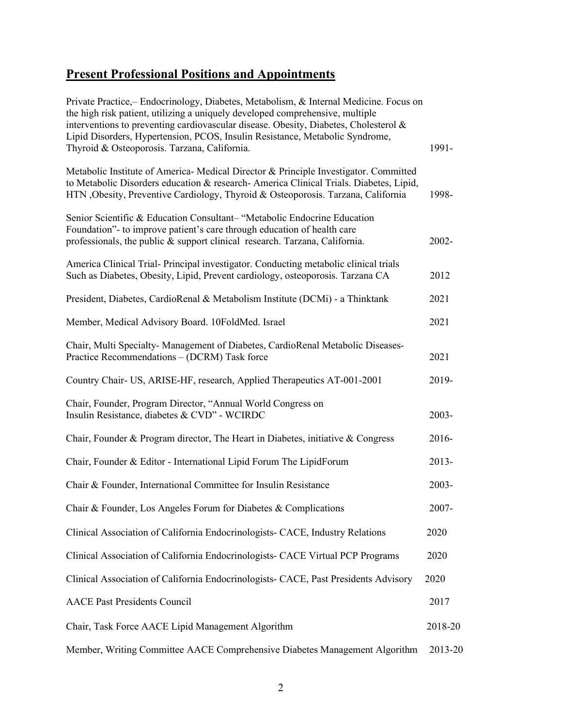# **Present Professional Positions and Appointments**

| Private Practice, Endocrinology, Diabetes, Metabolism, & Internal Medicine. Focus on<br>the high risk patient, utilizing a uniquely developed comprehensive, multiple<br>interventions to preventing cardiovascular disease. Obesity, Diabetes, Cholesterol &<br>Lipid Disorders, Hypertension, PCOS, Insulin Resistance, Metabolic Syndrome,<br>Thyroid & Osteoporosis. Tarzana, California. | 1991-    |
|-----------------------------------------------------------------------------------------------------------------------------------------------------------------------------------------------------------------------------------------------------------------------------------------------------------------------------------------------------------------------------------------------|----------|
| Metabolic Institute of America-Medical Director & Principle Investigator. Committed<br>to Metabolic Disorders education & research- America Clinical Trials. Diabetes, Lipid,<br>HTN , Obesity, Preventive Cardiology, Thyroid & Osteoporosis. Tarzana, California                                                                                                                            | 1998-    |
| Senior Scientific & Education Consultant-"Metabolic Endocrine Education<br>Foundation"- to improve patient's care through education of health care<br>professionals, the public & support clinical research. Tarzana, California.                                                                                                                                                             | 2002-    |
| America Clinical Trial-Principal investigator. Conducting metabolic clinical trials<br>Such as Diabetes, Obesity, Lipid, Prevent cardiology, osteoporosis. Tarzana CA                                                                                                                                                                                                                         | 2012     |
| President, Diabetes, CardioRenal & Metabolism Institute (DCMi) - a Thinktank                                                                                                                                                                                                                                                                                                                  | 2021     |
| Member, Medical Advisory Board. 10FoldMed. Israel                                                                                                                                                                                                                                                                                                                                             | 2021     |
| Chair, Multi Specialty- Management of Diabetes, CardioRenal Metabolic Diseases-<br>Practice Recommendations - (DCRM) Task force                                                                                                                                                                                                                                                               | 2021     |
| Country Chair- US, ARISE-HF, research, Applied Therapeutics AT-001-2001                                                                                                                                                                                                                                                                                                                       | 2019-    |
| Chair, Founder, Program Director, "Annual World Congress on<br>Insulin Resistance, diabetes & CVD" - WCIRDC                                                                                                                                                                                                                                                                                   | 2003-    |
| Chair, Founder & Program director, The Heart in Diabetes, initiative & Congress                                                                                                                                                                                                                                                                                                               | 2016-    |
| Chair, Founder & Editor - International Lipid Forum The LipidForum                                                                                                                                                                                                                                                                                                                            | $2013 -$ |
| Chair & Founder, International Committee for Insulin Resistance                                                                                                                                                                                                                                                                                                                               | 2003-    |
| Chair & Founder, Los Angeles Forum for Diabetes & Complications                                                                                                                                                                                                                                                                                                                               | 2007-    |
| Clinical Association of California Endocrinologists- CACE, Industry Relations                                                                                                                                                                                                                                                                                                                 | 2020     |
| Clinical Association of California Endocrinologists- CACE Virtual PCP Programs                                                                                                                                                                                                                                                                                                                | 2020     |
| Clinical Association of California Endocrinologists- CACE, Past Presidents Advisory                                                                                                                                                                                                                                                                                                           | 2020     |
| <b>AACE Past Presidents Council</b>                                                                                                                                                                                                                                                                                                                                                           | 2017     |
| Chair, Task Force AACE Lipid Management Algorithm                                                                                                                                                                                                                                                                                                                                             | 2018-20  |
| Member, Writing Committee AACE Comprehensive Diabetes Management Algorithm                                                                                                                                                                                                                                                                                                                    | 2013-20  |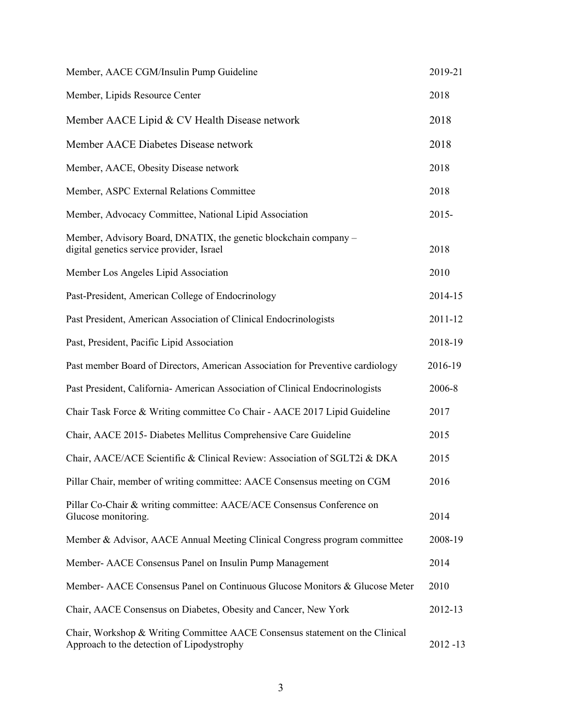| Member, AACE CGM/Insulin Pump Guideline                                                                                    | 2019-21     |
|----------------------------------------------------------------------------------------------------------------------------|-------------|
| Member, Lipids Resource Center                                                                                             | 2018        |
| Member AACE Lipid & CV Health Disease network                                                                              | 2018        |
| Member AACE Diabetes Disease network                                                                                       | 2018        |
| Member, AACE, Obesity Disease network                                                                                      | 2018        |
| Member, ASPC External Relations Committee                                                                                  | 2018        |
| Member, Advocacy Committee, National Lipid Association                                                                     | $2015 -$    |
| Member, Advisory Board, DNATIX, the genetic blockchain company -<br>digital genetics service provider, Israel              | 2018        |
| Member Los Angeles Lipid Association                                                                                       | 2010        |
| Past-President, American College of Endocrinology                                                                          | 2014-15     |
| Past President, American Association of Clinical Endocrinologists                                                          | 2011-12     |
| Past, President, Pacific Lipid Association                                                                                 | 2018-19     |
| Past member Board of Directors, American Association for Preventive cardiology                                             | 2016-19     |
| Past President, California- American Association of Clinical Endocrinologists                                              | 2006-8      |
| Chair Task Force & Writing committee Co Chair - AACE 2017 Lipid Guideline                                                  | 2017        |
| Chair, AACE 2015- Diabetes Mellitus Comprehensive Care Guideline                                                           | 2015        |
| Chair, AACE/ACE Scientific & Clinical Review: Association of SGLT2i & DKA                                                  | 2015        |
| Pillar Chair, member of writing committee: AACE Consensus meeting on CGM                                                   | 2016        |
| Pillar Co-Chair & writing committee: AACE/ACE Consensus Conference on<br>Glucose monitoring.                               | 2014        |
| Member & Advisor, AACE Annual Meeting Clinical Congress program committee                                                  | 2008-19     |
| Member- AACE Consensus Panel on Insulin Pump Management                                                                    | 2014        |
| Member- AACE Consensus Panel on Continuous Glucose Monitors & Glucose Meter                                                | 2010        |
| Chair, AACE Consensus on Diabetes, Obesity and Cancer, New York                                                            | 2012-13     |
| Chair, Workshop & Writing Committee AACE Consensus statement on the Clinical<br>Approach to the detection of Lipodystrophy | $2012 - 13$ |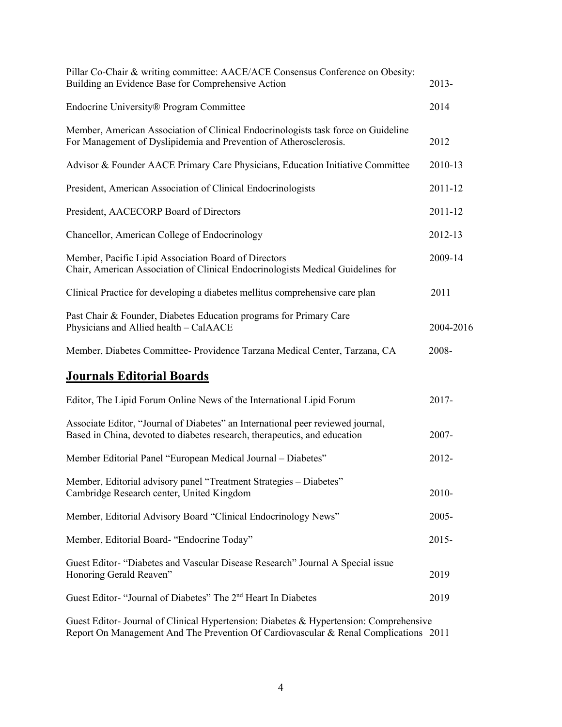| Pillar Co-Chair & writing committee: AACE/ACE Consensus Conference on Obesity:<br>Building an Evidence Base for Comprehensive Action                         | 2013-     |
|--------------------------------------------------------------------------------------------------------------------------------------------------------------|-----------|
| Endocrine University® Program Committee                                                                                                                      | 2014      |
| Member, American Association of Clinical Endocrinologists task force on Guideline<br>For Management of Dyslipidemia and Prevention of Atherosclerosis.       | 2012      |
| Advisor & Founder AACE Primary Care Physicians, Education Initiative Committee                                                                               | 2010-13   |
| President, American Association of Clinical Endocrinologists                                                                                                 | 2011-12   |
| President, AACECORP Board of Directors                                                                                                                       | 2011-12   |
| Chancellor, American College of Endocrinology                                                                                                                | 2012-13   |
| Member, Pacific Lipid Association Board of Directors<br>Chair, American Association of Clinical Endocrinologists Medical Guidelines for                      | 2009-14   |
| Clinical Practice for developing a diabetes mellitus comprehensive care plan                                                                                 | 2011      |
| Past Chair & Founder, Diabetes Education programs for Primary Care<br>Physicians and Allied health - CalAACE                                                 | 2004-2016 |
| Member, Diabetes Committee- Providence Tarzana Medical Center, Tarzana, CA                                                                                   | 2008-     |
| <b>Journals Editorial Boards</b>                                                                                                                             |           |
| Editor, The Lipid Forum Online News of the International Lipid Forum                                                                                         | 2017-     |
| Associate Editor, "Journal of Diabetes" an International peer reviewed journal,<br>Based in China, devoted to diabetes research, therapeutics, and education | 2007-     |
| Member Editorial Panel "European Medical Journal - Diabetes"                                                                                                 | 2012-     |
| Member, Editorial advisory panel "Treatment Strategies - Diabetes"<br>Cambridge Research center, United Kingdom                                              | $2010-$   |
| Member, Editorial Advisory Board "Clinical Endocrinology News"                                                                                               | $2005 -$  |
| Member, Editorial Board- "Endocrine Today"                                                                                                                   | $2015 -$  |
| Guest Editor- "Diabetes and Vascular Disease Research" Journal A Special issue<br>Honoring Gerald Reaven"                                                    | 2019      |
| Guest Editor- "Journal of Diabetes" The 2 <sup>nd</sup> Heart In Diabetes                                                                                    | 2019      |
| Guest Editor-Journal of Clinical Hypertension: Diabetes & Hypertension: Comprehensive                                                                        |           |

Guest Editor- Journal of Clinical Hypertension: Diabetes & Hypertension: Comprehensive Report On Management And The Prevention Of Cardiovascular & Renal Complications 2011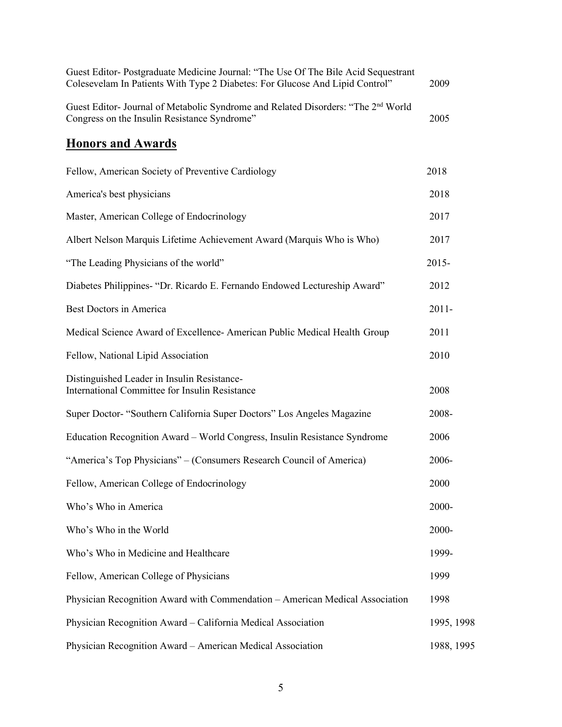| Guest Editor- Postgraduate Medicine Journal: "The Use Of The Bile Acid Sequestrant<br>Colesevelam In Patients With Type 2 Diabetes: For Glucose And Lipid Control" | 2009       |
|--------------------------------------------------------------------------------------------------------------------------------------------------------------------|------------|
| Guest Editor- Journal of Metabolic Syndrome and Related Disorders: "The 2 <sup>nd</sup> World<br>Congress on the Insulin Resistance Syndrome"                      | 2005       |
| <b>Honors and Awards</b>                                                                                                                                           |            |
| Fellow, American Society of Preventive Cardiology                                                                                                                  | 2018       |
| America's best physicians                                                                                                                                          | 2018       |
| Master, American College of Endocrinology                                                                                                                          | 2017       |
| Albert Nelson Marquis Lifetime Achievement Award (Marquis Who is Who)                                                                                              | 2017       |
| "The Leading Physicians of the world"                                                                                                                              | $2015 -$   |
| Diabetes Philippines- "Dr. Ricardo E. Fernando Endowed Lectureship Award"                                                                                          | 2012       |
| Best Doctors in America                                                                                                                                            | $2011 -$   |
| Medical Science Award of Excellence- American Public Medical Health Group                                                                                          | 2011       |
| Fellow, National Lipid Association                                                                                                                                 | 2010       |
| Distinguished Leader in Insulin Resistance-<br>International Committee for Insulin Resistance                                                                      | 2008       |
| Super Doctor- "Southern California Super Doctors" Los Angeles Magazine                                                                                             | 2008-      |
| Education Recognition Award - World Congress, Insulin Resistance Syndrome                                                                                          | 2006       |
| "America's Top Physicians" – (Consumers Research Council of America)                                                                                               | 2006-      |
| Fellow, American College of Endocrinology                                                                                                                          | 2000       |
| Who's Who in America                                                                                                                                               | 2000-      |
| Who's Who in the World                                                                                                                                             | 2000-      |
| Who's Who in Medicine and Healthcare                                                                                                                               | 1999-      |
| Fellow, American College of Physicians                                                                                                                             | 1999       |
| Physician Recognition Award with Commendation - American Medical Association                                                                                       | 1998       |
| Physician Recognition Award - California Medical Association                                                                                                       | 1995, 1998 |
| Physician Recognition Award - American Medical Association                                                                                                         | 1988, 1995 |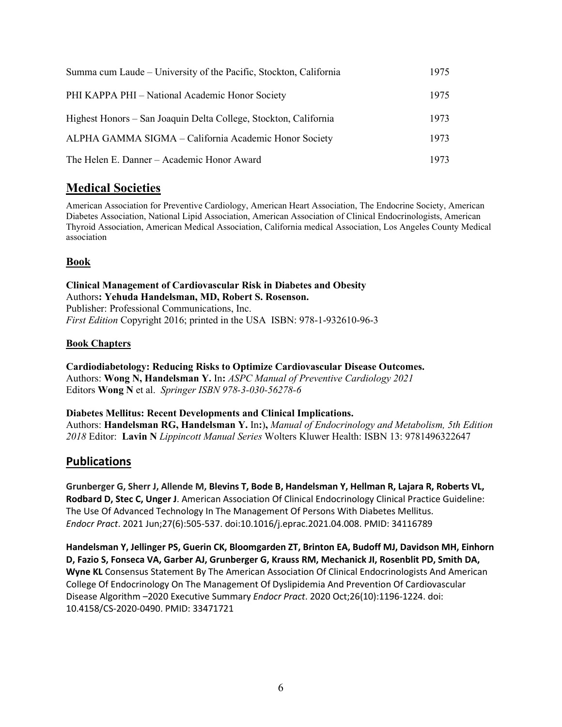| Summa cum Laude – University of the Pacific, Stockton, California | 1975 |
|-------------------------------------------------------------------|------|
| PHI KAPPA PHI - National Academic Honor Society                   | 1975 |
| Highest Honors – San Joaquin Delta College, Stockton, California  | 1973 |
| ALPHA GAMMA SIGMA - California Academic Honor Society             | 1973 |
| The Helen E. Danner - Academic Honor Award                        | 1973 |

# **Medical Societies**

American Association for Preventive Cardiology, American Heart Association, The Endocrine Society, American Diabetes Association, National Lipid Association, American Association of Clinical Endocrinologists, American Thyroid Association, American Medical Association, California medical Association, Los Angeles County Medical association

### **Book**

**Clinical Management of Cardiovascular Risk in Diabetes and Obesity**  Authors**: Yehuda Handelsman, MD, Robert S. Rosenson.**  Publisher: Professional Communications, Inc. *First Edition* Copyright 2016; printed in the USA ISBN: 978-1-932610-96-3

#### **Book Chapters**

**Cardiodiabetology: Reducing Risks to Optimize Cardiovascular Disease Outcomes.**  Authors: **Wong N, Handelsman Y.** In**:** *ASPC Manual of Preventive Cardiology 2021* Editors **Wong N** et al. *Springer ISBN 978-3-030-56278-6*

#### **Diabetes Mellitus: Recent Developments and Clinical Implications.**

Authors: **Handelsman RG, Handelsman Y.** In**:**)**,** *Manual of Endocrinology and Metabolism, 5th Edition 2018* Editor: **Lavin N** *Lippincott Manual Series* Wolters Kluwer Health: ISBN 13: 9781496322647

### **Publications**

**Grunberger G, Sherr J, Allende M, Blevins T, Bode B, Handelsman Y, Hellman R, Lajara R, Roberts VL, Rodbard D, Stec C, Unger J**. [American Association Of Clinical Endocrinology Clinical Practice Guideline:](https://pubmed.ncbi.nlm.nih.gov/34116789/)  [The Use Of Advanced Technology In The Management Of Persons With Diabetes Mellitus.](https://pubmed.ncbi.nlm.nih.gov/34116789/) *Endocr Pract*. 2021 Jun;27(6):505-537. doi:10.1016/j.eprac.2021.04.008. PMID: 34116789

**Handelsman Y, Jellinger PS, Guerin CK, Bloomgarden ZT, Brinton EA, Budoff MJ, Davidson MH, Einhorn D, Fazio S, Fonseca VA, Garber AJ, Grunberger G, Krauss RM, Mechanick JI, Rosenblit PD, Smith DA, Wyne KL** Consensus Statement By The American Association Of Clinical Endocrinologists And American College Of Endocrinology On The Management Of Dyslipidemia And Prevention Of Cardiovascular Disease Algorithm –2020 Executive Summary *Endocr Pract*. 2020 Oct;26(10):1196-1224. doi: 10.4158/CS-2020-0490. PMID: 33471721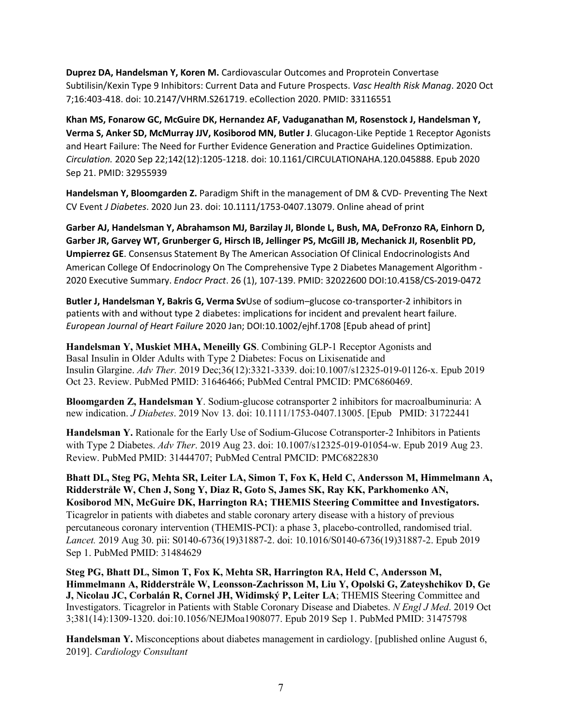**Duprez DA, Handelsman Y, Koren M.** Cardiovascular Outcomes and Proprotein Convertase Subtilisin/Kexin Type 9 Inhibitors: Current Data and Future Prospects. *Vasc Health Risk Manag*. 2020 Oct 7;16:403-418. doi: 10.2147/VHRM.S261719. eCollection 2020. PMID: 33116551

**Khan MS, Fonarow GC, McGuire DK, Hernandez AF, Vaduganathan M, Rosenstock J, Handelsman Y, Verma S, Anker SD, McMurray JJV, Kosiborod MN, Butler J**. Glucagon-Like Peptide 1 Receptor Agonists and Heart Failure: The Need for Further Evidence Generation and Practice Guidelines Optimization. *Circulation.* 2020 Sep 22;142(12):1205-1218. doi: 10.1161/CIRCULATIONAHA.120.045888. Epub 2020 Sep 21. PMID: 32955939

**Handelsman Y, Bloomgarden Z.** Paradigm Shift in the management of DM & CVD- Preventing The Next CV Event *J Diabetes*. 2020 Jun 23. doi: 10.1111/1753-0407.13079. Online ahead of print

**Garber AJ, Handelsman Y, Abrahamson MJ, Barzilay JI, Blonde L, Bush, MA, DeFronzo RA, Einhorn D, Garber JR, Garvey WT, Grunberger G, Hirsch IB, Jellinger PS, McGill JB, Mechanick JI, Rosenblit PD, Umpierrez GE**. Consensus Statement By The American Association Of Clinical Endocrinologists And American College Of Endocrinology On The Comprehensive Type 2 Diabetes Management Algorithm - 2020 Executive Summary. *Endocr Pract*. 26 (1), 107-139. PMID: 32022600 DOI:10.4158/CS-2019-0472

**Butler J, Handelsman Y, Bakris G, Verma Sv**Use of sodium–glucose co-transporter-2 inhibitors in patients with and without type 2 diabetes: implications for incident and prevalent heart failure. *European Journal of Heart Failure* 2020 Jan; DOI:10.1002/ejhf.1708 [Epub ahead of print]

**Handelsman Y, Muskiet MHA, Meneilly GS**. Combining GLP-1 Receptor Agonists and Basal Insulin in Older Adults with Type 2 Diabetes: Focus on Lixisenatide and Insulin Glargine. *Adv Ther.* 2019 Dec;36(12):3321-3339. doi:10.1007/s12325-019-01126-x. Epub 2019 Oct 23. Review. PubMed PMID: 31646466; PubMed Central PMCID: PMC6860469.

**Bloomgarden Z, Handelsman Y**. Sodium-glucose cotransporter 2 inhibitors for macroalbuminuria: A new indication. *J Diabetes*. 2019 Nov 13. doi: 10.1111/1753-0407.13005. [Epub PMID: 31722441

**Handelsman Y.** Rationale for the Early Use of Sodium-Glucose Cotransporter-2 Inhibitors in Patients with Type 2 Diabetes. *Adv Ther*. 2019 Aug 23. doi: 10.1007/s12325-019-01054-w. Epub 2019 Aug 23. Review. PubMed PMID: 31444707; PubMed Central PMCID: PMC6822830

**Bhatt DL, Steg PG, Mehta SR, Leiter LA, Simon T, Fox K, Held C, Andersson M, Himmelmann A, Ridderstråle W, Chen J, Song Y, Diaz R, Goto S, James SK, Ray KK, Parkhomenko AN, Kosiborod MN, McGuire DK, Harrington RA; THEMIS Steering Committee and Investigators.**  Ticagrelor in patients with diabetes and stable coronary artery disease with a history of previous percutaneous coronary intervention (THEMIS-PCI): a phase 3, placebo-controlled, randomised trial. *Lancet.* 2019 Aug 30. pii: S0140-6736(19)31887-2. doi: 10.1016/S0140-6736(19)31887-2. Epub 2019 Sep 1. PubMed PMID: 31484629

**Steg PG, Bhatt DL, Simon T, Fox K, Mehta SR, Harrington RA, Held C, Andersson M, Himmelmann A, Ridderstråle W, Leonsson-Zachrisson M, Liu Y, Opolski G, Zateyshchikov D, Ge J, Nicolau JC, Corbalán R, Cornel JH, Widimský P, Leiter LA**; THEMIS Steering Committee and Investigators. Ticagrelor in Patients with Stable Coronary Disease and Diabetes. *N Engl J Med*. 2019 Oct 3;381(14):1309-1320. doi:10.1056/NEJMoa1908077. Epub 2019 Sep 1. PubMed PMID: 31475798

**Handelsman Y.** Misconceptions about diabetes management in cardiology. [published online August 6, 2019]. *Cardiology Consultant*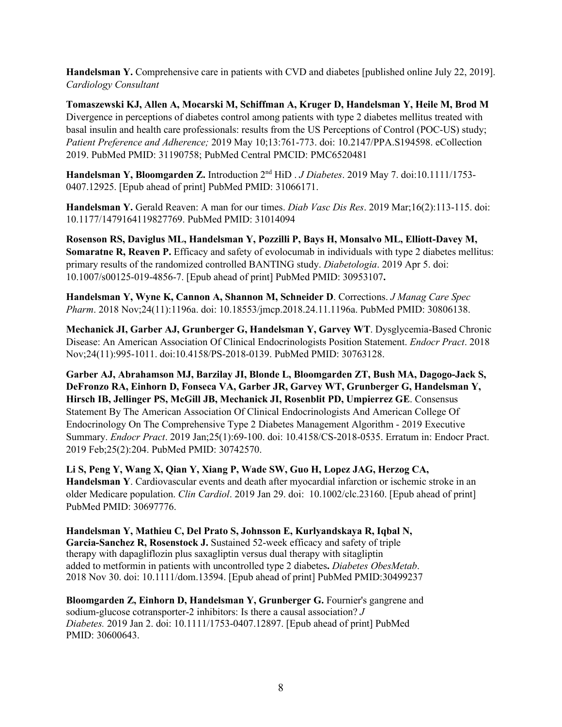**Handelsman Y.** Comprehensive care in patients with CVD and diabetes [published online July 22, 2019]. *Cardiology Consultant*

**Tomaszewski KJ, Allen A, Mocarski M, Schiffman A, Kruger D, Handelsman Y, Heile M, Brod M**  Divergence in perceptions of diabetes control among patients with type 2 diabetes mellitus treated with basal insulin and health care professionals: results from the US Perceptions of Control (POC-US) study; *Patient Preference and Adherence;* 2019 May 10;13:761-773. doi: 10.2147/PPA.S194598. eCollection 2019. PubMed PMID: 31190758; PubMed Central PMCID: PMC6520481

**Handelsman Y, Bloomgarden Z.** Introduction 2nd HiD . *J Diabetes*. 2019 May 7. doi:10.1111/1753- 0407.12925. [Epub ahead of print] PubMed PMID: 31066171.

**Handelsman Y.** Gerald Reaven: A man for our times. *Diab Vasc Dis Res*. 2019 Mar;16(2):113-115. doi: 10.1177/1479164119827769. PubMed PMID: 31014094

**Rosenson RS, Daviglus ML, Handelsman Y, Pozzilli P, Bays H, Monsalvo ML, Elliott-Davey M, Somaratne R, Reaven P.** Efficacy and safety of evolocumab in individuals with type 2 diabetes mellitus: primary results of the randomized controlled BANTING study. *Diabetologia*. 2019 Apr 5. doi: 10.1007/s00125-019-4856-7. [Epub ahead of print] PubMed PMID: 30953107**.**

**Handelsman Y, Wyne K, Cannon A, Shannon M, Schneider D**. Corrections. *J Manag Care Spec Pharm*. 2018 Nov;24(11):1196a. doi: 10.18553/jmcp.2018.24.11.1196a. PubMed PMID: 30806138.

**Mechanick JI, Garber AJ, Grunberger G, Handelsman Y, Garvey WT**. Dysglycemia-Based Chronic Disease: An American Association Of Clinical Endocrinologists Position Statement. *Endocr Pract*. 2018 Nov;24(11):995-1011. doi:10.4158/PS-2018-0139. PubMed PMID: 30763128.

**Garber AJ, Abrahamson MJ, Barzilay JI, Blonde L, Bloomgarden ZT, Bush MA, Dagogo-Jack S, DeFronzo RA, Einhorn D, Fonseca VA, Garber JR, Garvey WT, Grunberger G, Handelsman Y, Hirsch IB, Jellinger PS, McGill JB, Mechanick JI, Rosenblit PD, Umpierrez GE**. Consensus Statement By The American Association Of Clinical Endocrinologists And American College Of Endocrinology On The Comprehensive Type 2 Diabetes Management Algorithm - 2019 Executive Summary. *Endocr Pract*. 2019 Jan;25(1):69-100. doi: 10.4158/CS-2018-0535. Erratum in: Endocr Pract. 2019 Feb;25(2):204. PubMed PMID: 30742570.

**Li S, Peng Y, Wang X, Qian Y, Xiang P, Wade SW, Guo H, Lopez JAG, Herzog CA, Handelsman Y**. Cardiovascular events and death after myocardial infarction or ischemic stroke in an older Medicare population. *Clin Cardiol*. 2019 Jan 29. doi: 10.1002/clc.23160. [Epub ahead of print] PubMed PMID: 30697776.

**Handelsman Y, Mathieu C, Del Prato S, Johnsson E, Kurlyandskaya R, Iqbal N, Garcia-Sanchez R, Rosenstock J.** Sustained 52-week efficacy and safety of triple therapy with dapagliflozin plus saxagliptin versus dual therapy with sitagliptin added to metformin in patients with uncontrolled type 2 diabetes**.** *Diabetes ObesMetab*. 2018 Nov 30. doi: 10.1111/dom.13594. [Epub ahead of print] PubMed PMID:30499237

**Bloomgarden Z, Einhorn D, Handelsman Y, Grunberger G. Fournier's gangrene and** sodium-glucose cotransporter-2 inhibitors: Is there a causal association? *J Diabetes.* 2019 Jan 2. doi: 10.1111/1753-0407.12897. [Epub ahead of print] PubMed PMID: 30600643.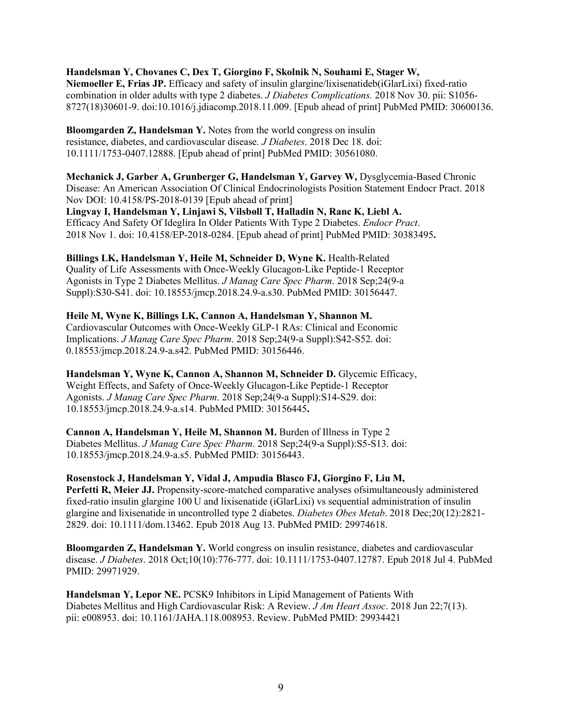**Handelsman Y, Chovanes C, Dex T, Giorgino F, Skolnik N, Souhami E, Stager W,**

**Niemoeller E, Frias JP.** Efficacy and safety of insulin glargine/lixisenatideb(iGlarLixi) fixed-ratio combination in older adults with type 2 diabetes. *J Diabetes Complications.* 2018 Nov 30. pii: S1056- 8727(18)30601-9. doi:10.1016/j.jdiacomp.2018.11.009. [Epub ahead of print] PubMed PMID: 30600136.

**Bloomgarden Z, Handelsman Y.** Notes from the world congress on insulin resistance, diabetes, and cardiovascular disease*. J Diabetes*. 2018 Dec 18. doi: 10.1111/1753-0407.12888. [Epub ahead of print] PubMed PMID: 30561080.

**Mechanick J, Garber A, Grunberger G, Handelsman Y, Garvey W,** Dysglycemia-Based Chronic Disease: An American Association Of Clinical Endocrinologists Position Statement Endocr Pract. 2018 Nov DOI: 10.4158/PS-2018-0139 [Epub ahead of print]

**Lingvay I, Handelsman Y, Linjawi S, Vilsbøll T, Halladin N, Ranc K, Liebl A.** Efficacy And Safety Of Ideglira In Older Patients With Type 2 Diabetes. *Endocr Pract*. 2018 Nov 1. doi: 10.4158/EP-2018-0284. [Epub ahead of print] PubMed PMID: 30383495**.**

**Billings LK, Handelsman Y, Heile M, Schneider D, Wyne K.** Health-Related Quality of Life Assessments with Once-Weekly Glucagon-Like Peptide-1 Receptor Agonists in Type 2 Diabetes Mellitus. *J Manag Care Spec Pharm*. 2018 Sep;24(9-a Suppl):S30-S41. doi: 10.18553/jmcp.2018.24.9-a.s30. PubMed PMID: 30156447.

**Heile M, Wyne K, Billings LK, Cannon A, Handelsman Y, Shannon M.** Cardiovascular Outcomes with Once-Weekly GLP-1 RAs: Clinical and Economic Implications. *J Manag Care Spec Pharm*. 2018 Sep;24(9-a Suppl):S42-S52. doi: 0.18553/jmcp.2018.24.9-a.s42. PubMed PMID: 30156446.

Handelsman Y, Wyne K, Cannon A, Shannon M, Schneider D. Glycemic Efficacy, Weight Effects, and Safety of Once-Weekly Glucagon-Like Peptide-1 Receptor Agonists. *J Manag Care Spec Pharm*. 2018 Sep;24(9-a Suppl):S14-S29. doi: 10.18553/jmcp.2018.24.9-a.s14. PubMed PMID: 30156445**.**

**Cannon A, Handelsman Y, Heile M, Shannon M.** Burden of Illness in Type 2 Diabetes Mellitus. *J Manag Care Spec Pharm*. 2018 Sep;24(9-a Suppl):S5-S13. doi: 10.18553/jmcp.2018.24.9-a.s5. PubMed PMID: 30156443.

**Rosenstock J, Handelsman Y, Vidal J, Ampudia Blasco FJ, Giorgino F, Liu M, Perfetti R, Meier JJ.** Propensity-score-matched comparative analyses of simultaneously administered fixed-ratio insulin glargine 100 U and lixisenatide (iGlarLixi) vs sequential administration of insulin glargine and lixisenatide in uncontrolled type 2 diabetes. *Diabetes Obes Metab*. 2018 Dec;20(12):2821- 2829. doi: 10.1111/dom.13462. Epub 2018 Aug 13. PubMed PMID: 29974618.

**Bloomgarden Z, Handelsman Y.** World congress on insulin resistance, diabetes and cardiovascular disease. *J Diabetes*. 2018 Oct;10(10):776-777. doi: 10.1111/1753-0407.12787. Epub 2018 Jul 4. PubMed PMID: 29971929.

**Handelsman Y, Lepor NE.** PCSK9 Inhibitors in Lipid Management of Patients With Diabetes Mellitus and High Cardiovascular Risk: A Review. *J Am Heart Assoc*. 2018 Jun 22;7(13). pii: e008953. doi: 10.1161/JAHA.118.008953. Review. PubMed PMID: 29934421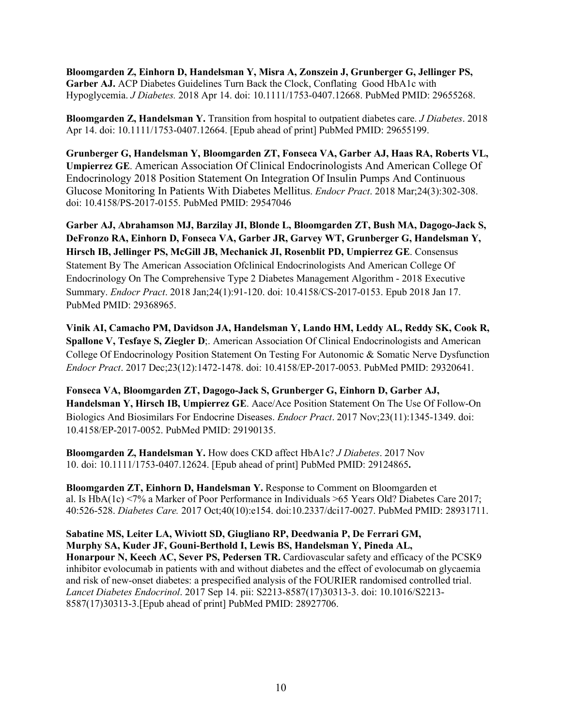**Bloomgarden Z, Einhorn D, Handelsman Y, Misra A, Zonszein J, Grunberger G, Jellinger PS, Garber AJ.** ACP Diabetes Guidelines Turn Back the Clock, Conflating Good HbA1c with Hypoglycemia. *J Diabetes.* 2018 Apr 14. doi: 10.1111/1753-0407.12668. PubMed PMID: 29655268.

**Bloomgarden Z, Handelsman Y.** Transition from hospital to outpatient diabetes care. *J Diabetes*. 2018 Apr 14. doi: 10.1111/1753-0407.12664. [Epub ahead of print] PubMed PMID: 29655199.

**Grunberger G, Handelsman Y, Bloomgarden ZT, Fonseca VA, Garber AJ, Haas RA, Roberts VL, Umpierrez GE**. American Association Of Clinical Endocrinologists And American College Of Endocrinology 2018 Position Statement On Integration Of Insulin Pumps And Continuous Glucose Monitoring In Patients With Diabetes Mellitus. *Endocr Pract*. 2018 Mar;24(3):302-308. doi: 10.4158/PS-2017-0155. PubMed PMID: 29547046

**Garber AJ, Abrahamson MJ, Barzilay JI, Blonde L, Bloomgarden ZT, Bush MA, Dagogo-Jack S, DeFronzo RA, Einhorn D, Fonseca VA, Garber JR, Garvey WT, Grunberger G, Handelsman Y, Hirsch IB, Jellinger PS, McGill JB, Mechanick JI, Rosenblit PD, Umpierrez GE**. Consensus Statement By The American Association Ofclinical Endocrinologists And American College Of Endocrinology On The Comprehensive Type 2 Diabetes Management Algorithm - 2018 Executive Summary. *Endocr Pract*. 2018 Jan;24(1):91-120. doi: 10.4158/CS-2017-0153. Epub 2018 Jan 17. PubMed PMID: 29368965.

**Vinik AI, Camacho PM, Davidson JA, Handelsman Y, Lando HM, Leddy AL, Reddy SK, Cook R, Spallone V, Tesfaye S, Ziegler D**;. American Association Of Clinical Endocrinologists and American College Of Endocrinology Position Statement On Testing For Autonomic & Somatic Nerve Dysfunction *Endocr Pract*. 2017 Dec;23(12):1472-1478. doi: 10.4158/EP-2017-0053. PubMed PMID: 29320641.

**Fonseca VA, Bloomgarden ZT, Dagogo-Jack S, Grunberger G, Einhorn D, Garber AJ, Handelsman Y, Hirsch IB, Umpierrez GE**. Aace/Ace Position Statement On The Use Of Follow-On Biologics And Biosimilars For Endocrine Diseases. *Endocr Pract*. 2017 Nov;23(11):1345-1349. doi: 10.4158/EP-2017-0052. PubMed PMID: 29190135.

**Bloomgarden Z, Handelsman Y.** How does CKD affect HbA1c? *J Diabetes*. 2017 Nov 10. doi: 10.1111/1753-0407.12624. [Epub ahead of print] PubMed PMID: 29124865**.**

**Bloomgarden ZT, Einhorn D, Handelsman Y.** Response to Comment on Bloomgarden et al. Is HbA(1c) <7% a Marker of Poor Performance in Individuals >65 Years Old? Diabetes Care 2017; 40:526-528. *Diabetes Care.* 2017 Oct;40(10):e154. doi:10.2337/dci17-0027. PubMed PMID: 28931711.

**Sabatine MS, Leiter LA, Wiviott SD, Giugliano RP, Deedwania P, De Ferrari GM, Murphy SA, Kuder JF, Gouni-Berthold I, Lewis BS, Handelsman Y, Pineda AL,** Honarpour N, Keech AC, Sever PS, Pedersen TR. Cardiovascular safety and efficacy of the PCSK9 inhibitor evolocumab in patients with and without diabetes and the effect of evolocumab on glycaemia and risk of new-onset diabetes: a prespecified analysis of the FOURIER randomised controlled trial. *Lancet Diabetes Endocrinol*. 2017 Sep 14. pii: S2213-8587(17)30313-3. doi: 10.1016/S2213- 8587(17)30313-3.[Epub ahead of print] PubMed PMID: 28927706.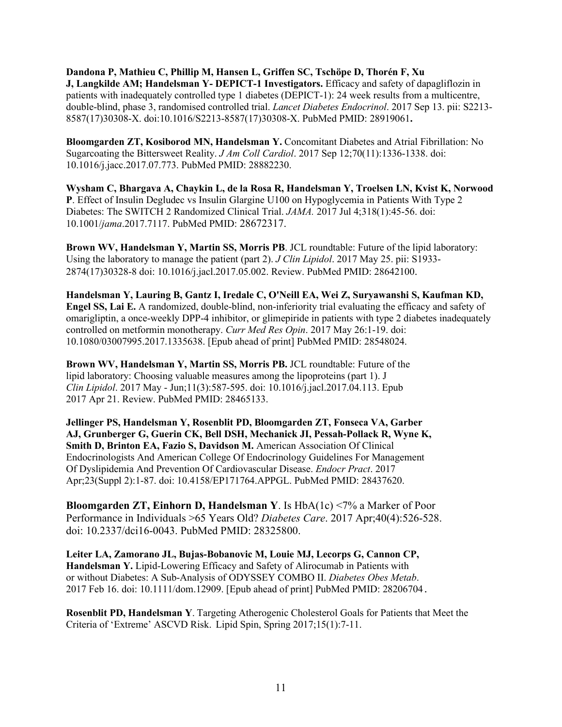**Dandona P, Mathieu C, Phillip M, Hansen L, Griffen SC, Tschöpe D, Thorén F, Xu J, Langkilde AM; Handelsman Y- DEPICT-1 Investigators.** Efficacy and safety of dapagliflozin in patients with inadequately controlled type 1 diabetes (DEPICT-1): 24 week results from a multicentre, double-blind, phase 3, randomised controlled trial. *Lancet Diabetes Endocrinol*. 2017 Sep 13. pii: S2213- 8587(17)30308-X. doi:10.1016/S2213-8587(17)30308-X. PubMed PMID: 28919061**.**

**Bloomgarden ZT, Kosiborod MN, Handelsman Y.** Concomitant Diabetes and Atrial Fibrillation: No Sugarcoating the Bittersweet Reality. *J Am Coll Cardiol*. 2017 Sep 12;70(11):1336-1338. doi: 10.1016/j.jacc.2017.07.773. PubMed PMID: 28882230.

**Wysham C, Bhargava A, Chaykin L, de la Rosa R, Handelsman Y, Troelsen LN, Kvist K, Norwood P**. Effect of Insulin Degludec vs Insulin Glargine U100 on Hypoglycemia in Patients With Type 2 Diabetes: The SWITCH 2 Randomized Clinical Trial. *JAMA.* 2017 Jul 4;318(1):45-56. doi: 10.1001/*jama*.2017.7117. PubMed PMID: 28672317.

**Brown WV, Handelsman Y, Martin SS, Morris PB**. JCL roundtable: Future of the lipid laboratory: Using the laboratory to manage the patient (part 2). *J Clin Lipidol*. 2017 May 25. pii: S1933- 2874(17)30328-8 doi: 10.1016/j.jacl.2017.05.002. Review. PubMed PMID: 28642100.

**Handelsman Y, Lauring B, Gantz I, Iredale C, O'Neill EA, Wei Z, Suryawanshi S, Kaufman KD, Engel SS, Lai E.** A randomized, double-blind, non-inferiority trial evaluating the efficacy and safety of omarigliptin, a once-weekly DPP-4 inhibitor, or glimepiride in patients with type 2 diabetes inadequately controlled on metformin monotherapy. *Curr Med Res Opin*. 2017 May 26:1-19. doi: 10.1080/03007995.2017.1335638. [Epub ahead of print] PubMed PMID: 28548024.

**Brown WV, Handelsman Y, Martin SS, Morris PB.** JCL roundtable: Future of the lipid laboratory: Choosing valuable measures among the lipoproteins (part 1). J *Clin Lipidol*. 2017 May - Jun;11(3):587-595. doi: 10.1016/j.jacl.2017.04.113. Epub 2017 Apr 21. Review. PubMed PMID: 28465133.

**Jellinger PS, Handelsman Y, Rosenblit PD, Bloomgarden ZT, Fonseca VA, Garber AJ, Grunberger G, Guerin CK, Bell DSH, Mechanick JI, Pessah-Pollack R, Wyne K, Smith D, Brinton EA, Fazio S, Davidson M.** American Association Of Clinical Endocrinologists And American College Of Endocrinology Guidelines For Management Of Dyslipidemia And Prevention Of Cardiovascular Disease. *Endocr Pract*. 2017 Apr;23(Suppl 2):1-87. doi: 10.4158/EP171764.APPGL. PubMed PMID: 28437620.

**Bloomgarden ZT, Einhorn D, Handelsman Y**. Is HbA(1c) <7% a Marker of Poor Performance in Individuals >65 Years Old? *Diabetes Care*. 2017 Apr;40(4):526-528. doi: 10.2337/dci16-0043. PubMed PMID: 28325800.

**Leiter LA, Zamorano JL, Bujas-Bobanovic M, Louie MJ, Lecorps G, Cannon CP, Handelsman Y.** Lipid-Lowering Efficacy and Safety of Alirocumab in Patients with or without Diabetes: A Sub-Analysis of ODYSSEY COMBO II. *Diabetes Obes Metab*. 2017 Feb 16. doi: 10.1111/dom.12909. [Epub ahead of print] PubMed PMID: 28206704.

**Rosenblit PD, Handelsman Y**. Targeting Atherogenic Cholesterol Goals for Patients that Meet the Criteria of 'Extreme' ASCVD Risk. Lipid Spin, Spring 2017;15(1):7-11.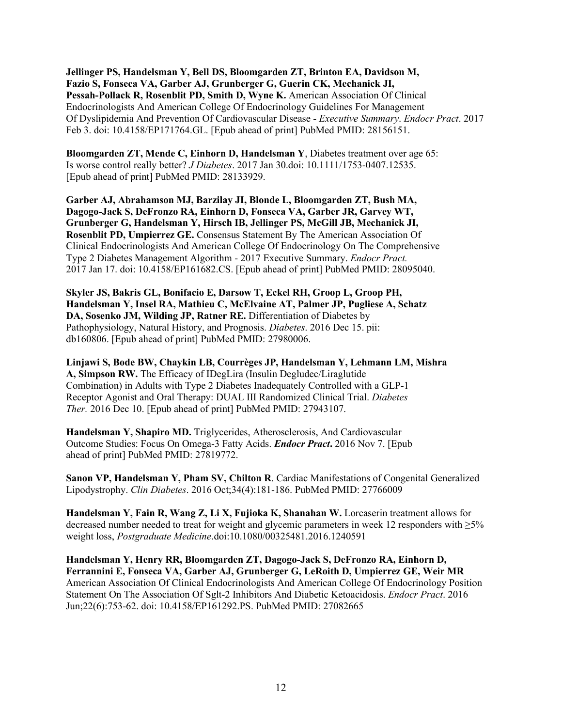**Jellinger PS, Handelsman Y, Bell DS, Bloomgarden ZT, Brinton EA, Davidson M, Fazio S, Fonseca VA, Garber AJ, Grunberger G, Guerin CK, Mechanick JI, Pessah-Pollack R, Rosenblit PD, Smith D, Wyne K.** American Association Of Clinical Endocrinologists And American College Of Endocrinology Guidelines For Management Of Dyslipidemia And Prevention Of Cardiovascular Disease - *Executive Summary*. *Endocr Pract*. 2017 Feb 3. doi: 10.4158/EP171764.GL. [Epub ahead of print] PubMed PMID: 28156151.

**Bloomgarden ZT, Mende C, Einhorn D, Handelsman Y**, Diabetes treatment over age 65: Is worse control really better? *J Diabetes*. 2017 Jan 30.doi: 10.1111/1753-0407.12535. [Epub ahead of print] PubMed PMID: 28133929.

**Garber AJ, Abrahamson MJ, Barzilay JI, Blonde L, Bloomgarden ZT, Bush MA, Dagogo-Jack S, DeFronzo RA, Einhorn D, Fonseca VA, Garber JR, Garvey WT, Grunberger G, Handelsman Y, Hirsch IB, Jellinger PS, McGill JB, Mechanick JI, Rosenblit PD, Umpierrez GE.** Consensus Statement By The American Association Of Clinical Endocrinologists And American College Of Endocrinology On The Comprehensive Type 2 Diabetes Management Algorithm - 2017 Executive Summary. *Endocr Pract.* 2017 Jan 17. doi: 10.4158/EP161682.CS. [Epub ahead of print] PubMed PMID: 28095040.

**Skyler JS, Bakris GL, Bonifacio E, Darsow T, Eckel RH, Groop L, Groop PH, Handelsman Y, Insel RA, Mathieu C, McElvaine AT, Palmer JP, Pugliese A, Schatz** DA, Sosenko JM, Wilding JP, Ratner RE. Differentiation of Diabetes by Pathophysiology, Natural History, and Prognosis. *Diabetes*. 2016 Dec 15. pii: db160806. [Epub ahead of print] PubMed PMID: 27980006.

**Linjawi S, Bode BW, Chaykin LB, Courrèges JP, Handelsman Y, Lehmann LM, Mishra A, Simpson RW.** The Efficacy of IDegLira (Insulin Degludec/Liraglutide Combination) in Adults with Type 2 Diabetes Inadequately Controlled with a GLP-1 Receptor Agonist and Oral Therapy: DUAL III Randomized Clinical Trial. *Diabetes Ther.* 2016 Dec 10. [Epub ahead of print] PubMed PMID: 27943107.

**Handelsman Y, Shapiro MD.** Triglycerides, Atherosclerosis, And Cardiovascular Outcome Studies: Focus On Omega-3 Fatty Acids. *Endocr Pract***.** 2016 Nov 7. [Epub ahead of print] PubMed PMID: 27819772.

**Sanon VP, Handelsman Y, Pham SV, Chilton R**. Cardiac Manifestations of Congenital Generalized Lipodystrophy. *Clin Diabetes*. 2016 Oct;34(4):181-186. PubMed PMID: 27766009

**Handelsman Y, Fain R, Wang Z, Li X, Fujioka K, Shanahan W.** Lorcaserin treatment allows for decreased number needed to treat for weight and glycemic parameters in week 12 responders with ≥5% weight loss, *Postgraduate Medicine*.doi:10.1080/00325481.2016.1240591

**Handelsman Y, Henry RR, Bloomgarden ZT, Dagogo-Jack S, DeFronzo RA, Einhorn D, Ferrannini E, Fonseca VA, Garber AJ, Grunberger G, LeRoith D, Umpierrez GE, Weir MR** American Association Of Clinical Endocrinologists And American College Of Endocrinology Position Statement On The Association Of Sglt-2 Inhibitors And Diabetic Ketoacidosis. *Endocr Pract*. 2016 Jun;22(6):753-62. doi: 10.4158/EP161292.PS. PubMed PMID: 27082665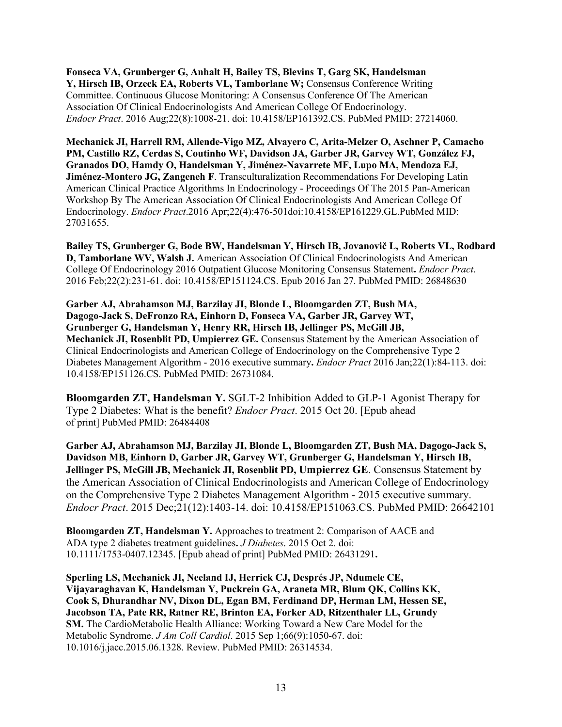**Fonseca VA, Grunberger G, Anhalt H, Bailey TS, Blevins T, Garg SK, Handelsman Y, Hirsch IB, Orzeck EA, Roberts VL, Tamborlane W;** Consensus Conference Writing Committee. Continuous Glucose Monitoring: A Consensus Conference Of The American Association Of Clinical Endocrinologists And American College Of Endocrinology. *Endocr Pract*. 2016 Aug;22(8):1008-21. doi: 10.4158/EP161392.CS. PubMed PMID: 27214060.

**Mechanick JI, Harrell RM, Allende-Vigo MZ, Alvayero C, Arita-Melzer O, Aschner P, Camacho PM, Castillo RZ, Cerdas S, Coutinho WF, Davidson JA, Garber JR, Garvey WT, González FJ, Granados DO, Hamdy O, Handelsman Y, Jiménez-Navarrete MF, Lupo MA, Mendoza EJ, Jiménez-Montero JG, Zangeneh F**. Transculturalization Recommendations For Developing Latin American Clinical Practice Algorithms In Endocrinology - Proceedings Of The 2015 Pan-American Workshop By The American Association Of Clinical Endocrinologists And American College Of Endocrinology. *Endocr Pract*.2016 Apr;22(4):476-501doi:10.4158/EP161229.GL.PubMed MID: 27031655.

**Bailey TS, Grunberger G, Bode BW, Handelsman Y, Hirsch IB, Jovanovič L, Roberts VL, Rodbard D, Tamborlane WV, Walsh J.** American Association Of Clinical Endocrinologists And American College Of Endocrinology 2016 Outpatient Glucose Monitoring Consensus Statement**.** *Endocr Pract*. 2016 Feb;22(2):231-61. doi: 10.4158/EP151124.CS. Epub 2016 Jan 27. PubMed PMID: 26848630

**Garber AJ, Abrahamson MJ, Barzilay JI, Blonde L, Bloomgarden ZT, Bush MA, Dagogo-Jack S, DeFronzo RA, Einhorn D, Fonseca VA, Garber JR, Garvey WT, Grunberger G, Handelsman Y, Henry RR, Hirsch IB, Jellinger PS, McGill JB, Mechanick JI, Rosenblit PD, Umpierrez GE.** Consensus Statement by the American Association of Clinical Endocrinologists and American College of Endocrinology on the Comprehensive Type 2 Diabetes Management Algorithm - 2016 executive summary**.** *Endocr Pract* 2016 Jan;22(1):84-113. doi: 10.4158/EP151126.CS. PubMed PMID: 26731084.

**Bloomgarden ZT, Handelsman Y.** SGLT-2 Inhibition Added to GLP-1 Agonist Therapy for Type 2 Diabetes: What is the benefit? *Endocr Pract*. 2015 Oct 20. [Epub ahead of print] PubMed PMID: 26484408

**Garber AJ, Abrahamson MJ, Barzilay JI, Blonde L, Bloomgarden ZT, Bush MA, Dagogo-Jack S, Davidson MB, Einhorn D, Garber JR, Garvey WT, Grunberger G, Handelsman Y, Hirsch IB, Jellinger PS, McGill JB, Mechanick JI, Rosenblit PD, Umpierrez GE**. Consensus Statement by the American Association of Clinical Endocrinologists and American College of Endocrinology on the Comprehensive Type 2 Diabetes Management Algorithm - 2015 executive summary. *Endocr Pract*. 2015 Dec;21(12):1403-14. doi: 10.4158/EP151063.CS. PubMed PMID: 26642101

**Bloomgarden ZT, Handelsman Y.** Approaches to treatment 2: Comparison of AACE and ADA type 2 diabetes treatment guidelines**.** *J Diabetes*. 2015 Oct 2. doi: 10.1111/1753-0407.12345. [Epub ahead of print] PubMed PMID: 26431291**.**

**Sperling LS, Mechanick JI, Neeland IJ, Herrick CJ, Després JP, Ndumele CE, Vijayaraghavan K, Handelsman Y, Puckrein GA, Araneta MR, Blum QK, Collins KK, Cook S, Dhurandhar NV, Dixon DL, Egan BM, Ferdinand DP, Herman LM, Hessen SE, Jacobson TA, Pate RR, Ratner RE, Brinton EA, Forker AD, Ritzenthaler LL, Grundy SM.** The CardioMetabolic Health Alliance: Working Toward a New Care Model for the Metabolic Syndrome. *J Am Coll Cardiol*. 2015 Sep 1;66(9):1050-67. doi: 10.1016/j.jacc.2015.06.1328. Review. PubMed PMID: 26314534.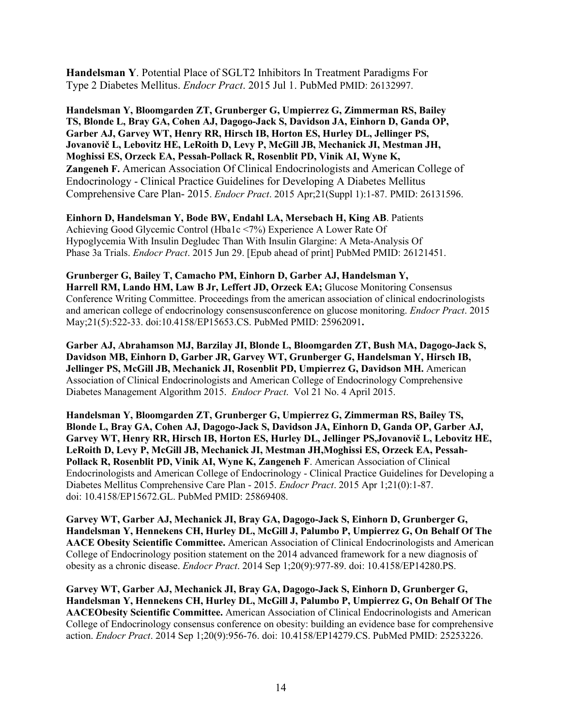**Handelsman Y**. Potential Place of SGLT2 Inhibitors In Treatment Paradigms For Type 2 Diabetes Mellitus. *Endocr Pract*. 2015 Jul 1. PubMed PMID: 26132997.

**Handelsman Y, Bloomgarden ZT, Grunberger G, Umpierrez G, Zimmerman RS, Bailey TS, Blonde L, Bray GA, Cohen AJ, Dagogo-Jack S, Davidson JA, Einhorn D, Ganda OP, Garber AJ, Garvey WT, Henry RR, Hirsch IB, Horton ES, Hurley DL, Jellinger PS, Jovanovič L, Lebovitz HE, LeRoith D, Levy P, McGill JB, Mechanick JI, Mestman JH, Moghissi ES, Orzeck EA, Pessah-Pollack R, Rosenblit PD, Vinik AI, Wyne K, Zangeneh F.** American Association Of Clinical Endocrinologists and American College of Endocrinology - Clinical Practice Guidelines for Developing A Diabetes Mellitus Comprehensive Care Plan- 2015. *Endocr Pract*. 2015 Apr;21(Suppl 1):1-87. PMID: 26131596.

**Einhorn D, Handelsman Y, Bode BW, Endahl LA, Mersebach H, King AB**. Patients Achieving Good Glycemic Control (Hba1c <7%) Experience A Lower Rate Of Hypoglycemia With Insulin Degludec Than With Insulin Glargine: A Meta-Analysis Of Phase 3a Trials. *Endocr Pract*. 2015 Jun 29. [Epub ahead of print] PubMed PMID: 26121451.

**Grunberger G, Bailey T, Camacho PM, Einhorn D, Garber AJ, Handelsman Y, Harrell RM, Lando HM, Law B Jr, Leffert JD, Orzeck EA;** Glucose Monitoring Consensus Conference Writing Committee. Proceedings from the american association of clinical endocrinologists and american college of endocrinology consensusconference on glucose monitoring. *Endocr Pract*. 2015 May;21(5):522-33. doi:10.4158/EP15653.CS. PubMed PMID: 25962091**.**

**Garber AJ, Abrahamson MJ, Barzilay JI, Blonde L, Bloomgarden ZT, Bush MA, Dagogo-Jack S, Davidson MB, Einhorn D, Garber JR, Garvey WT, Grunberger G, Handelsman Y, Hirsch IB, Jellinger PS, McGill JB, Mechanick JI, Rosenblit PD, Umpierrez G, Davidson MH.** American Association of Clinical Endocrinologists and American College of Endocrinology Comprehensive Diabetes Management Algorithm 2015. *Endocr Pract*. Vol 21 No. 4 April 2015.

**Handelsman Y, Bloomgarden ZT, Grunberger G, Umpierrez G, Zimmerman RS, Bailey TS, Blonde L, Bray GA, Cohen AJ, Dagogo-Jack S, Davidson JA, Einhorn D, Ganda OP, Garber AJ, Garvey WT, Henry RR, Hirsch IB, Horton ES, Hurley DL, Jellinger PS,Jovanovič L, Lebovitz HE, LeRoith D, Levy P, McGill JB, Mechanick JI, Mestman JH,Moghissi ES, Orzeck EA, Pessah-Pollack R, Rosenblit PD, Vinik AI, Wyne K, Zangeneh F**. American Association of Clinical Endocrinologists and American College of Endocrinology - Clinical Practice Guidelines for Developing a Diabetes Mellitus Comprehensive Care Plan - 2015. *Endocr Pract*. 2015 Apr 1;21(0):1-87. doi: 10.4158/EP15672.GL. PubMed PMID: 25869408.

**Garvey WT, Garber AJ, Mechanick JI, Bray GA, Dagogo-Jack S, Einhorn D, Grunberger G, Handelsman Y, Hennekens CH, Hurley DL, McGill J, Palumbo P, Umpierrez G, On Behalf Of The AACE Obesity Scientific Committee.** American Association of Clinical Endocrinologists and American College of Endocrinology position statement on the 2014 advanced framework for a new diagnosis of obesity as a chronic disease. *Endocr Pract*. 2014 Sep 1;20(9):977-89. doi: 10.4158[/EP14280.PS.](http://ep14280.ps/)

**Garvey WT, Garber AJ, Mechanick JI, Bray GA, Dagogo-Jack S, Einhorn D, Grunberger G, Handelsman Y, Hennekens CH, Hurley DL, McGill J, Palumbo P, Umpierrez G, On Behalf Of The AACEObesity Scientific Committee.** American Association of Clinical Endocrinologists and American College of Endocrinology consensus conference on obesity: building an evidence base for comprehensive action. *Endocr Pract*. 2014 Sep 1;20(9):956-76. doi: 10.4158/EP14279.CS. PubMed PMID: 25253226.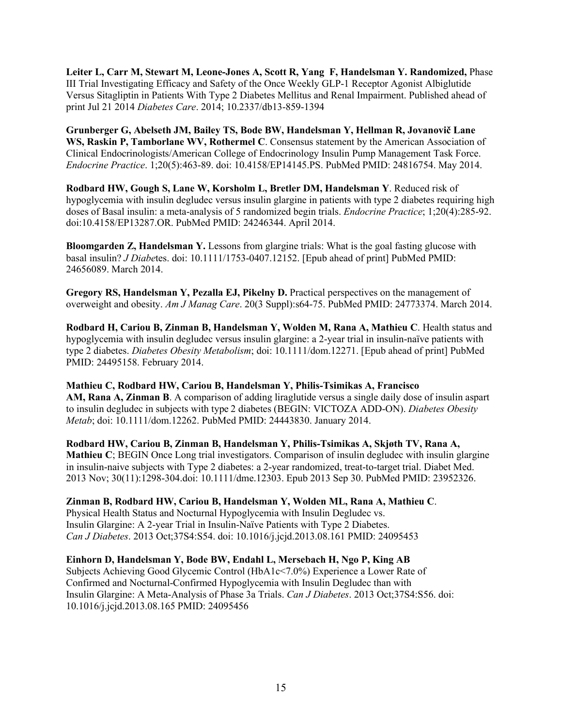**Leiter L, Carr M, Stewart M, Leone-Jones A, Scott R, Yang F, Handelsman Y. Randomized,** Phase III Trial Investigating Efficacy and Safety of the Once Weekly GLP-1 Receptor Agonist Albiglutide Versus Sitagliptin in Patients With Type 2 Diabetes Mellitus and Renal Impairment. Published ahead of print Jul 21 2014 *Diabetes Care*. 2014; 10.2337/db13-859-1394

**Grunberger G, Abelseth JM, Bailey TS, Bode BW, Handelsman Y, Hellman R, Jovanovič Lane WS, Raskin P, Tamborlane WV, Rothermel C**. Consensus statement by the American Association of Clinical Endocrinologists/American College of Endocrinology Insulin Pump Management Task Force. *Endocrine Practice*. 1;20(5):463-89. doi: 10.4158[/EP14145.PS.](http://ep14145.ps/) PubMed PMID: 24816754. May 2014.

**Rodbard HW, Gough S, Lane W, Korsholm L, Bretler DM, Handelsman Y**. Reduced risk of hypoglycemia with insulin degludec versus insulin glargine in patients with type 2 diabetes requiring high doses of Basal insulin: a meta-analysis of 5 randomized begin trials. *Endocrine Practice*; 1;20(4):285-92. doi:10.4158/EP13287.OR. PubMed PMID: 24246344. April 2014.

**Bloomgarden Z, Handelsman Y.** Lessons from glargine trials: What is the goal fasting glucose with basal insulin? *J Diabe*tes. doi: 10.1111/1753-0407.12152. [Epub ahead of print] PubMed PMID: 24656089. March 2014.

**Gregory RS, Handelsman Y, Pezalla EJ, Pikelny D.** Practical perspectives on the management of overweight and obesity. *Am J Manag Care*. 20(3 Suppl):s64-75. PubMed PMID: 24773374. March 2014.

**Rodbard H, Cariou B, Zinman B, Handelsman Y, Wolden M, Rana A, Mathieu C**. Health status and hypoglycemia with insulin degludec versus insulin glargine: a 2-year trial in insulin-naïve patients with type 2 diabetes. *Diabetes Obesity Metabolism*; doi: 10.1111/dom.12271. [Epub ahead of print] PubMed PMID: 24495158. February 2014.

**Mathieu C, Rodbard HW, Cariou B, Handelsman Y, Philis-Tsimikas A, Francisco AM, Rana A, Zinman B**. A comparison of adding liraglutide versus a single daily dose of insulin aspart to insulin degludec in subjects with type 2 diabetes (BEGIN: VICTOZA ADD-ON). *Diabetes Obesity Metab*; doi: 10.1111/dom.12262. PubMed PMID: 24443830. January 2014.

**Rodbard HW, Cariou B, Zinman B, Handelsman Y, Philis-Tsimikas A, Skjøth TV, Rana A, Mathieu C**; BEGIN Once Long trial investigators. Comparison of insulin degludec with insulin glargine in insulin-naive subjects with Type 2 diabetes: a 2-year randomized, treat-to-target trial. Diabet Med. 2013 Nov; 30(11):1298-304.doi: 10.1111/dme.12303. Epub 2013 Sep 30. PubMed PMID: 23952326.

**Zinman B, Rodbard HW, Cariou B, Handelsman Y, Wolden ML, Rana A, Mathieu C**.

Physical Health Status and Nocturnal Hypoglycemia with Insulin Degludec vs. Insulin Glargine: A 2-year Trial in Insulin-Naïve Patients with Type 2 Diabetes. *Can J Diabetes*. 2013 Oct;37S4:S54. doi: 10.1016/j.jcjd.2013.08.161 PMID: 24095453

**Einhorn D, Handelsman Y, Bode BW, Endahl L, Mersebach H, Ngo P, King AB** Subjects Achieving Good Glycemic Control (HbA1c<7.0%) Experience a Lower Rate of Confirmed and Nocturnal-Confirmed Hypoglycemia with Insulin Degludec than with Insulin Glargine: A Meta-Analysis of Phase 3a Trials. *Can J Diabetes*. 2013 Oct;37S4:S56. doi: 10.1016/j.jcjd.2013.08.165 PMID: 24095456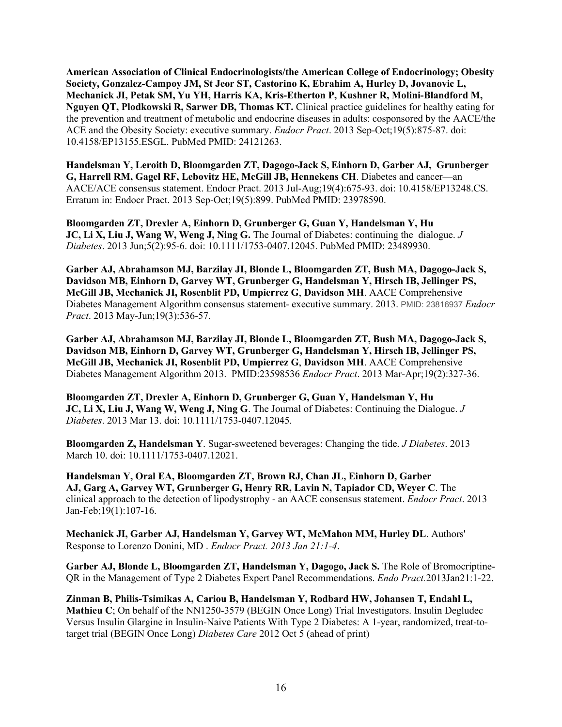**American Association of Clinical Endocrinologists/the American College of Endocrinology; Obesity Society, Gonzalez-Campoy JM, St Jeor ST, Castorino K, Ebrahim A, Hurley D, Jovanovic L, Mechanick JI, Petak SM, Yu YH, Harris KA, Kris-Etherton P, Kushner R, Molini-Blandford M, Nguyen QT, Plodkowski R, Sarwer DB, Thomas KT.** Clinical practice guidelines for healthy eating for the prevention and treatment of metabolic and endocrine diseases in adults: cosponsored by the AACE/the ACE and the Obesity Society: executive summary. *Endocr Pract*. 2013 Sep-Oct;19(5):875-87. doi: 10.4158/EP13155.ESGL. PubMed PMID: 24121263.

**Handelsman Y, Leroith D, Bloomgarden ZT, Dagogo-Jack S, Einhorn D, Garber AJ, Grunberger G, Harrell RM, Gagel RF, Lebovitz HE, McGill JB, Hennekens CH**. Diabetes and cancer—an AACE/ACE consensus statement. Endocr Pract. 2013 Jul-Aug;19(4):675-93. doi: 10.4158/EP13248.CS. Erratum in: Endocr Pract. 2013 Sep-Oct;19(5):899. PubMed PMID: 23978590.

**Bloomgarden ZT, Drexler A, Einhorn D, Grunberger G, Guan Y, Handelsman Y, Hu JC, Li X, Liu J, Wang W, Weng J, Ning G.** The Journal of Diabetes: continuing the dialogue. *J Diabetes*. 2013 Jun;5(2):95-6. doi: 10.1111/1753-0407.12045. PubMed PMID: 23489930.

**Garber AJ, Abrahamson MJ, Barzilay JI, Blonde L, Bloomgarden ZT, Bush MA, Dagogo-Jack S, Davidson MB, Einhorn D, Garvey WT, Grunberger G, Handelsman Y, Hirsch IB, Jellinger PS, McGill JB, Mechanick JI, Rosenblit PD, Umpierrez G**, **Davidson MH**. AACE Comprehensive Diabetes Management Algorithm consensus statement- executive summary. 2013. PMID: 23816937 *Endocr Pract*. 2013 May-Jun;19(3):536-57.

**Garber AJ, Abrahamson MJ, Barzilay JI, Blonde L, Bloomgarden ZT, Bush MA, Dagogo-Jack S, Davidson MB, Einhorn D, Garvey WT, Grunberger G, Handelsman Y, Hirsch IB, Jellinger PS, McGill JB, Mechanick JI, Rosenblit PD, Umpierrez G**, **Davidson MH**. AACE Comprehensive Diabetes Management Algorithm 2013. PMID:23598536 *Endocr Pract*. 2013 Mar-Apr;19(2):327-36.

**Bloomgarden ZT, Drexler A, Einhorn D, Grunberger G, Guan Y, Handelsman Y, Hu JC, Li X, Liu J, Wang W, Weng J, Ning G**. The Journal of Diabetes: Continuing the Dialogue. *J Diabetes*. 2013 Mar 13. doi: 10.1111/1753-0407.12045.

**Bloomgarden Z, Handelsman Y**[. Sugar-sweetened beverages: Changing the tide.](http://www.ncbi.nlm.nih.gov/pubmed/23302538) *J Diabetes*. 2013 March 10. doi: 10.1111/1753-0407.12021.

**Handelsman Y, Oral EA, Bloomgarden ZT, Brown RJ, Chan JL, Einhorn D, Garber AJ, Garg A, Garvey WT, Grunberger G, Henry RR, Lavin N, Tapiador CD, Weyer C**. The clinical approach to the detection of lipodystrophy - an AACE consensus statement. *Endocr Pract*. 2013 Jan-Feb;19(1):107-16.

**Mechanick JI, Garber AJ, Handelsman Y, Garvey WT, McMahon MM, Hurley DL**. Authors' Response to Lorenzo Donini, MD . *Endocr Pract. 2013 Jan 21:1-4*.

**Garber AJ, Blonde L, Bloomgarden ZT, Handelsman Y, Dagogo, Jack S.** The Role of Bromocriptine-QR in the Management of Type 2 Diabetes Expert Panel Recommendations. *Endo Pract.*2013Jan21:1-22.

**Zinman B, Philis-Tsimikas A, Cariou B, Handelsman Y, Rodbard HW, Johansen T, Endahl L, Mathieu C**; On behalf of the NN1250-3579 (BEGIN Once Long) Trial Investigators. Insulin Degludec Versus Insulin Glargine in Insulin-Naive Patients With Type 2 Diabetes: A 1-year, randomized, treat-totarget trial (BEGIN Once Long) *Diabetes Care* 2012 Oct 5 (ahead of print)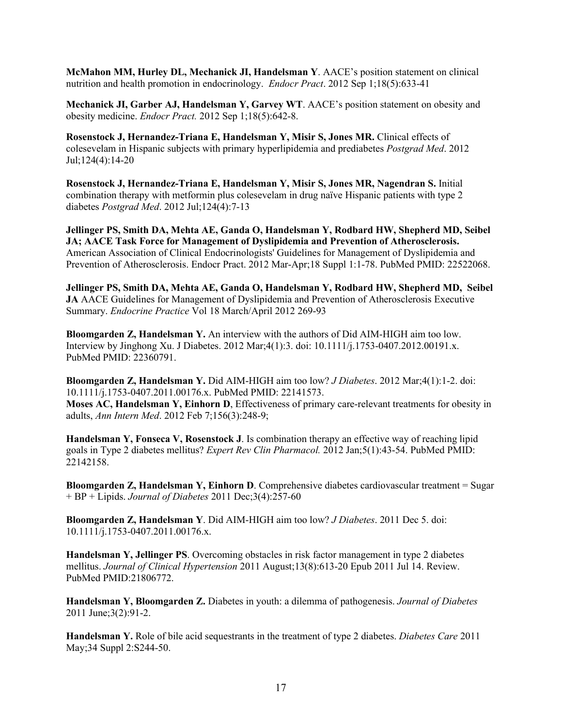**McMahon MM, Hurley DL, Mechanick JI, Handelsman Y**. AACE's position statement on clinical nutrition and health promotion in endocrinology. *Endocr Pract*. 2012 Sep 1;18(5):633-41

**Mechanick JI, Garber AJ, Handelsman Y, Garvey WT**. AACE's [position statement on obesity and](http://www.ncbi.nlm.nih.gov/pubmed/23047927)  [obesity medicine.](http://www.ncbi.nlm.nih.gov/pubmed/23047927) *Endocr Pract.* 2012 Sep 1;18(5):642-8.

**Rosenstock J, Hernandez-Triana E, Handelsman Y, Misir S, Jones MR.** Clinical effects of colesevelam in Hispanic subjects with primary hyperlipidemia and prediabetes *Postgrad Med*. 2012 Jul;124(4):14-20

**Rosenstock J, Hernandez-Triana E, Handelsman Y, Misir S, Jones MR, Nagendran S.** Initial combination therapy with metformin plus colesevelam in drug naïve Hispanic patients with type 2 diabetes *Postgrad Med*. 2012 Jul;124(4):7-13

**Jellinger PS, Smith DA, Mehta AE, Ganda O, Handelsman Y, Rodbard HW, Shepherd MD, Seibel JA; AACE Task Force for Management of Dyslipidemia and Prevention of Atherosclerosis.** American Association of Clinical Endocrinologists' Guidelines for Management of Dyslipidemia and Prevention of Atherosclerosis. Endocr Pract. 2012 Mar-Apr;18 Suppl 1:1-78. PubMed PMID: 22522068.

**Jellinger PS, Smith DA, Mehta AE, Ganda O, Handelsman Y, Rodbard HW, Shepherd MD, Seibel JA** AACE Guidelines for Management of Dyslipidemia and Prevention of Atherosclerosis Executive Summary. *Endocrine Practice* Vol 18 March/April 2012 269-93

**Bloomgarden Z, Handelsman Y.** An interview with the authors of Did AIM-HIGH aim too low. Interview by Jinghong Xu. J Diabetes. 2012 Mar;4(1):3. doi: 10.1111/j.1753-0407.2012.00191.x. PubMed PMID: 22360791.

**Bloomgarden Z, Handelsman Y.** Did AIM-HIGH aim too low? *J Diabetes*. 2012 Mar;4(1):1-2. doi: 10.1111/j.1753-0407.2011.00176.x. PubMed PMID: 22141573.

**Moses AC, Handelsman Y, Einhorn D**, Effectiveness of primary care-relevant treatments for obesity in adults, *Ann Intern Med*. 2012 Feb 7;156(3):248-9;

**Handelsman Y, Fonseca V, Rosenstock J**. Is combination therapy an effective way of reaching lipid goals in Type 2 diabetes mellitus? *Expert Rev Clin Pharmacol.* 2012 Jan;5(1):43-54. PubMed PMID: 22142158.

**Bloomgarden Z, Handelsman Y, Einhorn D**. Comprehensive diabetes cardiovascular treatment = Sugar + BP + Lipids. *Journal of Diabetes* 2011 Dec;3(4):257-60

**Bloomgarden Z, Handelsman Y**. Did AIM-HIGH aim too low? *J Diabetes*. 2011 Dec 5. doi: 10.1111/j.1753-0407.2011.00176.x.

**Handelsman Y, Jellinger PS**. Overcoming obstacles in risk factor management in type 2 diabetes mellitus. *Journal of Clinical Hypertension* 2011 August;13(8):613-20 Epub 2011 Jul 14. Review. PubMed PMID:21806772.

**Handelsman Y, Bloomgarden Z.** Diabetes in youth: a dilemma of pathogenesis. *Journal of Diabetes* 2011 June;3(2):91-2.

**Handelsman Y.** Role of bile acid sequestrants in the treatment of type 2 diabetes. *Diabetes Care* 2011 May;34 Suppl 2:S244-50.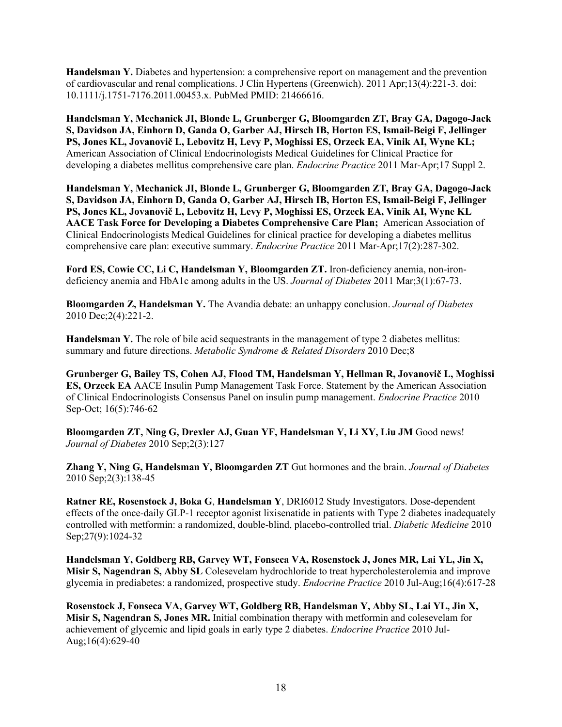**Handelsman Y.** Diabetes and hypertension: a comprehensive report on management and the prevention of cardiovascular and renal complications. J Clin Hypertens (Greenwich). 2011 Apr;13(4):221-3. doi: 10.1111/j.1751-7176.2011.00453.x. PubMed PMID: 21466616.

**Handelsman Y, Mechanick JI, Blonde L, Grunberger G, Bloomgarden ZT, Bray GA, Dagogo-Jack S, Davidson JA, Einhorn D, Ganda O, Garber AJ, Hirsch IB, Horton ES, Ismail-Beigi F, Jellinger PS, Jones KL, Jovanovič L, Lebovitz H, Levy P, Moghissi ES, Orzeck EA, Vinik AI, Wyne KL;** American Association of Clinical Endocrinologists Medical Guidelines for Clinical Practice for developing a diabetes mellitus comprehensive care plan. *Endocrine Practice* 2011 Mar-Apr;17 Suppl 2.

**Handelsman Y, Mechanick JI, Blonde L, Grunberger G, Bloomgarden ZT, Bray GA, Dagogo-Jack S, Davidson JA, Einhorn D, Ganda O, Garber AJ, Hirsch IB, Horton ES, Ismail-Beigi F, Jellinger PS, Jones KL, Jovanovič L, Lebovitz H, Levy P, Moghissi ES, Orzeck EA, Vinik AI, Wyne KL AACE Task Force for Developing a Diabetes Comprehensive Care Plan;** American Association of Clinical Endocrinologists Medical Guidelines for clinical practice for developing a diabetes mellitus comprehensive care plan: executive summary. *Endocrine Practice* 2011 Mar-Apr;17(2):287-302.

**Ford ES, Cowie CC, Li C, Handelsman Y, Bloomgarden ZT.** Iron-deficiency anemia, non-irondeficiency anemia and HbA1c among adults in the US. *Journal of Diabetes* 2011 Mar;3(1):67-73.

**Bloomgarden Z, Handelsman Y.** The Avandia debate: an unhappy conclusion. *Journal of Diabetes* 2010 Dec;2(4):221-2.

**Handelsman Y.** The role of bile acid sequestrants in the management of type 2 diabetes mellitus: summary and future directions. *Metabolic Syndrome & Related Disorders* 2010 Dec;8

**Grunberger G, Bailey TS, Cohen AJ, Flood TM, Handelsman Y, Hellman R, Jovanovič L, Moghissi ES, Orzeck EA** AACE Insulin Pump Management Task Force. Statement by the American Association of Clinical Endocrinologists Consensus Panel on insulin pump management. *Endocrine Practice* 2010 Sep-Oct; 16(5):746-62

**Bloomgarden ZT, Ning G, Drexler AJ, Guan YF, Handelsman Y, Li XY, Liu JM** Good news! *Journal of Diabetes* 2010 Sep;2(3):127

**Zhang Y, Ning G, Handelsman Y, Bloomgarden ZT** Gut hormones and the brain. *Journal of Diabetes* 2010 Sep;2(3):138-45

**Ratner RE, Rosenstock J, Boka G**, **Handelsman Y**, DRI6012 Study Investigators. Dose-dependent effects of the once-daily GLP-1 receptor agonist lixisenatide in patients with Type 2 diabetes inadequately controlled with metformin: a randomized, double-blind, placebo-controlled trial. *Diabetic Medicine* 2010 Sep; 27(9): 1024-32

**Handelsman Y, Goldberg RB, Garvey WT, Fonseca VA, Rosenstock J, Jones MR, Lai YL, Jin X, Misir S, Nagendran S, Abby SL** Colesevelam hydrochloride to treat hypercholesterolemia and improve glycemia in prediabetes: a randomized, prospective study. *Endocrine Practice* 2010 Jul-Aug;16(4):617-28

**Rosenstock J, Fonseca VA, Garvey WT, Goldberg RB, Handelsman Y, Abby SL, Lai YL, Jin X, Misir S, Nagendran S, Jones MR.** Initial combination therapy with metformin and colesevelam for achievement of glycemic and lipid goals in early type 2 diabetes. *Endocrine Practice* 2010 Jul-Aug;16(4):629-40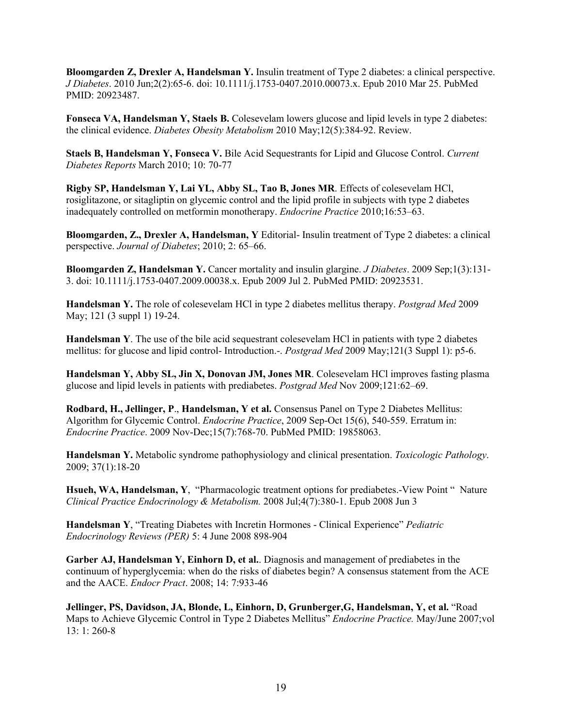**Bloomgarden Z, Drexler A, Handelsman Y.** Insulin treatment of Type 2 diabetes: a clinical perspective. *J Diabetes*. 2010 Jun;2(2):65-6. doi: 10.1111/j.1753-0407.2010.00073.x. Epub 2010 Mar 25. PubMed PMID: 20923487.

**Fonseca VA, Handelsman Y, Staels B.** Colesevelam lowers glucose and lipid levels in type 2 diabetes: the clinical evidence. *Diabetes Obesity Metabolism* 2010 May;12(5):384-92. Review.

**Staels B, Handelsman Y, Fonseca V.** Bile Acid Sequestrants for Lipid and Glucose Control. *Current Diabetes Reports* March 2010; 10: 70-77

**Rigby SP, Handelsman Y, Lai YL, Abby SL, Tao B, Jones MR**. Effects of colesevelam HCl, rosiglitazone, or sitagliptin on glycemic control and the lipid profile in subjects with type 2 diabetes inadequately controlled on metformin monotherapy. *Endocrine Practice* 2010;16:53–63.

**Bloomgarden, Z., Drexler A, Handelsman, Y** Editorial- Insulin treatment of Type 2 diabetes: a clinical perspective. *Journal of Diabetes*; 2010; 2: 65–66.

**Bloomgarden Z, Handelsman Y.** Cancer mortality and insulin glargine. *J Diabetes*. 2009 Sep;1(3):131- 3. doi: 10.1111/j.1753-0407.2009.00038.x. Epub 2009 Jul 2. PubMed PMID: 20923531.

**Handelsman Y.** The role of colesevelam HCl in type 2 diabetes mellitus therapy. *Postgrad Med* 2009 May; 121 (3 suppl 1) 19-24.

**Handelsman Y**. The use of the bile acid sequestrant colesevelam HCl in patients with type 2 diabetes mellitus: for glucose and lipid control- Introduction.-. *Postgrad Med* 2009 May;121(3 Suppl 1): p5-6.

**Handelsman Y, Abby SL, Jin X, Donovan JM, Jones MR**. Colesevelam HCl improves fasting plasma glucose and lipid levels in patients with prediabetes. *Postgrad Med* Nov 2009;121:62–69.

**Rodbard, H., Jellinger, P**., **Handelsman, Y et al.** Consensus Panel on Type 2 Diabetes Mellitus: Algorithm for Glycemic Control. *Endocrine Practice*, 2009 Sep-Oct 15(6), 540-559. Erratum in: *Endocrine Practice*. 2009 Nov-Dec;15(7):768-70. PubMed PMID: 19858063.

**Handelsman Y.** Metabolic syndrome pathophysiology and clinical presentation. *Toxicologic Pathology*. 2009; 37(1):18-20

**Hsueh, WA, Handelsman, Y**, "Pharmacologic treatment options for prediabetes.-View Point " Nature *Clinical Practice Endocrinology & Metabolism.* 2008 Jul;4(7):380-1. Epub 2008 Jun 3

**Handelsman Y**, "Treating Diabetes with Incretin Hormones - Clinical Experience" *Pediatric Endocrinology Reviews (PER)* 5: 4 June 2008 898-904

**Garber AJ, Handelsman Y, Einhorn D, et al.**. Diagnosis and management of prediabetes in the continuum of hyperglycemia: when do the risks of diabetes begin? A consensus statement from the ACE and the AACE. *Endocr Pract*. 2008; 14: 7:933-46

**Jellinger, PS, Davidson, JA, Blonde, L, Einhorn, D, Grunberger,G, Handelsman, Y, et al.** "Road Maps to Achieve Glycemic Control in Type 2 Diabetes Mellitus" *Endocrine Practice.* May/June 2007;vol 13: 1: 260-8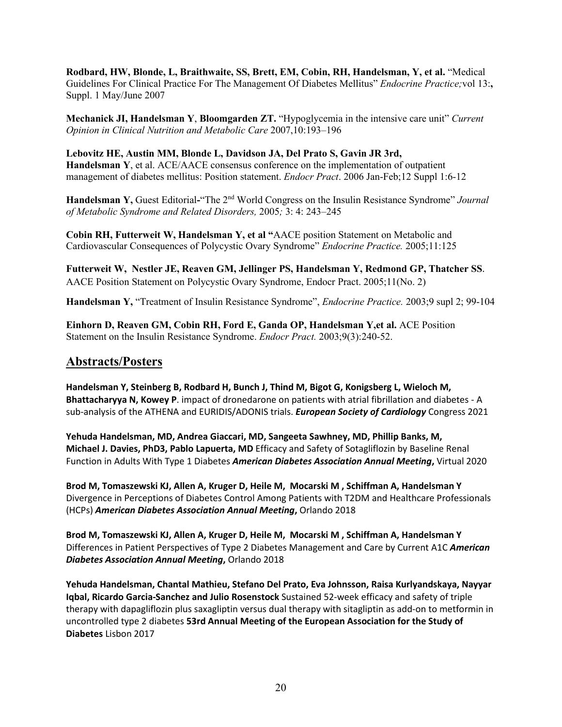**Rodbard, HW, Blonde, L, Braithwaite, SS, Brett, EM, Cobin, RH, Handelsman, Y, et al.** "Medical Guidelines For Clinical Practice For The Management Of Diabetes Mellitus" *Endocrine Practice;*vol 13:**,**  Suppl. 1 May/June 2007

**Mechanick JI, Handelsman Y**, **Bloomgarden ZT.** "Hypoglycemia in the intensive care unit" *Current Opinion in Clinical Nutrition and Metabolic Care* 2007,10:193–196

**Lebovitz HE, Austin MM, Blonde L, Davidson JA, Del Prato S, Gavin JR 3rd, Handelsman Y**, et al. ACE/AACE consensus conference on the implementation of outpatient management of diabetes mellitus: Position statement. *Endocr Pract*. 2006 Jan-Feb;12 Suppl 1:6-12

**Handelsman Y,** Guest Editorial**-**"The 2nd World Congress on the Insulin Resistance Syndrome" *Journal of Metabolic Syndrome and Related Disorders,* 2005*;* 3: 4: 243–245

**Cobin RH, Futterweit W, Handelsman Y, et al "**AACE position Statement on Metabolic and Cardiovascular Consequences of Polycystic Ovary Syndrome" *Endocrine Practice.* 2005;11:125

**Futterweit W, Nestler JE, Reaven GM, Jellinger PS, Handelsman Y, Redmond GP, Thatcher SS**. AACE Position Statement on Polycystic Ovary Syndrome, Endocr Pract. 2005;11(No. 2)

**Handelsman Y,** "Treatment of Insulin Resistance Syndrome", *Endocrine Practice.* 2003;9 supl 2; 99-104

**Einhorn D, Reaven GM, Cobin RH, Ford E, Ganda OP, Handelsman Y,et al.** ACE Position Statement on the Insulin Resistance Syndrome. *Endocr Pract.* 2003;9(3):240-52.

### **Abstracts/Posters**

**Handelsman Y, Steinberg B, Rodbard H, Bunch J, Thind M, Bigot G, Konigsberg L, Wieloch M, Bhattacharyya N, Kowey P**. impact of dronedarone on patients with atrial fibrillation and diabetes - A sub-analysis of the ATHENA and EURIDIS/ADONIS trials. *European Society of Cardiology* Congress 2021

**Yehuda Handelsman, MD, Andrea Giaccari, MD, Sangeeta Sawhney, MD, Phillip Banks, M, Michael J. Davies, PhD3, Pablo Lapuerta, MD** Efficacy and Safety of Sotagliflozin by Baseline Renal Function in Adults With Type 1 Diabetes *American Diabetes Association Annual Meeting***,** Virtual 2020

**Brod M, Tomaszewski KJ, Allen A, Kruger D, Heile M, Mocarski M , Schiffman A, Handelsman Y** Divergence in Perceptions of Diabetes Control Among Patients with T2DM and Healthcare Professionals (HCPs) *American Diabetes Association Annual Meeting***,** Orlando 2018

**Brod M, Tomaszewski KJ, Allen A, Kruger D, Heile M, Mocarski M , Schiffman A, Handelsman Y**  Differences in Patient Perspectives of Type 2 Diabetes Management and Care by Current A1C *American Diabetes Association Annual Meeting***,** Orlando 2018

**Yehuda Handelsman, Chantal Mathieu, Stefano Del Prato, Eva Johnsson, Raisa Kurlyandskaya, Nayyar Iqbal, Ricardo Garcia-Sanchez and Julio Rosenstock** Sustained 52-week efficacy and safety of triple therapy with dapagliflozin plus saxagliptin versus dual therapy with sitagliptin as add-on to metformin in uncontrolled type 2 diabetes **53rd Annual Meeting of the European Association for the Study of Diabetes** Lisbon 2017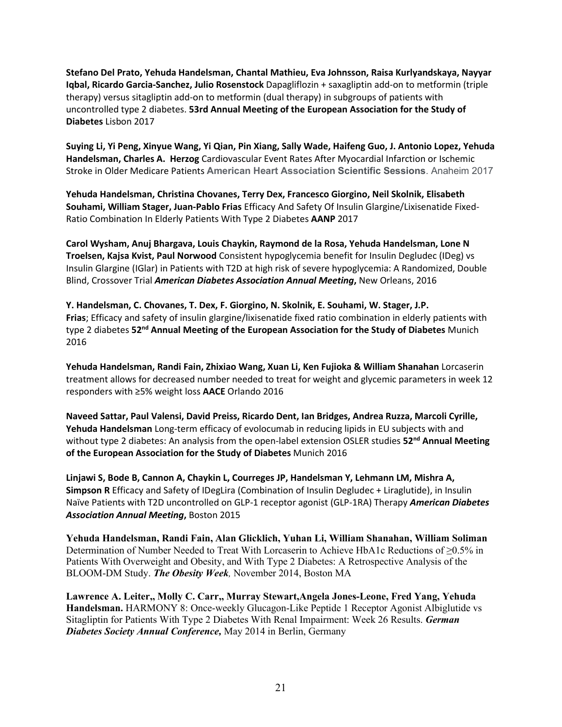**Stefano Del Prato, Yehuda Handelsman, Chantal Mathieu, Eva Johnsson, Raisa Kurlyandskaya, Nayyar Iqbal, Ricardo Garcia-Sanchez, Julio Rosenstock** Dapagliflozin + saxagliptin add-on to metformin (triple therapy) versus sitagliptin add-on to metformin (dual therapy) in subgroups of patients with uncontrolled type 2 diabetes. **53rd Annual Meeting of the European Association for the Study of Diabetes** Lisbon 2017

**Suying Li, Yi Peng, Xinyue Wang, Yi Qian, Pin Xiang, Sally Wade, Haifeng Guo, J. Antonio Lopez, Yehuda Handelsman, Charles A. Herzog** Cardiovascular Event Rates After Myocardial Infarction or Ischemic Stroke in Older Medicare Patients **American Heart Association Scientific Sessions**. Anaheim 2017

**Yehuda Handelsman, Christina Chovanes, Terry Dex, Francesco Giorgino, Neil Skolnik, Elisabeth Souhami, William Stager, Juan-Pablo Frias** Efficacy And Safety Of Insulin Glargine/Lixisenatide Fixed-Ratio Combination In Elderly Patients With Type 2 Diabetes **AANP** 2017

**Carol Wysham, Anuj Bhargava, Louis Chaykin, Raymond de la Rosa, Yehuda Handelsman, Lone N Troelsen, Kajsa Kvist, Paul Norwood** Consistent hypoglycemia benefit for Insulin Degludec (IDeg) vs Insulin Glargine (IGlar) in Patients with T2D at high risk of severe hypoglycemia: A Randomized, Double Blind, Crossover Trial *American Diabetes Association Annual Meeting***,** New Orleans, 2016

**Y. Handelsman, C. Chovanes, T. Dex, F. Giorgino, N. Skolnik, E. Souhami, W. Stager, J.P. Frias**; Efficacy and safety of insulin glargine/lixisenatide fixed ratio combination in elderly patients with type 2 diabetes **52nd Annual Meeting of the European Association for the Study of Diabetes** Munich 2016

**Yehuda Handelsman, Randi Fain, Zhixiao Wang, Xuan Li, Ken Fujioka & William Shanahan** Lorcaserin treatment allows for decreased number needed to treat for weight and glycemic parameters in week 12 responders with ≥5% weight loss **AACE** Orlando 2016

**Naveed Sattar, Paul Valensi, David Preiss, Ricardo Dent, Ian Bridges, Andrea Ruzza, Marcoli Cyrille, Yehuda Handelsman** Long-term efficacy of evolocumab in reducing lipids in EU subjects with and without type 2 diabetes: An analysis from the open-label extension OSLER studies 52<sup>nd</sup> Annual Meeting **of the European Association for the Study of Diabetes** Munich 2016

**Linjawi S, Bode B, Cannon A, Chaykin L, Courreges JP, Handelsman Y, Lehmann LM, Mishra A, Simpson R** Efficacy and Safety of IDegLira (Combination of Insulin Degludec + Liraglutide), in Insulin Naïve Patients with T2D uncontrolled on GLP-1 receptor agonist (GLP-1RA) Therapy *American Diabetes Association Annual Meeting***,** Boston 2015

**Yehuda Handelsman, Randi Fain, Alan Glicklich, Yuhan Li, William Shanahan, William Soliman** Determination of Number Needed to Treat With Lorcaserin to Achieve HbA1c Reductions of ≥0.5% in Patients With Overweight and Obesity, and With Type 2 Diabetes: A Retrospective Analysis of the BLOOM-DM Study. *The Obesity Week,* November 2014, Boston MA

**Lawrence A. Leiter,, Molly C. Carr,, Murray Stewart,Angela Jones-Leone, Fred Yang, Yehuda Handelsman.** HARMONY 8: Once-weekly Glucagon-Like Peptide 1 Receptor Agonist Albiglutide vs Sitagliptin for Patients With Type 2 Diabetes With Renal Impairment: Week 26 Results. *German Diabetes Society Annual Conference,* May 2014 in Berlin, Germany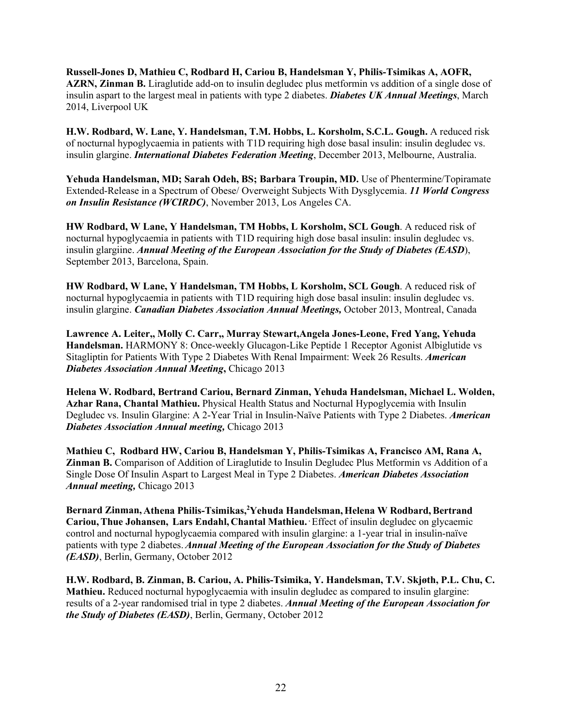**Russell-Jones D, Mathieu C, Rodbard H, Cariou B, Handelsman Y, Philis-Tsimikas A, AOFR, AZRN, Zinman B.** Liraglutide add-on to insulin degludec plus metformin vs addition of a single dose of insulin aspart to the largest meal in patients with type 2 diabetes. *Diabetes UK Annual Meetings*, March 2014, Liverpool UK

**H.W. Rodbard, W. Lane, Y. Handelsman, T.M. Hobbs, L. Korsholm, S.C.L. Gough.** A reduced risk of nocturnal hypoglycaemia in patients with T1D requiring high dose basal insulin: insulin degludec vs. insulin glargine. *International Diabetes Federation Meeting*, December 2013, Melbourne, Australia.

**Yehuda Handelsman, MD; Sarah Odeh, BS; Barbara Troupin, MD.** Use of Phentermine/Topiramate Extended-Release in a Spectrum of Obese/ Overweight Subjects With Dysglycemia. *11 World Congress on Insulin Resistance (WCIRDC)*, November 2013, Los Angeles CA.

**HW Rodbard, W Lane, Y Handelsman, TM Hobbs, L Korsholm, SCL Gough**. A reduced risk of nocturnal hypoglycaemia in patients with T1D requiring high dose basal insulin: insulin degludec vs. insulin glargiine. *Annual Meeting of the European Association for the Study of Diabetes (EASD*), September 2013, Barcelona, Spain.

**HW Rodbard, W Lane, Y Handelsman, TM Hobbs, L Korsholm, SCL Gough**. A reduced risk of nocturnal hypoglycaemia in patients with T1D requiring high dose basal insulin: insulin degludec vs. insulin glargine. *Canadian Diabetes Association Annual Meetings,* October 2013, Montreal, Canada

**Lawrence A. Leiter,, Molly C. Carr,, Murray Stewart,Angela Jones-Leone, Fred Yang, Yehuda Handelsman.** HARMONY 8: Once-weekly Glucagon-Like Peptide 1 Receptor Agonist Albiglutide vs Sitagliptin for Patients With Type 2 Diabetes With Renal Impairment: Week 26 Results. *American Diabetes Association Annual Meeting***,** Chicago 2013

**Helena W. Rodbard, Bertrand Cariou, Bernard Zinman, Yehuda Handelsman, Michael L. Wolden, Azhar Rana, Chantal Mathieu.** Physical Health Status and Nocturnal Hypoglycemia with Insulin Degludec vs. Insulin Glargine: A 2-Year Trial in Insulin-Naïve Patients with Type 2 Diabetes. *American Diabetes Association Annual meeting,* Chicago 2013

**Mathieu C, Rodbard HW, Cariou B, Handelsman Y, Philis-Tsimikas A, Francisco AM, Rana A, Zinman B.** Comparison of Addition of Liraglutide to Insulin Degludec Plus Metformin vs Addition of a Single Dose Of Insulin Aspart to Largest Meal in Type 2 Diabetes. *American Diabetes Association Annual meeting,* Chicago 2013

Bernard Zinman, Athena Philis-Tsimikas,<sup>2</sup>Yehuda Handelsman, Helena W Rodbard, Bertrand **Cariou,Thue Johansen, Lars Endahl, Chantal Mathieu. .** Effect of insulin degludec on glycaemic control and nocturnal hypoglycaemia compared with insulin glargine: a 1-year trial in insulin-naïve patients with type 2 diabetes.*Annual Meeting of the European Association for the Study of Diabetes (EASD)*, Berlin, Germany, October 2012

**H.W. Rodbard, B. Zinman, B. Cariou, A. Philis-Tsimika, Y. Handelsman, T.V. Skjøth, P.L. Chu, C. Mathieu.** Reduced nocturnal hypoglycaemia with insulin degludec as compared to insulin glargine: results of a 2-year randomised trial in type 2 diabetes. *Annual Meeting of the European Association for the Study of Diabetes (EASD)*, Berlin, Germany, October 2012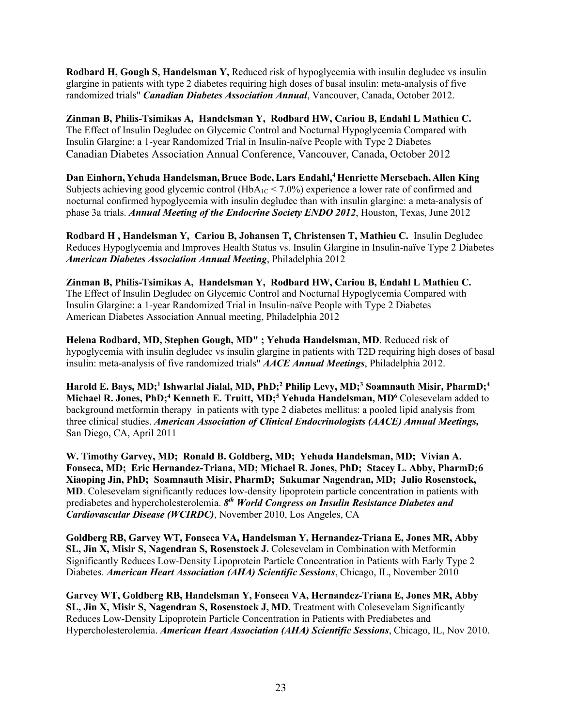**Rodbard H, Gough S, Handelsman Y,** Reduced risk of hypoglycemia with insulin degludec vs insulin glargine in patients with type 2 diabetes requiring high doses of basal insulin: meta-analysis of five randomized trials" *Canadian Diabetes Association Annual*, Vancouver, Canada, October 2012.

**Zinman B, Philis-Tsimikas A, Handelsman Y, Rodbard HW, Cariou B, Endahl L Mathieu C.** The Effect of Insulin Degludec on Glycemic Control and Nocturnal Hypoglycemia Compared with Insulin Glargine: a 1-year Randomized Trial in Insulin-naïve People with Type 2 Diabetes Canadian Diabetes Association Annual Conference, Vancouver, Canada, October 2012

**Dan Einhorn, Yehuda Handelsman,Bruce Bode,Lars Endahl,4 Henriette Mersebach, Allen King** Subjects achieving good glycemic control (HbA<sub>1C</sub> < 7.0%) experience a lower rate of confirmed and nocturnal confirmed hypoglycemia with insulin degludec than with insulin glargine: a meta-analysis of phase 3a trials. *Annual Meeting of the Endocrine Society ENDO 2012*, Houston, Texas, June 2012

**Rodbard H , Handelsman Y, Cariou B, Johansen T, Christensen T, Mathieu C.** Insulin Degludec Reduces Hypoglycemia and Improves Health Status vs. Insulin Glargine in Insulin-naïve Type 2 Diabetes *American Diabetes Association Annual Meeting*, Philadelphia 2012

**Zinman B, Philis-Tsimikas A, Handelsman Y, Rodbard HW, Cariou B, Endahl L Mathieu C.** The Effect of Insulin Degludec on Glycemic Control and Nocturnal Hypoglycemia Compared with Insulin Glargine: a 1-year Randomized Trial in Insulin-naïve People with Type 2 Diabetes American Diabetes Association Annual meeting, Philadelphia 2012

**Helena Rodbard, MD, Stephen Gough, MD" ; Yehuda Handelsman, MD**. Reduced risk of hypoglycemia with insulin degludec vs insulin glargine in patients with T2D requiring high doses of basal insulin: meta-analysis of five randomized trials" *AACE Annual Meetings*, Philadelphia 2012.

**Harold E. Bays, MD;1 Ishwarlal Jialal, MD, PhD;2 Philip Levy, MD;3 Soamnauth Misir, PharmD;4** Michael R. Jones, PhD;<sup>4</sup> Kenneth E. Truitt, MD;<sup>5</sup> Yehuda Handelsman, MD<sup>6</sup> Colesevelam added to background metformin therapy in patients with type 2 diabetes mellitus: a pooled lipid analysis from three clinical studies. *American Association of Clinical Endocrinologists (AACE) Annual Meetings,*  San Diego, CA, April 2011

**W. Timothy Garvey, MD; Ronald B. Goldberg, MD; Yehuda Handelsman, MD; Vivian A. Fonseca, MD; Eric Hernandez-Triana, MD; Michael R. Jones, PhD; Stacey L. Abby, PharmD;6 Xiaoping Jin, PhD; Soamnauth Misir, PharmD; Sukumar Nagendran, MD; Julio Rosenstock, MD**. Colesevelam significantly reduces low-density lipoprotein particle concentration in patients with prediabetes and hypercholesterolemia. *8th World Congress on Insulin Resistance Diabetes and Cardiovascular Disease (WCIRDC)*, November 2010, Los Angeles, CA

**Goldberg RB, Garvey WT, Fonseca VA, Handelsman Y, Hernandez-Triana E, Jones MR, Abby SL, Jin X, Misir S, Nagendran S, Rosenstock J.** Colesevelam in Combination with Metformin Significantly Reduces Low-Density Lipoprotein Particle Concentration in Patients with Early Type 2 Diabetes. *American Heart Association (AHA) Scientific Sessions*, Chicago, IL, November 2010

**Garvey WT, Goldberg RB, Handelsman Y, Fonseca VA, Hernandez-Triana E, Jones MR, Abby SL, Jin X, Misir S, Nagendran S, Rosenstock J, MD.** Treatment with Colesevelam Significantly Reduces Low-Density Lipoprotein Particle Concentration in Patients with Prediabetes and Hypercholesterolemia. *American Heart Association (AHA) Scientific Sessions*, Chicago, IL, Nov 2010.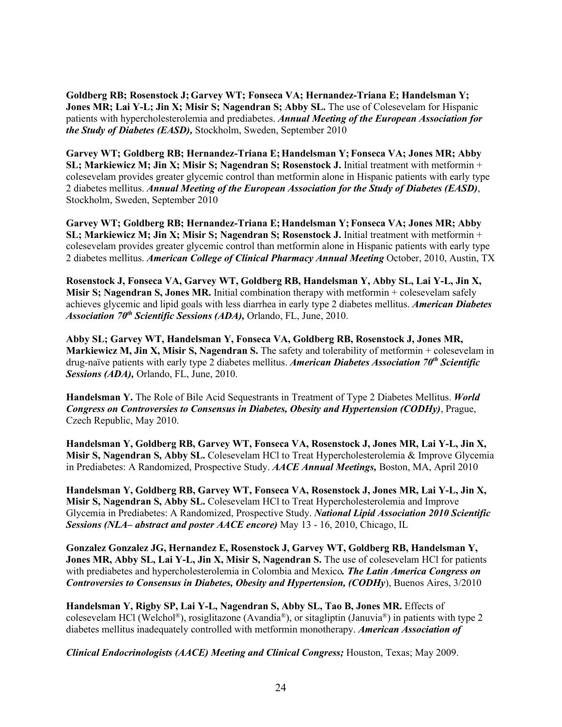**Goldberg RB; Rosenstock J;Garvey WT; Fonseca VA; Hernandez-Triana E; Handelsman Y; Jones MR; Lai Y-L; Jin X; Misir S; Nagendran S; Abby SL.** The use of Colesevelam for Hispanic patients with hypercholesterolemia and prediabetes. *Annual Meeting of the European Association for the Study of Diabetes (EASD),* Stockholm, Sweden, September 2010

**Garvey WT; Goldberg RB; Hernandez-Triana E;Handelsman Y; Fonseca VA; Jones MR; Abby SL; Markiewicz M; Jin X; Misir S; Nagendran S; Rosenstock J.** Initial treatment with metformin + colesevelam provides greater glycemic control than metformin alone in Hispanic patients with early type 2 diabetes mellitus. *Annual Meeting of the European Association for the Study of Diabetes (EASD)*, Stockholm, Sweden, September 2010

**Garvey WT; Goldberg RB; Hernandez-Triana E;Handelsman Y; Fonseca VA; Jones MR; Abby SL; Markiewicz M; Jin X; Misir S; Nagendran S; Rosenstock J.** Initial treatment with metformin + colesevelam provides greater glycemic control than metformin alone in Hispanic patients with early type 2 diabetes mellitus. *American College of Clinical Pharmacy Annual Meeting* October, 2010, Austin, TX

**Rosenstock J, Fonseca VA, Garvey WT, Goldberg RB, Handelsman Y, Abby SL, Lai Y-L, Jin X, Misir S; Nagendran S, Jones MR.** Initial combination therapy with metformin + colesevelam safely achieves glycemic and lipid goals with less diarrhea in early type 2 diabetes mellitus. *American Diabetes Association 70th Scientific Sessions (ADA),* Orlando, FL, June, 2010.

**Abby SL; Garvey WT, Handelsman Y, Fonseca VA, Goldberg RB, Rosenstock J, Jones MR, Markiewicz M, Jin X, Misir S, Nagendran S.** The safety and tolerability of metformin + colesevelam in drug-naïve patients with early type 2 diabetes mellitus. *American Diabetes Association 70th Scientific Sessions (ADA),* Orlando, FL, June, 2010.

**Handelsman Y.** The Role of Bile Acid Sequestrants in Treatment of Type 2 Diabetes Mellitus. *World Congress on Controversies to Consensus in Diabetes, Obesity and Hypertension (CODHy)*, Prague, Czech Republic, May 2010.

**Handelsman Y, Goldberg RB, Garvey WT, Fonseca VA, Rosenstock J, Jones MR, Lai Y-L, Jin X, Misir S, Nagendran S, Abby SL.** Colesevelam HCl to Treat Hypercholesterolemia & Improve Glycemia in Prediabetes: A Randomized, Prospective Study. *AACE Annual Meetings,* Boston, MA, April 2010

**Handelsman Y, Goldberg RB, Garvey WT, Fonseca VA, Rosenstock J, Jones MR, Lai Y-L, Jin X, Misir S, Nagendran S, Abby SL.** Colesevelam HCl to Treat Hypercholesterolemia and Improve Glycemia in Prediabetes: A Randomized, Prospective Study. *National Lipid Association 2010 Scientific Sessions (NLA– abstract and poster AACE encore)* May 13 - 16, 2010, Chicago, IL

**Gonzalez Gonzalez JG, Hernandez E, Rosenstock J, Garvey WT, Goldberg RB, Handelsman Y, Jones MR, Abby SL, Lai Y-L, Jin X, Misir S, Nagendran S.** The use of colesevelam HCl for patients with prediabetes and hypercholesterolemia in Colombia and Mexico*. The Latin America Congress on Controversies to Consensus in Diabetes, Obesity and Hypertension, (CODHy*), Buenos Aires, 3/2010

**Handelsman Y, Rigby SP, Lai Y-L, Nagendran S, Abby SL, Tao B, Jones MR.** Effects of colesevelam HCl (Welchol®), rosiglitazone (Avandia®), or sitagliptin (Januvia®) in patients with type 2 diabetes mellitus inadequately controlled with metformin monotherapy. *American Association of* 

*Clinical Endocrinologists (AACE) Meeting and Clinical Congress;* Houston, Texas; May 2009.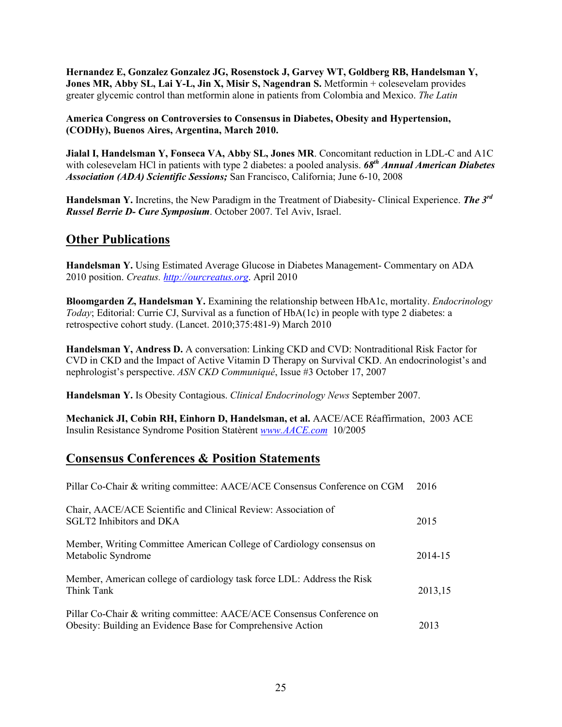**Hernandez E, Gonzalez Gonzalez JG, Rosenstock J, Garvey WT, Goldberg RB, Handelsman Y, Jones MR, Abby SL, Lai Y-L, Jin X, Misir S, Nagendran S.** Metformin + colesevelam provides greater glycemic control than metformin alone in patients from Colombia and Mexico. *The Latin* 

#### **America Congress on Controversies to Consensus in Diabetes, Obesity and Hypertension, (CODHy), Buenos Aires, Argentina, March 2010.**

**Jialal I, Handelsman Y, Fonseca VA, Abby SL, Jones MR**. Concomitant reduction in LDL-C and A1C with colesevelam HCl in patients with type 2 diabetes: a pooled analysis. **68<sup>th</sup> Annual American Diabetes** *Association (ADA) Scientific Sessions;* San Francisco, California; June 6-10, 2008

**Handelsman Y.** Incretins, the New Paradigm in the Treatment of Diabesity- Clinical Experience. *The 3rd Russel Berrie D- Cure Symposium*. October 2007. Tel Aviv, Israel.

### **Other Publications**

**Handelsman Y.** Using Estimated Average Glucose in Diabetes Management- Commentary on ADA 2010 position. *Creatus. [http://ourcreatus.org](http://ourcreatus.org/)*. April 2010

**Bloomgarden Z, Handelsman Y.** Examining the relationship between HbA1c, mortality. *Endocrinology Today*; Editorial: Currie CJ, Survival as a function of HbA(1c) in people with type 2 diabetes: a retrospective cohort study. (Lancet. 2010;375:481-9) March 2010

**Handelsman Y, Andress D.** A conversation: Linking CKD and CVD: Nontraditional Risk Factor for CVD in CKD and the Impact of Active Vitamin D Therapy on Survival CKD. An endocrinologist's and nephrologist's perspective. *ASN CKD Communiqué*, Issue #3 October 17, 2007

**Handelsman Y.** Is Obesity Contagious. *Clinical Endocrinology News* September 2007.

**Mechanick JI, Cobin RH, Einhorn D, Handelsman, et al.** AACE/ACE Réaffirmation, 2003 ACE Insulin Resistance Syndrome Position Statèrent *[www.AACE.com](http://www.aace.com/)* 10/2005

### **Consensus Conferences & Position Statements**

| Pillar Co-Chair & writing committee: AACE/ACE Consensus Conference on CGM                                                            | 2016    |
|--------------------------------------------------------------------------------------------------------------------------------------|---------|
| Chair, AACE/ACE Scientific and Clinical Review: Association of<br>SGLT2 Inhibitors and DKA                                           | 2015    |
| Member, Writing Committee American College of Cardiology consensus on<br>Metabolic Syndrome                                          | 2014-15 |
| Member, American college of cardiology task force LDL: Address the Risk<br>Think Tank                                                | 2013,15 |
| Pillar Co-Chair & writing committee: AACE/ACE Consensus Conference on<br>Obesity: Building an Evidence Base for Comprehensive Action | 2013    |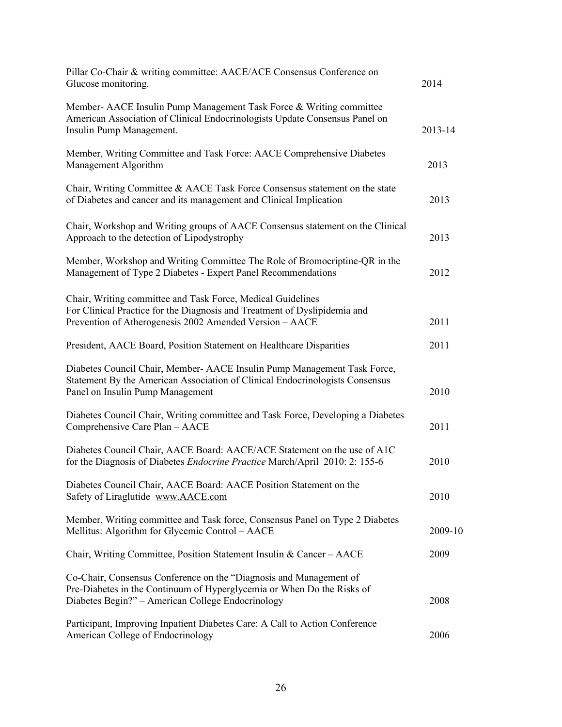| Pillar Co-Chair & writing committee: AACE/ACE Consensus Conference on<br>Glucose monitoring.                                                                                                        | 2014    |
|-----------------------------------------------------------------------------------------------------------------------------------------------------------------------------------------------------|---------|
| Member- AACE Insulin Pump Management Task Force & Writing committee<br>American Association of Clinical Endocrinologists Update Consensus Panel on<br>Insulin Pump Management.                      | 2013-14 |
| Member, Writing Committee and Task Force: AACE Comprehensive Diabetes<br>Management Algorithm                                                                                                       | 2013    |
| Chair, Writing Committee & AACE Task Force Consensus statement on the state<br>of Diabetes and cancer and its management and Clinical Implication                                                   | 2013    |
| Chair, Workshop and Writing groups of AACE Consensus statement on the Clinical<br>Approach to the detection of Lipodystrophy                                                                        | 2013    |
| Member, Workshop and Writing Committee The Role of Bromocriptine-QR in the<br>Management of Type 2 Diabetes - Expert Panel Recommendations                                                          | 2012    |
| Chair, Writing committee and Task Force, Medical Guidelines<br>For Clinical Practice for the Diagnosis and Treatment of Dyslipidemia and<br>Prevention of Atherogenesis 2002 Amended Version - AACE | 2011    |
| President, AACE Board, Position Statement on Healthcare Disparities                                                                                                                                 | 2011    |
| Diabetes Council Chair, Member- AACE Insulin Pump Management Task Force,<br>Statement By the American Association of Clinical Endocrinologists Consensus<br>Panel on Insulin Pump Management        | 2010    |
| Diabetes Council Chair, Writing committee and Task Force, Developing a Diabetes<br>Comprehensive Care Plan - AACE                                                                                   | 2011    |
| Diabetes Council Chair, AACE Board: AACE/ACE Statement on the use of A1C<br>for the Diagnosis of Diabetes Endocrine Practice March/April 2010: 2: 155-6                                             | 2010    |
| Diabetes Council Chair, AACE Board: AACE Position Statement on the<br>Safety of Liraglutide www.AACE.com                                                                                            | 2010    |
| Member, Writing committee and Task force, Consensus Panel on Type 2 Diabetes<br>Mellitus: Algorithm for Glycemic Control – AACE                                                                     | 2009-10 |
| Chair, Writing Committee, Position Statement Insulin & Cancer - AACE                                                                                                                                | 2009    |
| Co-Chair, Consensus Conference on the "Diagnosis and Management of<br>Pre-Diabetes in the Continuum of Hyperglycemia or When Do the Risks of<br>Diabetes Begin?" - American College Endocrinology   | 2008    |
| Participant, Improving Inpatient Diabetes Care: A Call to Action Conference<br>American College of Endocrinology                                                                                    | 2006    |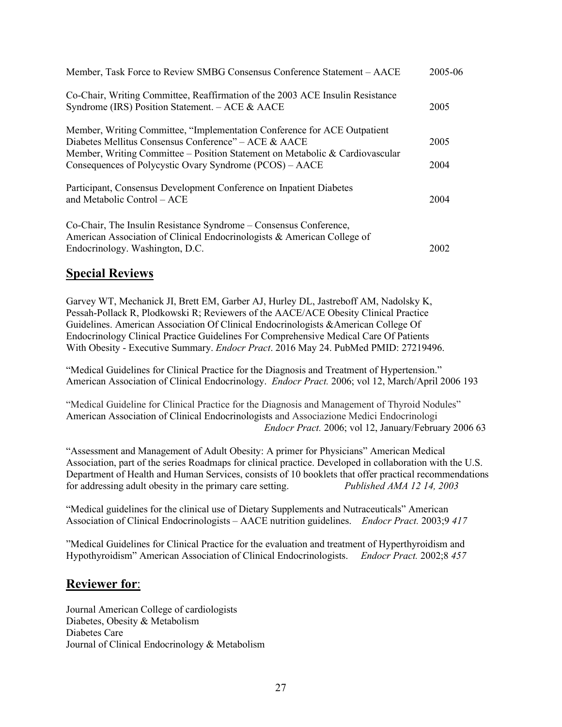| Member, Task Force to Review SMBG Consensus Conference Statement – AACE                                                                                                                                                                                                      | 2005-06      |
|------------------------------------------------------------------------------------------------------------------------------------------------------------------------------------------------------------------------------------------------------------------------------|--------------|
| Co-Chair, Writing Committee, Reaffirmation of the 2003 ACE Insulin Resistance<br>Syndrome (IRS) Position Statement. $-$ ACE & AACE                                                                                                                                           | 2005         |
| Member, Writing Committee, "Implementation Conference for ACE Outpatient"<br>Diabetes Mellitus Consensus Conference" – ACE & AACE<br>Member, Writing Committee – Position Statement on Metabolic & Cardiovascular<br>Consequences of Polycystic Ovary Syndrome (PCOS) – AACE | 2005<br>2004 |
| Participant, Consensus Development Conference on Inpatient Diabetes<br>and Metabolic Control - ACE                                                                                                                                                                           | 2004         |
| Co-Chair, The Insulin Resistance Syndrome – Consensus Conference,<br>American Association of Clinical Endocrinologists & American College of<br>Endocrinology. Washington, D.C.                                                                                              | 2002         |

### **Special Reviews**

Garvey WT, Mechanick JI, Brett EM, Garber AJ, Hurley DL, Jastreboff AM, Nadolsky K, Pessah-Pollack R, Plodkowski R; Reviewers of the AACE/ACE Obesity Clinical Practice Guidelines. American Association Of Clinical Endocrinologists &American College Of Endocrinology Clinical Practice Guidelines For Comprehensive Medical Care Of Patients With Obesity - Executive Summary. *Endocr Pract*. 2016 May 24. PubMed PMID: 27219496.

"Medical Guidelines for Clinical Practice for the Diagnosis and Treatment of Hypertension." American Association of Clinical Endocrinology. *Endocr Pract.* 2006; vol 12, March/April 2006 193

"Medical Guideline for Clinical Practice for the Diagnosis and Management of Thyroid Nodules" American Association of Clinical Endocrinologists and Associazione Medici Endocrinologi *Endocr Pract.* 2006; vol 12, January/February 2006 63

"Assessment and Management of Adult Obesity: A primer for Physicians" American Medical Association, part of the series Roadmaps for clinical practice. Developed in collaboration with the U.S. Department of Health and Human Services, consists of 10 booklets that offer practical recommendations for addressing adult obesity in the primary care setting. *Published AMA 12 14, 2003*

"Medical guidelines for the clinical use of Dietary Supplements and Nutraceuticals" American Association of Clinical Endocrinologists – AACE nutrition guidelines. *Endocr Pract.* 2003;9 *417*

"Medical Guidelines for Clinical Practice for the evaluation and treatment of Hyperthyroidism and Hypothyroidism" American Association of Clinical Endocrinologists. *Endocr Pract.* 2002;8 *457*

### **Reviewer for**:

Journal American College of cardiologists Diabetes, Obesity & Metabolism Diabetes Care Journal of Clinical Endocrinology & Metabolism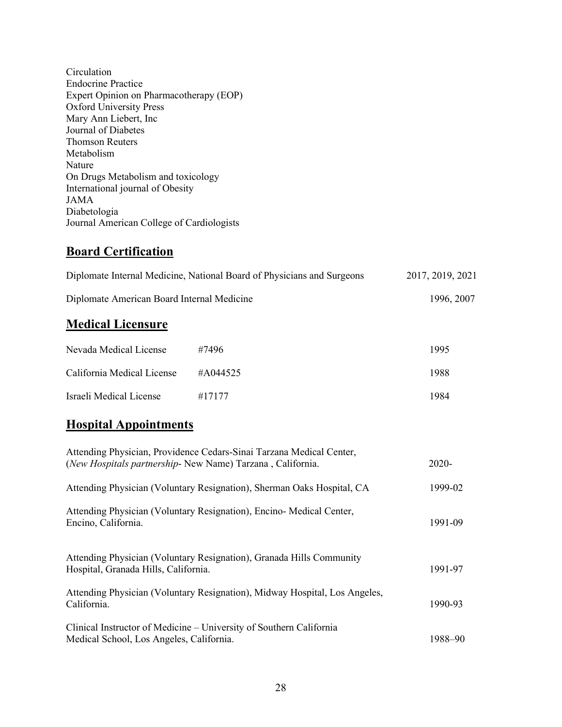Circulation Endocrine Practice Expert Opinion on Pharmacotherapy (EOP) Oxford University Press Mary Ann Liebert, Inc Journal of Diabetes Thomson Reuters Metabolism Nature On Drugs Metabolism and toxicology International journal of Obesity JAMA Diabetologia Journal American College of Cardiologists

## **Board Certification**

| Diplomate Internal Medicine, National Board of Physicians and Surgeons | 2017, 2019, 2021 |
|------------------------------------------------------------------------|------------------|
| Diplomate American Board Internal Medicine                             | 1996, 2007       |

## **Medical Licensure**

| Nevada Medical License     | #7496    | 1995 |
|----------------------------|----------|------|
| California Medical License | #A044525 | 1988 |
| Israeli Medical License    | #17177   | 1984 |

# **Hospital Appointments**

| Attending Physician, Providence Cedars-Sinai Tarzana Medical Center,<br>(New Hospitals partnership- New Name) Tarzana, California. | 2020-   |
|------------------------------------------------------------------------------------------------------------------------------------|---------|
| Attending Physician (Voluntary Resignation), Sherman Oaks Hospital, CA                                                             | 1999-02 |
| Attending Physician (Voluntary Resignation), Encino-Medical Center,<br>Encino, California.                                         | 1991-09 |
| Attending Physician (Voluntary Resignation), Granada Hills Community<br>Hospital, Granada Hills, California.                       | 1991-97 |
| Attending Physician (Voluntary Resignation), Midway Hospital, Los Angeles,<br>California.                                          | 1990-93 |
| Clinical Instructor of Medicine – University of Southern California<br>Medical School, Los Angeles, California.                    | 1988–90 |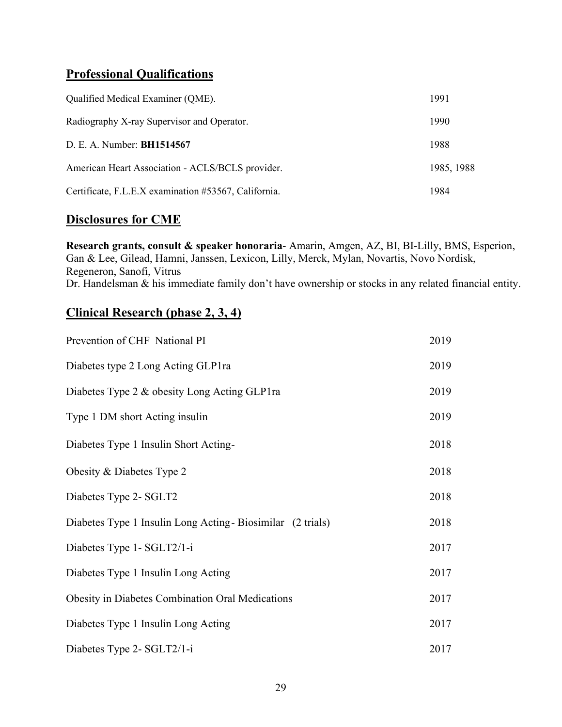# **Professional Qualifications**

| Qualified Medical Examiner (QME).                    | 1991       |
|------------------------------------------------------|------------|
| Radiography X-ray Supervisor and Operator.           | 1990       |
| D. E. A. Number: BH1514567                           | 1988       |
| American Heart Association - ACLS/BCLS provider.     | 1985, 1988 |
| Certificate, F.L.E.X examination #53567, California. | 1984       |

## **Disclosures for CME**

**Research grants, consult & speaker honoraria**- Amarin, Amgen, AZ, BI, BI-Lilly, BMS, Esperion, Gan & Lee, Gilead, Hamni, Janssen, Lexicon, Lilly, Merck, Mylan, Novartis, Novo Nordisk, Regeneron, Sanofi, Vitrus Dr. Handelsman & his immediate family don't have ownership or stocks in any related financial entity.

# **Clinical Research (phase 2, 3, 4)**

| Prevention of CHF National PI                               | 2019 |
|-------------------------------------------------------------|------|
| Diabetes type 2 Long Acting GLP1ra                          | 2019 |
| Diabetes Type 2 & obesity Long Acting GLP1ra                | 2019 |
| Type 1 DM short Acting insulin                              | 2019 |
| Diabetes Type 1 Insulin Short Acting-                       | 2018 |
| Obesity & Diabetes Type 2                                   | 2018 |
| Diabetes Type 2- SGLT2                                      | 2018 |
| Diabetes Type 1 Insulin Long Acting - Biosimilar (2 trials) | 2018 |
| Diabetes Type 1- SGLT2/1-i                                  | 2017 |
| Diabetes Type 1 Insulin Long Acting                         | 2017 |
| <b>Obesity in Diabetes Combination Oral Medications</b>     | 2017 |
| Diabetes Type 1 Insulin Long Acting                         | 2017 |
| Diabetes Type 2- SGLT2/1-i                                  | 2017 |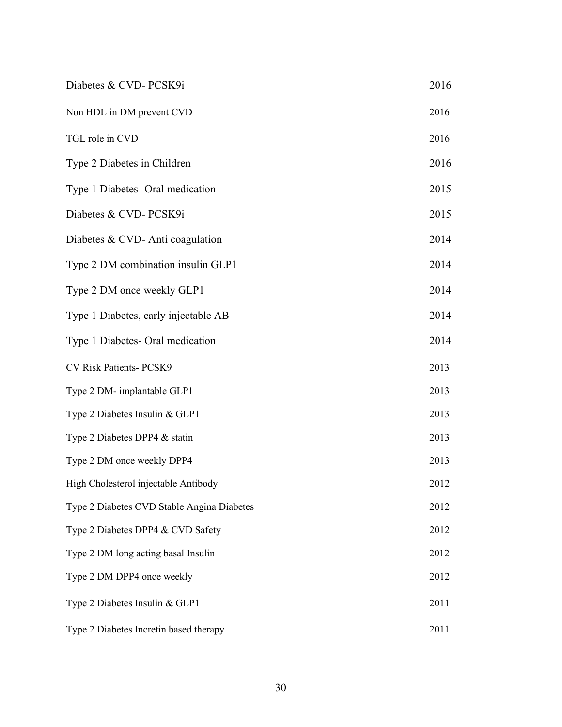| Diabetes & CVD-PCSK9i                      | 2016 |
|--------------------------------------------|------|
| Non HDL in DM prevent CVD                  | 2016 |
| TGL role in CVD                            | 2016 |
| Type 2 Diabetes in Children                | 2016 |
| Type 1 Diabetes- Oral medication           | 2015 |
| Diabetes & CVD-PCSK9i                      | 2015 |
| Diabetes & CVD-Anti coagulation            | 2014 |
| Type 2 DM combination insulin GLP1         | 2014 |
| Type 2 DM once weekly GLP1                 | 2014 |
| Type 1 Diabetes, early injectable AB       | 2014 |
| Type 1 Diabetes- Oral medication           | 2014 |
| CV Risk Patients- PCSK9                    | 2013 |
| Type 2 DM- implantable GLP1                | 2013 |
| Type 2 Diabetes Insulin & GLP1             | 2013 |
| Type 2 Diabetes DPP4 & statin              | 2013 |
| Type 2 DM once weekly DPP4                 | 2013 |
| High Cholesterol injectable Antibody       | 2012 |
| Type 2 Diabetes CVD Stable Angina Diabetes | 2012 |
| Type 2 Diabetes DPP4 & CVD Safety          | 2012 |
| Type 2 DM long acting basal Insulin        | 2012 |
| Type 2 DM DPP4 once weekly                 | 2012 |
| Type 2 Diabetes Insulin & GLP1             | 2011 |
| Type 2 Diabetes Incretin based therapy     | 2011 |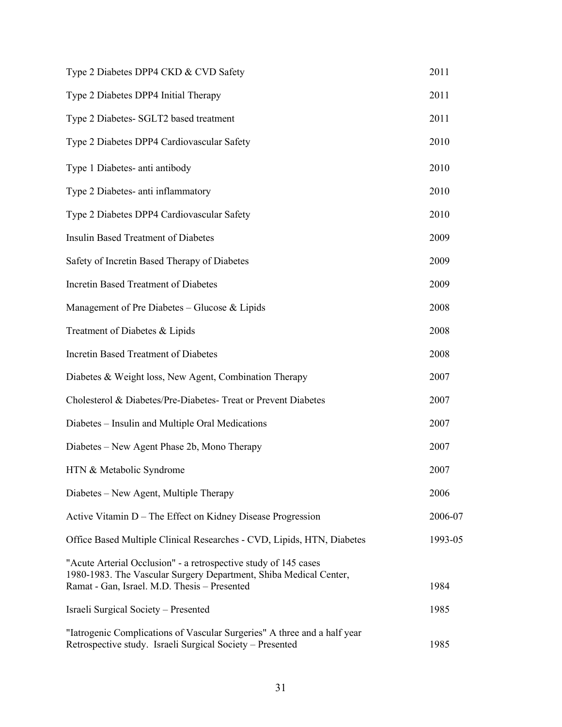| Type 2 Diabetes DPP4 CKD & CVD Safety                                                                                                                                                | 2011    |
|--------------------------------------------------------------------------------------------------------------------------------------------------------------------------------------|---------|
| Type 2 Diabetes DPP4 Initial Therapy                                                                                                                                                 | 2011    |
| Type 2 Diabetes- SGLT2 based treatment                                                                                                                                               | 2011    |
| Type 2 Diabetes DPP4 Cardiovascular Safety                                                                                                                                           | 2010    |
| Type 1 Diabetes- anti antibody                                                                                                                                                       | 2010    |
| Type 2 Diabetes- anti inflammatory                                                                                                                                                   | 2010    |
| Type 2 Diabetes DPP4 Cardiovascular Safety                                                                                                                                           | 2010    |
| <b>Insulin Based Treatment of Diabetes</b>                                                                                                                                           | 2009    |
| Safety of Incretin Based Therapy of Diabetes                                                                                                                                         | 2009    |
| Incretin Based Treatment of Diabetes                                                                                                                                                 | 2009    |
| Management of Pre Diabetes – Glucose & Lipids                                                                                                                                        | 2008    |
| Treatment of Diabetes & Lipids                                                                                                                                                       | 2008    |
| Incretin Based Treatment of Diabetes                                                                                                                                                 | 2008    |
| Diabetes & Weight loss, New Agent, Combination Therapy                                                                                                                               | 2007    |
| Cholesterol & Diabetes/Pre-Diabetes- Treat or Prevent Diabetes                                                                                                                       | 2007    |
| Diabetes - Insulin and Multiple Oral Medications                                                                                                                                     | 2007    |
| Diabetes – New Agent Phase 2b, Mono Therapy                                                                                                                                          | 2007    |
| HTN & Metabolic Syndrome                                                                                                                                                             | 2007    |
| Diabetes – New Agent, Multiple Therapy                                                                                                                                               | 2006    |
| Active Vitamin D – The Effect on Kidney Disease Progression                                                                                                                          | 2006-07 |
| Office Based Multiple Clinical Researches - CVD, Lipids, HTN, Diabetes                                                                                                               | 1993-05 |
| "Acute Arterial Occlusion" - a retrospective study of 145 cases<br>1980-1983. The Vascular Surgery Department, Shiba Medical Center,<br>Ramat - Gan, Israel. M.D. Thesis - Presented | 1984    |
| Israeli Surgical Society – Presented                                                                                                                                                 | 1985    |
| "Iatrogenic Complications of Vascular Surgeries" A three and a half year<br>Retrospective study. Israeli Surgical Society - Presented                                                | 1985    |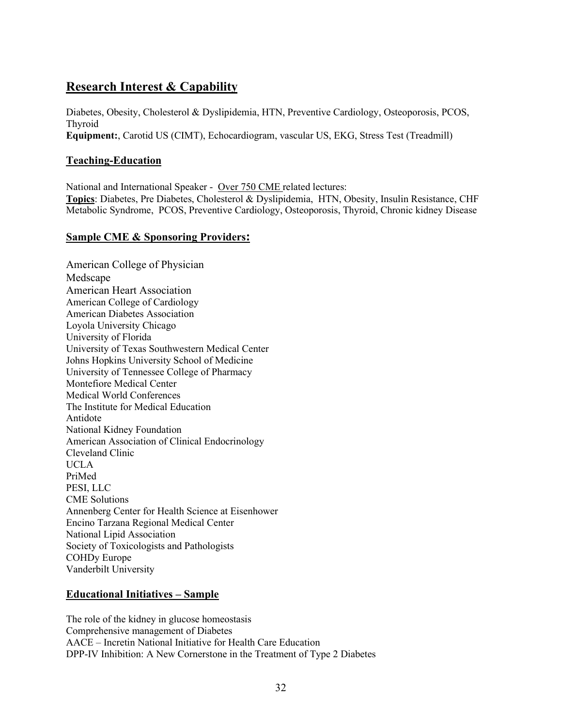# **Research Interest & Capability**

Diabetes, Obesity, Cholesterol & Dyslipidemia, HTN, Preventive Cardiology, Osteoporosis, PCOS, Thyroid **Equipment:**, Carotid US (CIMT), Echocardiogram, vascular US, EKG, Stress Test (Treadmill)

### **Teaching-Education**

National and International Speaker - Over 750 CME related lectures: **Topics**: Diabetes, Pre Diabetes, Cholesterol & Dyslipidemia, HTN, Obesity, Insulin Resistance, CHF Metabolic Syndrome, PCOS, Preventive Cardiology, Osteoporosis, Thyroid, Chronic kidney Disease

### **Sample CME & Sponsoring Providers:**

American College of Physician Medscape American Heart Association American College of Cardiology American Diabetes Association Loyola University Chicago University of Florida University of Texas Southwestern Medical Center Johns Hopkins University School of Medicine University of Tennessee College of Pharmacy Montefiore Medical Center Medical World Conferences The Institute for Medical Education Antidote National Kidney Foundation American Association of Clinical Endocrinology Cleveland Clinic UCLA PriMed PESI, LLC CME Solutions Annenberg Center for Health Science at Eisenhower Encino Tarzana Regional Medical Center National Lipid Association Society of Toxicologists and Pathologists COHDy Europe Vanderbilt University

### **Educational Initiatives – Sample**

The role of the kidney in glucose homeostasis Comprehensive management of Diabetes AACE – Incretin National Initiative for Health Care Education DPP-IV Inhibition: A New Cornerstone in the Treatment of Type 2 Diabetes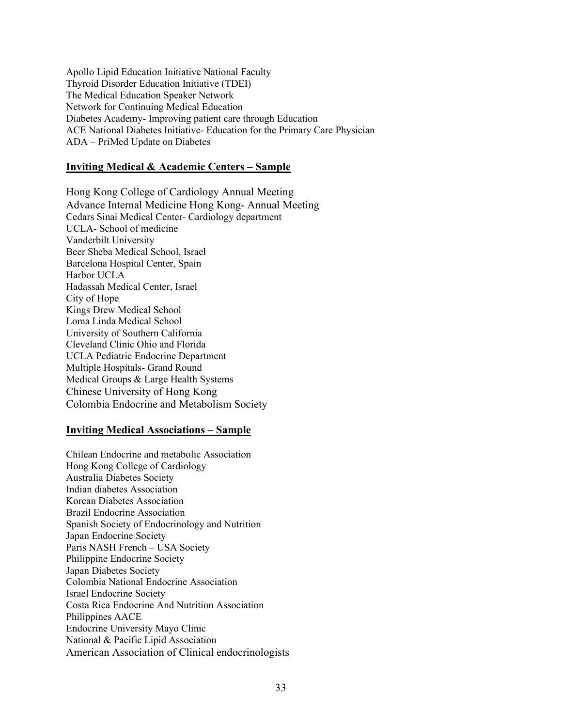Apollo Lipid Education Initiative National Faculty Thyroid Disorder Education Initiative (TDEI) The Medical Education Speaker Network Network for Continuing Medical Education Diabetes Academy- Improving patient care through Education ACE National Diabetes Initiative- Education for the Primary Care Physician ADA – PriMed Update on Diabetes

#### **Inviting Medical & Academic Centers – Sample**

Hong Kong College of Cardiology Annual Meeting Advance Internal Medicine Hong Kong- Annual Meeting Cedars Sinai Medical Center- Cardiology department UCLA- School of medicine Vanderbilt University Beer Sheba Medical School, Israel Barcelona Hospital Center, Spain Harbor UCLA Hadassah Medical Center, Israel City of Hope Kings Drew Medical School Loma Linda Medical School University of Southern California Cleveland Clinic Ohio and Florida UCLA Pediatric Endocrine Department Multiple Hospitals- Grand Round Medical Groups & Large Health Systems Chinese University of Hong Kong Colombia Endocrine and Metabolism Society

#### **Inviting Medical Associations – Sample**

Chilean Endocrine and metabolic Association Hong Kong College of Cardiology Australia Diabetes Society Indian diabetes Association Korean Diabetes Association Brazil Endocrine Association Spanish Society of Endocrinology and Nutrition Japan Endocrine Society Paris NASH French – USA Society Philippine Endocrine Society Japan Diabetes Society Colombia National Endocrine Association Israel Endocrine Society Costa Rica Endocrine And Nutrition Association Philippines AACE Endocrine University Mayo Clinic National & Pacific Lipid Association American Association of Clinical endocrinologists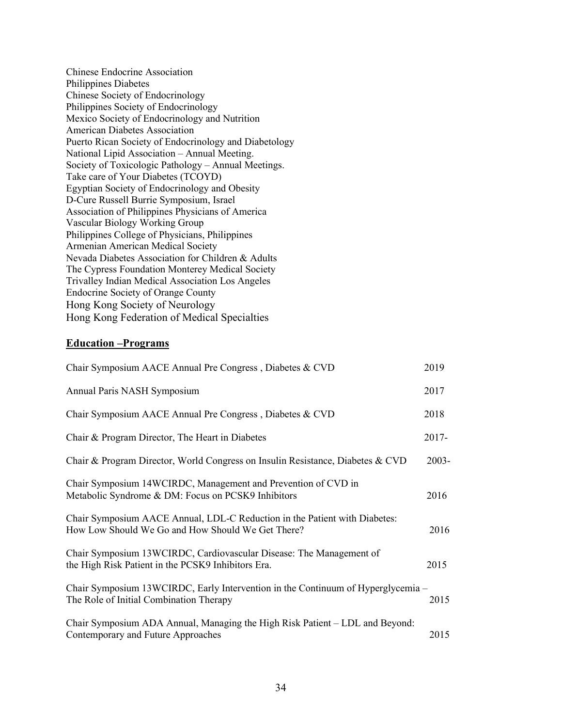Chinese Endocrine Association Philippines Diabetes Chinese Society of Endocrinology Philippines Society of Endocrinology Mexico Society of Endocrinology and Nutrition American Diabetes Association Puerto Rican Society of Endocrinology and Diabetology National Lipid Association – Annual Meeting. Society of Toxicologic Pathology – Annual Meetings. Take care of Your Diabetes (TCOYD) Egyptian Society of Endocrinology and Obesity D-Cure Russell Burrie Symposium, Israel Association of Philippines Physicians of America Vascular Biology Working Group Philippines College of Physicians, Philippines Armenian American Medical Society Nevada Diabetes Association for Children & Adults The Cypress Foundation Monterey Medical Society Trivalley Indian Medical Association Los Angeles Endocrine Society of Orange County Hong Kong Society of Neurology Hong Kong Federation of Medical Specialties

#### **Education –Programs**

| Chair Symposium AACE Annual Pre Congress, Diabetes & CVD                                                                        | 2019     |
|---------------------------------------------------------------------------------------------------------------------------------|----------|
| Annual Paris NASH Symposium                                                                                                     | 2017     |
| Chair Symposium AACE Annual Pre Congress, Diabetes & CVD                                                                        | 2018     |
| Chair & Program Director, The Heart in Diabetes                                                                                 | 2017-    |
| Chair & Program Director, World Congress on Insulin Resistance, Diabetes & CVD                                                  | $2003 -$ |
| Chair Symposium 14WCIRDC, Management and Prevention of CVD in<br>Metabolic Syndrome & DM: Focus on PCSK9 Inhibitors             | 2016     |
| Chair Symposium AACE Annual, LDL-C Reduction in the Patient with Diabetes:<br>How Low Should We Go and How Should We Get There? | 2016     |
| Chair Symposium 13WCIRDC, Cardiovascular Disease: The Management of<br>the High Risk Patient in the PCSK9 Inhibitors Era.       | 2015     |
| Chair Symposium 13WCIRDC, Early Intervention in the Continuum of Hyperglycemia –<br>The Role of Initial Combination Therapy     | 2015     |
| Chair Symposium ADA Annual, Managing the High Risk Patient – LDL and Beyond:<br>Contemporary and Future Approaches              | 2015     |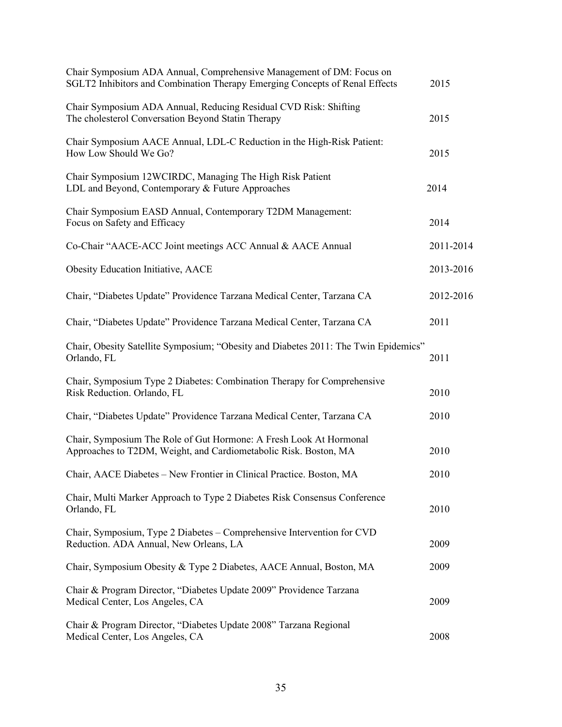| Chair Symposium ADA Annual, Comprehensive Management of DM: Focus on<br>SGLT2 Inhibitors and Combination Therapy Emerging Concepts of Renal Effects | 2015      |
|-----------------------------------------------------------------------------------------------------------------------------------------------------|-----------|
| Chair Symposium ADA Annual, Reducing Residual CVD Risk: Shifting<br>The cholesterol Conversation Beyond Statin Therapy                              | 2015      |
| Chair Symposium AACE Annual, LDL-C Reduction in the High-Risk Patient:<br>How Low Should We Go?                                                     | 2015      |
| Chair Symposium 12WCIRDC, Managing The High Risk Patient<br>LDL and Beyond, Contemporary & Future Approaches                                        | 2014      |
| Chair Symposium EASD Annual, Contemporary T2DM Management:<br>Focus on Safety and Efficacy                                                          | 2014      |
| Co-Chair "AACE-ACC Joint meetings ACC Annual & AACE Annual                                                                                          | 2011-2014 |
| <b>Obesity Education Initiative, AACE</b>                                                                                                           | 2013-2016 |
| Chair, "Diabetes Update" Providence Tarzana Medical Center, Tarzana CA                                                                              | 2012-2016 |
| Chair, "Diabetes Update" Providence Tarzana Medical Center, Tarzana CA                                                                              | 2011      |
| Chair, Obesity Satellite Symposium; "Obesity and Diabetes 2011: The Twin Epidemics"<br>Orlando, FL                                                  | 2011      |
| Chair, Symposium Type 2 Diabetes: Combination Therapy for Comprehensive<br>Risk Reduction. Orlando, FL                                              | 2010      |
| Chair, "Diabetes Update" Providence Tarzana Medical Center, Tarzana CA                                                                              | 2010      |
| Chair, Symposium The Role of Gut Hormone: A Fresh Look At Hormonal<br>Approaches to T2DM, Weight, and Cardiometabolic Risk. Boston, MA              | 2010      |
| Chair, AACE Diabetes - New Frontier in Clinical Practice. Boston, MA                                                                                | 2010      |
| Chair, Multi Marker Approach to Type 2 Diabetes Risk Consensus Conference<br>Orlando, FL                                                            | 2010      |
| Chair, Symposium, Type 2 Diabetes - Comprehensive Intervention for CVD<br>Reduction. ADA Annual, New Orleans, LA                                    | 2009      |
| Chair, Symposium Obesity & Type 2 Diabetes, AACE Annual, Boston, MA                                                                                 | 2009      |
| Chair & Program Director, "Diabetes Update 2009" Providence Tarzana<br>Medical Center, Los Angeles, CA                                              | 2009      |
| Chair & Program Director, "Diabetes Update 2008" Tarzana Regional<br>Medical Center, Los Angeles, CA                                                | 2008      |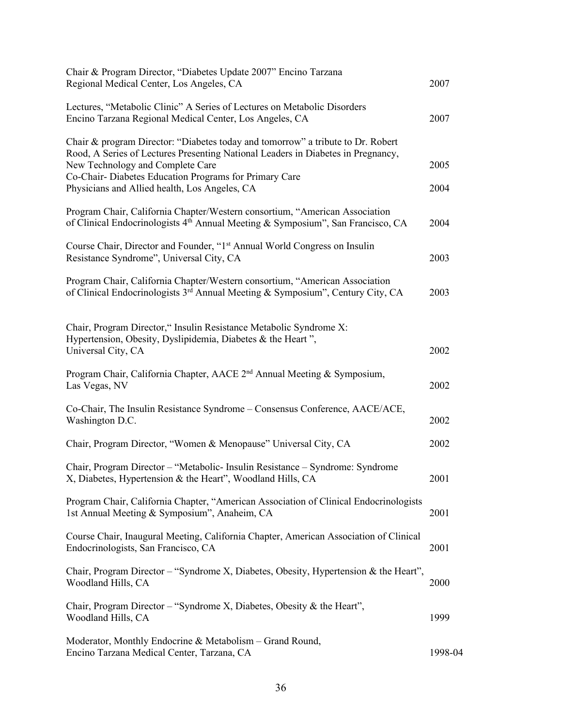| Chair & Program Director, "Diabetes Update 2007" Encino Tarzana<br>Regional Medical Center, Los Angeles, CA                                                                                                                                                                                                       | 2007         |
|-------------------------------------------------------------------------------------------------------------------------------------------------------------------------------------------------------------------------------------------------------------------------------------------------------------------|--------------|
| Lectures, "Metabolic Clinic" A Series of Lectures on Metabolic Disorders<br>Encino Tarzana Regional Medical Center, Los Angeles, CA                                                                                                                                                                               | 2007         |
| Chair & program Director: "Diabetes today and tomorrow" a tribute to Dr. Robert<br>Rood, A Series of Lectures Presenting National Leaders in Diabetes in Pregnancy,<br>New Technology and Complete Care<br>Co-Chair-Diabetes Education Programs for Primary Care<br>Physicians and Allied health, Los Angeles, CA | 2005<br>2004 |
| Program Chair, California Chapter/Western consortium, "American Association<br>of Clinical Endocrinologists 4th Annual Meeting & Symposium", San Francisco, CA                                                                                                                                                    | 2004         |
| Course Chair, Director and Founder, "1 <sup>st</sup> Annual World Congress on Insulin<br>Resistance Syndrome", Universal City, CA                                                                                                                                                                                 | 2003         |
| Program Chair, California Chapter/Western consortium, "American Association<br>of Clinical Endocrinologists 3 <sup>rd</sup> Annual Meeting & Symposium", Century City, CA                                                                                                                                         | 2003         |
| Chair, Program Director," Insulin Resistance Metabolic Syndrome X:<br>Hypertension, Obesity, Dyslipidemia, Diabetes & the Heart",<br>Universal City, CA                                                                                                                                                           | 2002         |
| Program Chair, California Chapter, AACE 2 <sup>nd</sup> Annual Meeting & Symposium,<br>Las Vegas, NV                                                                                                                                                                                                              | 2002         |
| Co-Chair, The Insulin Resistance Syndrome - Consensus Conference, AACE/ACE,<br>Washington D.C.                                                                                                                                                                                                                    | 2002         |
| Chair, Program Director, "Women & Menopause" Universal City, CA                                                                                                                                                                                                                                                   | 2002         |
| Chair, Program Director - "Metabolic- Insulin Resistance - Syndrome: Syndrome<br>X, Diabetes, Hypertension & the Heart", Woodland Hills, CA                                                                                                                                                                       | 2001         |
| Program Chair, California Chapter, "American Association of Clinical Endocrinologists<br>1st Annual Meeting & Symposium", Anaheim, CA                                                                                                                                                                             | 2001         |
| Course Chair, Inaugural Meeting, California Chapter, American Association of Clinical<br>Endocrinologists, San Francisco, CA                                                                                                                                                                                      | 2001         |
| Chair, Program Director - "Syndrome X, Diabetes, Obesity, Hypertension & the Heart",<br>Woodland Hills, CA                                                                                                                                                                                                        | 2000         |
| Chair, Program Director – "Syndrome X, Diabetes, Obesity & the Heart",<br>Woodland Hills, CA                                                                                                                                                                                                                      | 1999         |
| Moderator, Monthly Endocrine & Metabolism – Grand Round,<br>Encino Tarzana Medical Center, Tarzana, CA                                                                                                                                                                                                            | 1998-04      |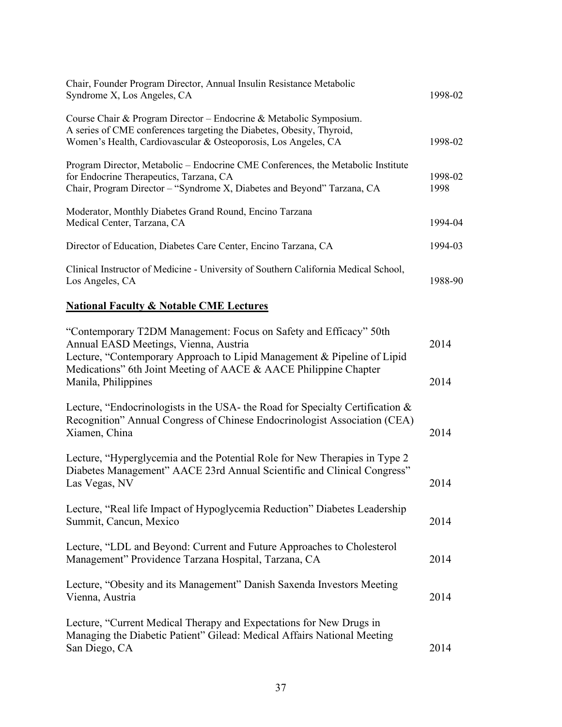| Chair, Founder Program Director, Annual Insulin Resistance Metabolic<br>Syndrome X, Los Angeles, CA                                                                                                           | 1998-02         |
|---------------------------------------------------------------------------------------------------------------------------------------------------------------------------------------------------------------|-----------------|
| Course Chair & Program Director - Endocrine & Metabolic Symposium.<br>A series of CME conferences targeting the Diabetes, Obesity, Thyroid,<br>Women's Health, Cardiovascular & Osteoporosis, Los Angeles, CA | 1998-02         |
| Program Director, Metabolic – Endocrine CME Conferences, the Metabolic Institute<br>for Endocrine Therapeutics, Tarzana, CA<br>Chair, Program Director – "Syndrome X, Diabetes and Beyond" Tarzana, CA        | 1998-02<br>1998 |
| Moderator, Monthly Diabetes Grand Round, Encino Tarzana<br>Medical Center, Tarzana, CA                                                                                                                        | 1994-04         |
| Director of Education, Diabetes Care Center, Encino Tarzana, CA                                                                                                                                               | 1994-03         |
| Clinical Instructor of Medicine - University of Southern California Medical School,<br>Los Angeles, CA                                                                                                        | 1988-90-        |

### **National Faculty & Notable CME Lectures**

| "Contemporary T2DM Management: Focus on Safety and Efficacy" 50th<br>Annual EASD Meetings, Vienna, Austria<br>Lecture, "Contemporary Approach to Lipid Management & Pipeline of Lipid | 2014 |
|---------------------------------------------------------------------------------------------------------------------------------------------------------------------------------------|------|
| Medications" 6th Joint Meeting of AACE & AACE Philippine Chapter<br>Manila, Philippines                                                                                               | 2014 |
| Lecture, "Endocrinologists in the USA- the Road for Specialty Certification &<br>Recognition" Annual Congress of Chinese Endocrinologist Association (CEA)<br>Xiamen, China           | 2014 |
| Lecture, "Hyperglycemia and the Potential Role for New Therapies in Type 2<br>Diabetes Management" AACE 23rd Annual Scientific and Clinical Congress"<br>Las Vegas, NV                | 2014 |
| Lecture, "Real life Impact of Hypoglycemia Reduction" Diabetes Leadership<br>Summit, Cancun, Mexico                                                                                   | 2014 |
| Lecture, "LDL and Beyond: Current and Future Approaches to Cholesterol<br>Management" Providence Tarzana Hospital, Tarzana, CA                                                        | 2014 |
| Lecture, "Obesity and its Management" Danish Saxenda Investors Meeting<br>Vienna, Austria                                                                                             | 2014 |
| Lecture, "Current Medical Therapy and Expectations for New Drugs in<br>Managing the Diabetic Patient" Gilead: Medical Affairs National Meeting<br>San Diego, CA                       | 2014 |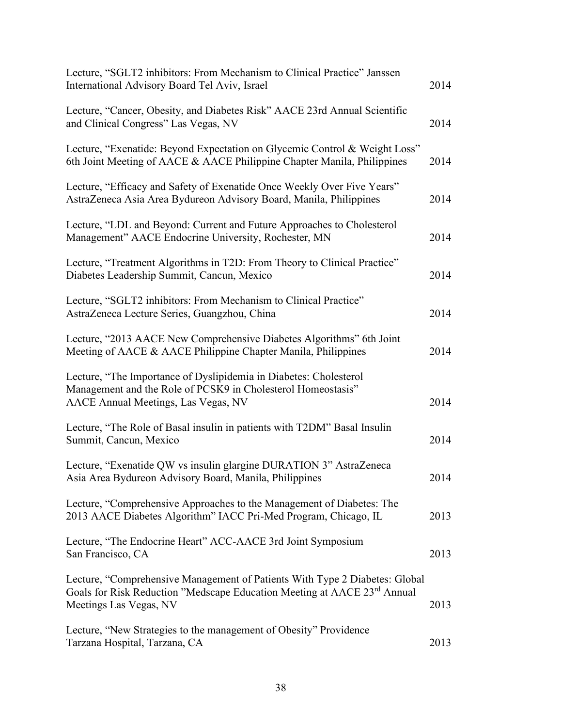| Lecture, "SGLT2 inhibitors: From Mechanism to Clinical Practice" Janssen<br>International Advisory Board Tel Aviv, Israel                                                         | 2014 |
|-----------------------------------------------------------------------------------------------------------------------------------------------------------------------------------|------|
| Lecture, "Cancer, Obesity, and Diabetes Risk" AACE 23rd Annual Scientific<br>and Clinical Congress" Las Vegas, NV                                                                 | 2014 |
| Lecture, "Exenatide: Beyond Expectation on Glycemic Control & Weight Loss"<br>6th Joint Meeting of AACE & AACE Philippine Chapter Manila, Philippines                             | 2014 |
| Lecture, "Efficacy and Safety of Exenatide Once Weekly Over Five Years"<br>AstraZeneca Asia Area Bydureon Advisory Board, Manila, Philippines                                     | 2014 |
| Lecture, "LDL and Beyond: Current and Future Approaches to Cholesterol<br>Management" AACE Endocrine University, Rochester, MN                                                    | 2014 |
| Lecture, "Treatment Algorithms in T2D: From Theory to Clinical Practice"<br>Diabetes Leadership Summit, Cancun, Mexico                                                            | 2014 |
| Lecture, "SGLT2 inhibitors: From Mechanism to Clinical Practice"<br>AstraZeneca Lecture Series, Guangzhou, China                                                                  | 2014 |
| Lecture, "2013 AACE New Comprehensive Diabetes Algorithms" 6th Joint<br>Meeting of AACE & AACE Philippine Chapter Manila, Philippines                                             | 2014 |
| Lecture, "The Importance of Dyslipidemia in Diabetes: Cholesterol<br>Management and the Role of PCSK9 in Cholesterol Homeostasis"<br>AACE Annual Meetings, Las Vegas, NV          | 2014 |
| Lecture, "The Role of Basal insulin in patients with T2DM" Basal Insulin<br>Summit, Cancun, Mexico                                                                                | 2014 |
| Lecture, "Exenatide QW vs insulin glargine DURATION 3" AstraZeneca<br>Asia Area Bydureon Advisory Board, Manila, Philippines                                                      | 2014 |
| Lecture, "Comprehensive Approaches to the Management of Diabetes: The<br>2013 AACE Diabetes Algorithm" IACC Pri-Med Program, Chicago, IL                                          | 2013 |
| Lecture, "The Endocrine Heart" ACC-AACE 3rd Joint Symposium<br>San Francisco, CA                                                                                                  | 2013 |
| Lecture, "Comprehensive Management of Patients With Type 2 Diabetes: Global<br>Goals for Risk Reduction "Medscape Education Meeting at AACE 23rd Annual<br>Meetings Las Vegas, NV | 2013 |
| Lecture, "New Strategies to the management of Obesity" Providence<br>Tarzana Hospital, Tarzana, CA                                                                                | 2013 |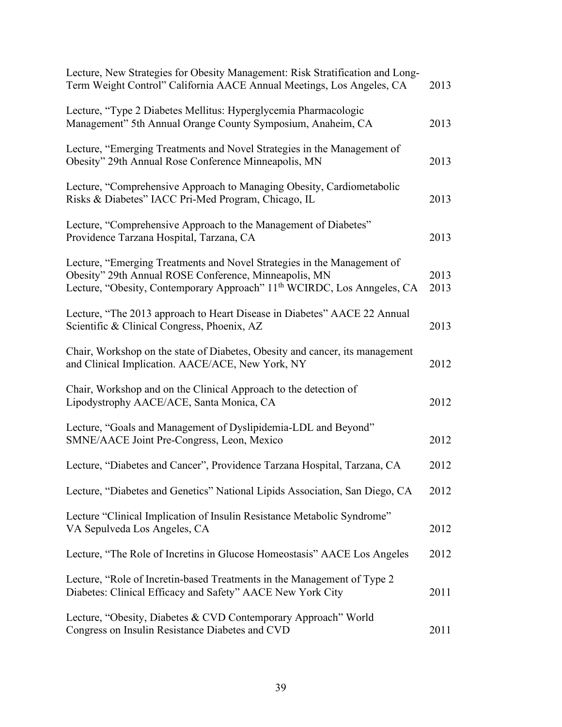| Lecture, New Strategies for Obesity Management: Risk Stratification and Long-<br>Term Weight Control" California AACE Annual Meetings, Los Angeles, CA                                                                  | 2013         |
|-------------------------------------------------------------------------------------------------------------------------------------------------------------------------------------------------------------------------|--------------|
| Lecture, "Type 2 Diabetes Mellitus: Hyperglycemia Pharmacologic<br>Management" 5th Annual Orange County Symposium, Anaheim, CA                                                                                          | 2013         |
| Lecture, "Emerging Treatments and Novel Strategies in the Management of<br>Obesity" 29th Annual Rose Conference Minneapolis, MN                                                                                         | 2013         |
| Lecture, "Comprehensive Approach to Managing Obesity, Cardiometabolic<br>Risks & Diabetes" IACC Pri-Med Program, Chicago, IL                                                                                            | 2013         |
| Lecture, "Comprehensive Approach to the Management of Diabetes"<br>Providence Tarzana Hospital, Tarzana, CA                                                                                                             | 2013         |
| Lecture, "Emerging Treatments and Novel Strategies in the Management of<br>Obesity" 29th Annual ROSE Conference, Minneapolis, MN<br>Lecture, "Obesity, Contemporary Approach" 11 <sup>th</sup> WCIRDC, Los Anngeles, CA | 2013<br>2013 |
| Lecture, "The 2013 approach to Heart Disease in Diabetes" AACE 22 Annual<br>Scientific & Clinical Congress, Phoenix, AZ                                                                                                 | 2013         |
| Chair, Workshop on the state of Diabetes, Obesity and cancer, its management<br>and Clinical Implication. AACE/ACE, New York, NY                                                                                        | 2012         |
| Chair, Workshop and on the Clinical Approach to the detection of<br>Lipodystrophy AACE/ACE, Santa Monica, CA                                                                                                            | 2012         |
| Lecture, "Goals and Management of Dyslipidemia-LDL and Beyond"<br>SMNE/AACE Joint Pre-Congress, Leon, Mexico                                                                                                            | 2012         |
| Lecture, "Diabetes and Cancer", Providence Tarzana Hospital, Tarzana, CA                                                                                                                                                | 2012         |
| Lecture, "Diabetes and Genetics" National Lipids Association, San Diego, CA                                                                                                                                             | 2012         |
| Lecture "Clinical Implication of Insulin Resistance Metabolic Syndrome"<br>VA Sepulveda Los Angeles, CA                                                                                                                 | 2012         |
| Lecture, "The Role of Incretins in Glucose Homeostasis" AACE Los Angeles                                                                                                                                                | 2012         |
| Lecture, "Role of Incretin-based Treatments in the Management of Type 2<br>Diabetes: Clinical Efficacy and Safety" AACE New York City                                                                                   | 2011         |
| Lecture, "Obesity, Diabetes & CVD Contemporary Approach" World<br>Congress on Insulin Resistance Diabetes and CVD                                                                                                       | 2011         |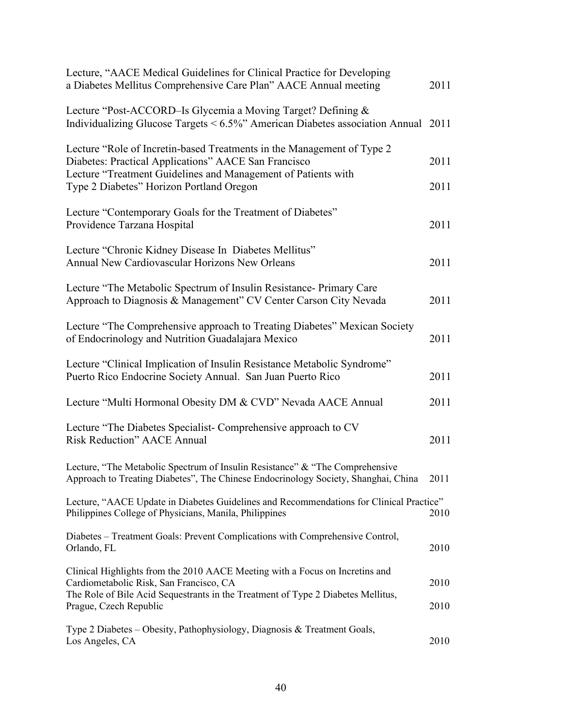| Lecture, "AACE Medical Guidelines for Clinical Practice for Developing<br>a Diabetes Mellitus Comprehensive Care Plan" AACE Annual meeting                                                                  | 2011 |
|-------------------------------------------------------------------------------------------------------------------------------------------------------------------------------------------------------------|------|
| Lecture "Post-ACCORD-Is Glycemia a Moving Target? Defining &<br>Individualizing Glucose Targets $\leq 6.5\%$ " American Diabetes association Annual 2011                                                    |      |
| Lecture "Role of Incretin-based Treatments in the Management of Type 2<br>Diabetes: Practical Applications" AACE San Francisco<br>Lecture "Treatment Guidelines and Management of Patients with             | 2011 |
| Type 2 Diabetes" Horizon Portland Oregon                                                                                                                                                                    | 2011 |
| Lecture "Contemporary Goals for the Treatment of Diabetes"<br>Providence Tarzana Hospital                                                                                                                   | 2011 |
| Lecture "Chronic Kidney Disease In Diabetes Mellitus"<br>Annual New Cardiovascular Horizons New Orleans                                                                                                     | 2011 |
| Lecture "The Metabolic Spectrum of Insulin Resistance- Primary Care<br>Approach to Diagnosis & Management" CV Center Carson City Nevada                                                                     | 2011 |
| Lecture "The Comprehensive approach to Treating Diabetes" Mexican Society<br>of Endocrinology and Nutrition Guadalajara Mexico                                                                              | 2011 |
| Lecture "Clinical Implication of Insulin Resistance Metabolic Syndrome"<br>Puerto Rico Endocrine Society Annual. San Juan Puerto Rico                                                                       | 2011 |
| Lecture "Multi Hormonal Obesity DM & CVD" Nevada AACE Annual                                                                                                                                                | 2011 |
| Lecture "The Diabetes Specialist- Comprehensive approach to CV<br><b>Risk Reduction</b> " AACE Annual                                                                                                       | 2011 |
| Lecture, "The Metabolic Spectrum of Insulin Resistance" & "The Comprehensive<br>Approach to Treating Diabetes", The Chinese Endocrinology Society, Shanghai, China                                          | 2011 |
| Lecture, "AACE Update in Diabetes Guidelines and Recommendations for Clinical Practice"<br>Philippines College of Physicians, Manila, Philippines                                                           | 2010 |
| Diabetes – Treatment Goals: Prevent Complications with Comprehensive Control,<br>Orlando, FL                                                                                                                | 2010 |
| Clinical Highlights from the 2010 AACE Meeting with a Focus on Incretins and<br>Cardiometabolic Risk, San Francisco, CA<br>The Role of Bile Acid Sequestrants in the Treatment of Type 2 Diabetes Mellitus, | 2010 |
| Prague, Czech Republic                                                                                                                                                                                      | 2010 |
| Type 2 Diabetes – Obesity, Pathophysiology, Diagnosis & Treatment Goals,<br>Los Angeles, CA                                                                                                                 | 2010 |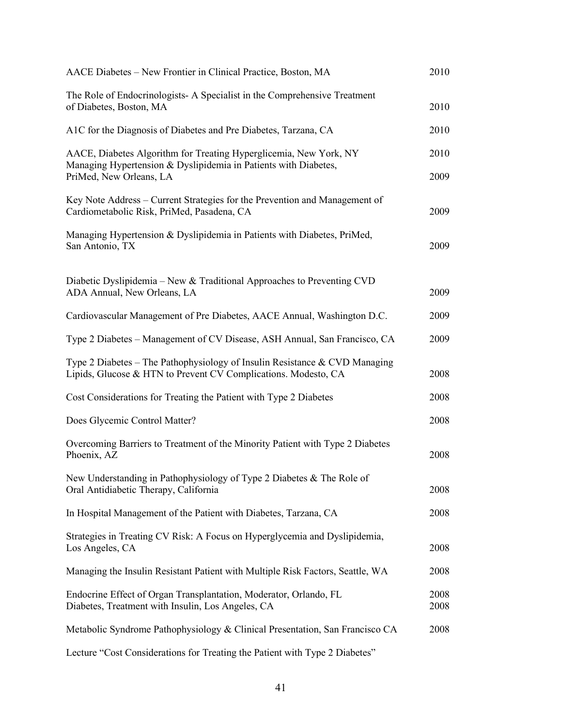| AACE Diabetes - New Frontier in Clinical Practice, Boston, MA                                                                                | 2010         |
|----------------------------------------------------------------------------------------------------------------------------------------------|--------------|
| The Role of Endocrinologists-A Specialist in the Comprehensive Treatment<br>of Diabetes, Boston, MA                                          | 2010         |
| A1C for the Diagnosis of Diabetes and Pre Diabetes, Tarzana, CA                                                                              | 2010         |
| AACE, Diabetes Algorithm for Treating Hyperglicemia, New York, NY<br>Managing Hypertension & Dyslipidemia in Patients with Diabetes,         | 2010         |
| PriMed, New Orleans, LA                                                                                                                      | 2009         |
| Key Note Address – Current Strategies for the Prevention and Management of<br>Cardiometabolic Risk, PriMed, Pasadena, CA                     | 2009         |
| Managing Hypertension & Dyslipidemia in Patients with Diabetes, PriMed,<br>San Antonio, TX                                                   | 2009         |
| Diabetic Dyslipidemia – New & Traditional Approaches to Preventing CVD<br>ADA Annual, New Orleans, LA                                        | 2009         |
| Cardiovascular Management of Pre Diabetes, AACE Annual, Washington D.C.                                                                      | 2009         |
| Type 2 Diabetes - Management of CV Disease, ASH Annual, San Francisco, CA                                                                    | 2009         |
| Type 2 Diabetes – The Pathophysiology of Insulin Resistance & CVD Managing<br>Lipids, Glucose & HTN to Prevent CV Complications. Modesto, CA | 2008         |
| Cost Considerations for Treating the Patient with Type 2 Diabetes                                                                            | 2008         |
| Does Glycemic Control Matter?                                                                                                                | 2008         |
| Overcoming Barriers to Treatment of the Minority Patient with Type 2 Diabetes<br>Phoenix, AZ                                                 | 2008         |
| New Understanding in Pathophysiology of Type 2 Diabetes & The Role of<br>Oral Antidiabetic Therapy, California                               | 2008         |
| In Hospital Management of the Patient with Diabetes, Tarzana, CA                                                                             | 2008         |
| Strategies in Treating CV Risk: A Focus on Hyperglycemia and Dyslipidemia,<br>Los Angeles, CA                                                | 2008         |
| Managing the Insulin Resistant Patient with Multiple Risk Factors, Seattle, WA                                                               | 2008         |
| Endocrine Effect of Organ Transplantation, Moderator, Orlando, FL<br>Diabetes, Treatment with Insulin, Los Angeles, CA                       | 2008<br>2008 |
| Metabolic Syndrome Pathophysiology & Clinical Presentation, San Francisco CA                                                                 | 2008         |
| Lecture "Cost Considerations for Treating the Patient with Type 2 Diabetes"                                                                  |              |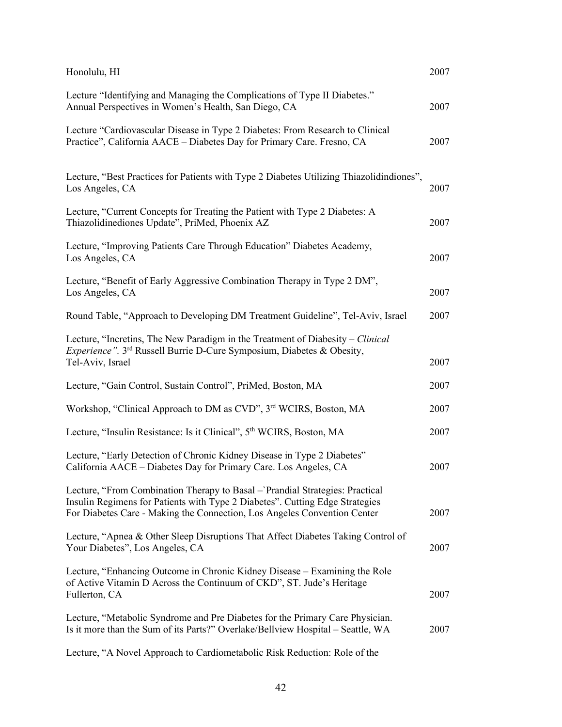| Honolulu, HI                                                                                                                                                                                                                             | 2007 |
|------------------------------------------------------------------------------------------------------------------------------------------------------------------------------------------------------------------------------------------|------|
| Lecture "Identifying and Managing the Complications of Type II Diabetes."<br>Annual Perspectives in Women's Health, San Diego, CA                                                                                                        | 2007 |
| Lecture "Cardiovascular Disease in Type 2 Diabetes: From Research to Clinical<br>Practice", California AACE - Diabetes Day for Primary Care. Fresno, CA                                                                                  | 2007 |
| Lecture, "Best Practices for Patients with Type 2 Diabetes Utilizing Thiazolidindiones",<br>Los Angeles, CA                                                                                                                              | 2007 |
| Lecture, "Current Concepts for Treating the Patient with Type 2 Diabetes: A<br>Thiazolidinediones Update", PriMed, Phoenix AZ                                                                                                            | 2007 |
| Lecture, "Improving Patients Care Through Education" Diabetes Academy,<br>Los Angeles, CA                                                                                                                                                | 2007 |
| Lecture, "Benefit of Early Aggressive Combination Therapy in Type 2 DM",<br>Los Angeles, CA                                                                                                                                              | 2007 |
| Round Table, "Approach to Developing DM Treatment Guideline", Tel-Aviv, Israel                                                                                                                                                           | 2007 |
| Lecture, "Incretins, The New Paradigm in the Treatment of Diabesity – Clinical<br><i>Experience"</i> . 3 <sup>rd</sup> Russell Burrie D-Cure Symposium, Diabetes & Obesity,<br>Tel-Aviv, Israel                                          | 2007 |
| Lecture, "Gain Control, Sustain Control", PriMed, Boston, MA                                                                                                                                                                             | 2007 |
| Workshop, "Clinical Approach to DM as CVD", 3rd WCIRS, Boston, MA                                                                                                                                                                        | 2007 |
| Lecture, "Insulin Resistance: Is it Clinical", 5 <sup>th</sup> WCIRS, Boston, MA                                                                                                                                                         | 2007 |
| Lecture, "Early Detection of Chronic Kidney Disease in Type 2 Diabetes"<br>California AACE – Diabetes Day for Primary Care. Los Angeles, CA                                                                                              | 2007 |
| Lecture, "From Combination Therapy to Basal - Prandial Strategies: Practical<br>Insulin Regimens for Patients with Type 2 Diabetes". Cutting Edge Strategies<br>For Diabetes Care - Making the Connection, Los Angeles Convention Center | 2007 |
| Lecture, "Apnea & Other Sleep Disruptions That Affect Diabetes Taking Control of<br>Your Diabetes", Los Angeles, CA                                                                                                                      | 2007 |
| Lecture, "Enhancing Outcome in Chronic Kidney Disease - Examining the Role<br>of Active Vitamin D Across the Continuum of CKD", ST. Jude's Heritage<br>Fullerton, CA                                                                     | 2007 |
| Lecture, "Metabolic Syndrome and Pre Diabetes for the Primary Care Physician.<br>Is it more than the Sum of its Parts?" Overlake/Bellview Hospital - Seattle, WA                                                                         | 2007 |

Lecture, "A Novel Approach to Cardiometabolic Risk Reduction: Role of the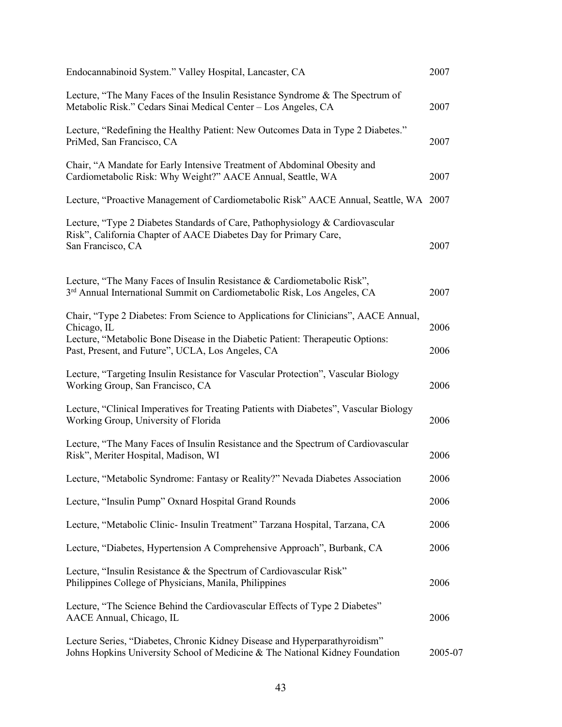| Endocannabinoid System." Valley Hospital, Lancaster, CA                                                                                                                              | 2007    |
|--------------------------------------------------------------------------------------------------------------------------------------------------------------------------------------|---------|
| Lecture, "The Many Faces of the Insulin Resistance Syndrome & The Spectrum of<br>Metabolic Risk." Cedars Sinai Medical Center - Los Angeles, CA                                      | 2007    |
| Lecture, "Redefining the Healthy Patient: New Outcomes Data in Type 2 Diabetes."<br>PriMed, San Francisco, CA                                                                        | 2007    |
| Chair, "A Mandate for Early Intensive Treatment of Abdominal Obesity and<br>Cardiometabolic Risk: Why Weight?" AACE Annual, Seattle, WA                                              | 2007    |
| Lecture, "Proactive Management of Cardiometabolic Risk" AACE Annual, Seattle, WA 2007                                                                                                |         |
| Lecture, "Type 2 Diabetes Standards of Care, Pathophysiology & Cardiovascular<br>Risk", California Chapter of AACE Diabetes Day for Primary Care,<br>San Francisco, CA               | 2007    |
| Lecture, "The Many Faces of Insulin Resistance & Cardiometabolic Risk",<br>3 <sup>rd</sup> Annual International Summit on Cardiometabolic Risk, Los Angeles, CA                      | 2007    |
| Chair, "Type 2 Diabetes: From Science to Applications for Clinicians", AACE Annual,<br>Chicago, IL<br>Lecture, "Metabolic Bone Disease in the Diabetic Patient: Therapeutic Options: | 2006    |
| Past, Present, and Future", UCLA, Los Angeles, CA                                                                                                                                    | 2006    |
| Lecture, "Targeting Insulin Resistance for Vascular Protection", Vascular Biology<br>Working Group, San Francisco, CA                                                                | 2006    |
| Lecture, "Clinical Imperatives for Treating Patients with Diabetes", Vascular Biology<br>Working Group, University of Florida                                                        | 2006    |
| Lecture, "The Many Faces of Insulin Resistance and the Spectrum of Cardiovascular<br>Risk", Meriter Hospital, Madison, WI                                                            | 2006    |
| Lecture, "Metabolic Syndrome: Fantasy or Reality?" Nevada Diabetes Association                                                                                                       | 2006    |
| Lecture, "Insulin Pump" Oxnard Hospital Grand Rounds                                                                                                                                 | 2006    |
| Lecture, "Metabolic Clinic- Insulin Treatment" Tarzana Hospital, Tarzana, CA                                                                                                         | 2006    |
| Lecture, "Diabetes, Hypertension A Comprehensive Approach", Burbank, CA                                                                                                              | 2006    |
| Lecture, "Insulin Resistance & the Spectrum of Cardiovascular Risk"<br>Philippines College of Physicians, Manila, Philippines                                                        | 2006    |
| Lecture, "The Science Behind the Cardiovascular Effects of Type 2 Diabetes"<br>AACE Annual, Chicago, IL                                                                              | 2006    |
| Lecture Series, "Diabetes, Chronic Kidney Disease and Hyperparathyroidism"<br>Johns Hopkins University School of Medicine & The National Kidney Foundation                           | 2005-07 |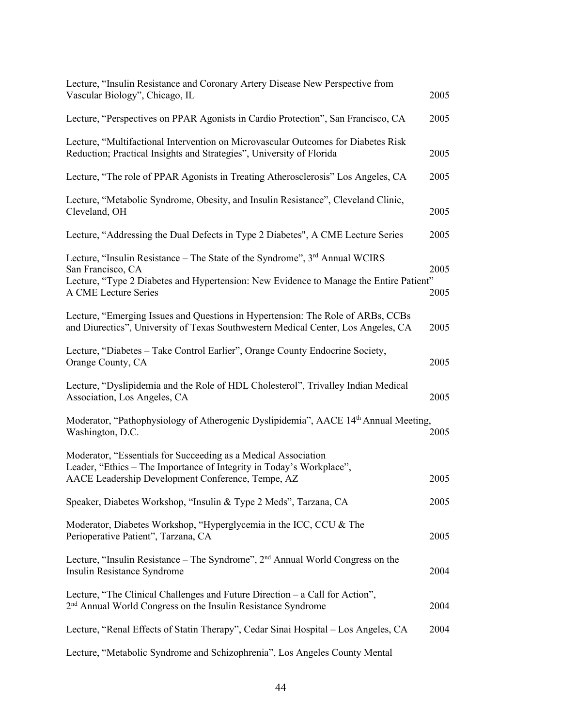| Lecture, "Insulin Resistance and Coronary Artery Disease New Perspective from<br>Vascular Biology", Chicago, IL                                                                             | 2005 |
|---------------------------------------------------------------------------------------------------------------------------------------------------------------------------------------------|------|
| Lecture, "Perspectives on PPAR Agonists in Cardio Protection", San Francisco, CA                                                                                                            | 2005 |
| Lecture, "Multifactional Intervention on Microvascular Outcomes for Diabetes Risk<br>Reduction; Practical Insights and Strategies", University of Florida                                   | 2005 |
| Lecture, "The role of PPAR Agonists in Treating Atherosclerosis" Los Angeles, CA                                                                                                            | 2005 |
| Lecture, "Metabolic Syndrome, Obesity, and Insulin Resistance", Cleveland Clinic,<br>Cleveland, OH                                                                                          | 2005 |
| Lecture, "Addressing the Dual Defects in Type 2 Diabetes", A CME Lecture Series                                                                                                             | 2005 |
| Lecture, "Insulin Resistance – The State of the Syndrome", 3rd Annual WCIRS<br>San Francisco, CA                                                                                            | 2005 |
| Lecture, "Type 2 Diabetes and Hypertension: New Evidence to Manage the Entire Patient"<br>A CME Lecture Series                                                                              | 2005 |
| Lecture, "Emerging Issues and Questions in Hypertension: The Role of ARBs, CCBs<br>and Diurectics", University of Texas Southwestern Medical Center, Los Angeles, CA                        | 2005 |
| Lecture, "Diabetes – Take Control Earlier", Orange County Endocrine Society,<br>Orange County, CA                                                                                           | 2005 |
| Lecture, "Dyslipidemia and the Role of HDL Cholesterol", Trivalley Indian Medical<br>Association, Los Angeles, CA                                                                           | 2005 |
| Moderator, "Pathophysiology of Atherogenic Dyslipidemia", AACE 14th Annual Meeting,<br>Washington, D.C.                                                                                     | 2005 |
| Moderator, "Essentials for Succeeding as a Medical Association<br>Leader, "Ethics - The Importance of Integrity in Today's Workplace",<br>AACE Leadership Development Conference, Tempe, AZ | 2005 |
| Speaker, Diabetes Workshop, "Insulin & Type 2 Meds", Tarzana, CA                                                                                                                            | 2005 |
| Moderator, Diabetes Workshop, "Hyperglycemia in the ICC, CCU & The<br>Perioperative Patient", Tarzana, CA                                                                                   | 2005 |
| Lecture, "Insulin Resistance – The Syndrome", $2nd$ Annual World Congress on the<br>Insulin Resistance Syndrome                                                                             | 2004 |
| Lecture, "The Clinical Challenges and Future Direction – a Call for Action",<br>2 <sup>nd</sup> Annual World Congress on the Insulin Resistance Syndrome                                    | 2004 |
| Lecture, "Renal Effects of Statin Therapy", Cedar Sinai Hospital - Los Angeles, CA                                                                                                          | 2004 |
| Lecture, "Metabolic Syndrome and Schizophrenia", Los Angeles County Mental                                                                                                                  |      |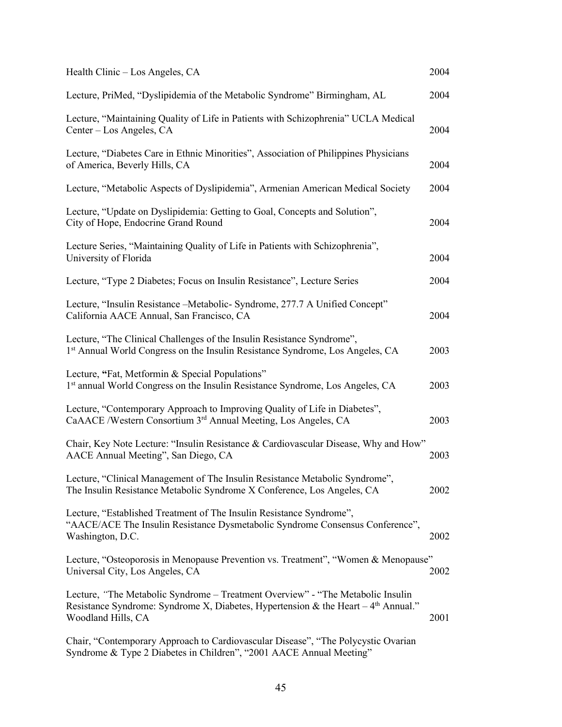| Health Clinic – Los Angeles, CA                                                                                                                                                               | 2004 |
|-----------------------------------------------------------------------------------------------------------------------------------------------------------------------------------------------|------|
| Lecture, PriMed, "Dyslipidemia of the Metabolic Syndrome" Birmingham, AL                                                                                                                      | 2004 |
| Lecture, "Maintaining Quality of Life in Patients with Schizophrenia" UCLA Medical<br>Center – Los Angeles, CA                                                                                | 2004 |
| Lecture, "Diabetes Care in Ethnic Minorities", Association of Philippines Physicians<br>of America, Beverly Hills, CA                                                                         | 2004 |
| Lecture, "Metabolic Aspects of Dyslipidemia", Armenian American Medical Society                                                                                                               | 2004 |
| Lecture, "Update on Dyslipidemia: Getting to Goal, Concepts and Solution",<br>City of Hope, Endocrine Grand Round                                                                             | 2004 |
| Lecture Series, "Maintaining Quality of Life in Patients with Schizophrenia",<br>University of Florida                                                                                        | 2004 |
| Lecture, "Type 2 Diabetes; Focus on Insulin Resistance", Lecture Series                                                                                                                       | 2004 |
| Lecture, "Insulin Resistance - Metabolic - Syndrome, 277.7 A Unified Concept"<br>California AACE Annual, San Francisco, CA                                                                    | 2004 |
| Lecture, "The Clinical Challenges of the Insulin Resistance Syndrome",<br>1st Annual World Congress on the Insulin Resistance Syndrome, Los Angeles, CA                                       | 2003 |
| Lecture, "Fat, Metformin & Special Populations"<br>1st annual World Congress on the Insulin Resistance Syndrome, Los Angeles, CA                                                              | 2003 |
| Lecture, "Contemporary Approach to Improving Quality of Life in Diabetes",<br>CaAACE /Western Consortium 3rd Annual Meeting, Los Angeles, CA                                                  | 2003 |
| Chair, Key Note Lecture: "Insulin Resistance & Cardiovascular Disease, Why and How"<br>AACE Annual Meeting", San Diego, CA                                                                    | 2003 |
| Lecture, "Clinical Management of The Insulin Resistance Metabolic Syndrome",<br>The Insulin Resistance Metabolic Syndrome X Conference, Los Angeles, CA                                       | 2002 |
| Lecture, "Established Treatment of The Insulin Resistance Syndrome",<br>"AACE/ACE The Insulin Resistance Dysmetabolic Syndrome Consensus Conference",<br>Washington, D.C.                     | 2002 |
| Lecture, "Osteoporosis in Menopause Prevention vs. Treatment", "Women & Menopause"<br>Universal City, Los Angeles, CA                                                                         | 2002 |
| Lecture, "The Metabolic Syndrome - Treatment Overview" - "The Metabolic Insulin<br>Resistance Syndrome: Syndrome X, Diabetes, Hypertension & the Heart – $4th$ Annual."<br>Woodland Hills, CA | 2001 |
| Chair, "Contemporary Approach to Cardiovascular Disease", "The Polycystic Ovarian<br>Syndrome & Type 2 Diabetes in Children", "2001 AACE Annual Meeting"                                      |      |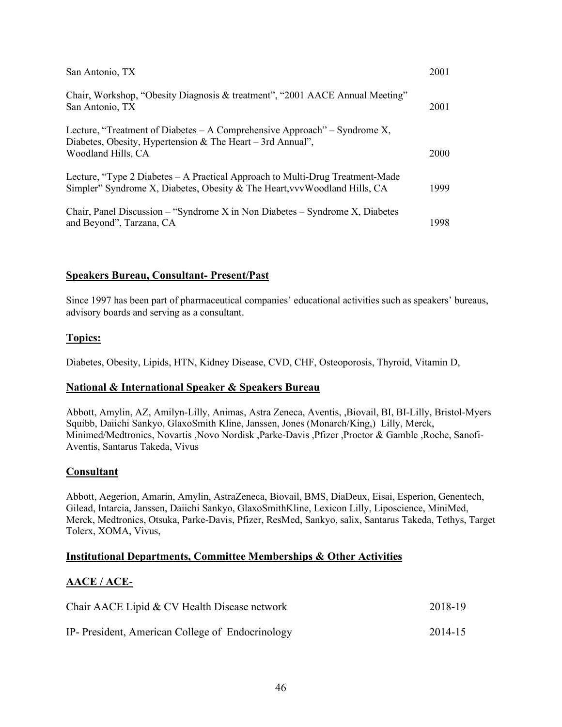| San Antonio, TX                                                                                                                                               | 2001        |
|---------------------------------------------------------------------------------------------------------------------------------------------------------------|-------------|
| Chair, Workshop, "Obesity Diagnosis & treatment", "2001 AACE Annual Meeting"<br>San Antonio, TX                                                               | 2001        |
| Lecture, "Treatment of Diabetes – A Comprehensive Approach" – Syndrome X,<br>Diabetes, Obesity, Hypertension & The Heart – 3rd Annual",<br>Woodland Hills, CA | <b>2000</b> |
| Lecture, "Type 2 Diabetes – A Practical Approach to Multi-Drug Treatment-Made<br>Simpler" Syndrome X, Diabetes, Obesity & The Heart, vvvWoodland Hills, CA    | 1999        |
| Chair, Panel Discussion – "Syndrome X in Non Diabetes – Syndrome X, Diabetes<br>and Beyond", Tarzana, CA                                                      | 1998.       |

### **Speakers Bureau, Consultant- Present/Past**

Since 1997 has been part of pharmaceutical companies' educational activities such as speakers' bureaus, advisory boards and serving as a consultant.

#### **Topics:**

Diabetes, Obesity, Lipids, HTN, Kidney Disease, CVD, CHF, Osteoporosis, Thyroid, Vitamin D,

#### **National & International Speaker & Speakers Bureau**

Abbott, Amylin, AZ, Amilyn-Lilly, Animas, Astra Zeneca, Aventis, ,Biovail, BI, BI-Lilly, Bristol-Myers Squibb, Daiichi Sankyo, GlaxoSmith Kline, Janssen, Jones (Monarch/King,) Lilly, Merck, Minimed/Medtronics, Novartis ,Novo Nordisk ,Parke-Davis ,Pfizer ,Proctor & Gamble ,Roche, Sanofi-Aventis, Santarus Takeda, Vivus

#### **Consultant**

Abbott, Aegerion, Amarin, Amylin, AstraZeneca, Biovail, BMS, DiaDeux, Eisai, Esperion, Genentech, Gilead, Intarcia, Janssen, Daiichi Sankyo, GlaxoSmithKline, Lexicon Lilly, Liposcience, MiniMed, Merck, Medtronics, Otsuka, Parke-Davis, Pfizer, ResMed, Sankyo, salix, Santarus Takeda, Tethys, Target Tolerx, XOMA, Vivus,

#### **Institutional Departments, Committee Memberships & Other Activities**

#### **AACE / ACE**-

| Chair AACE Lipid & CV Health Disease network     | 2018-19 |
|--------------------------------------------------|---------|
| IP- President, American College of Endocrinology | 2014-15 |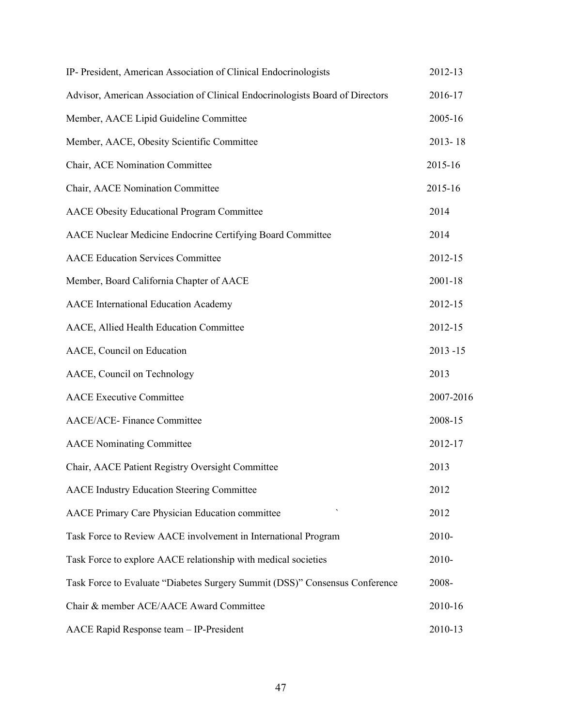| IP- President, American Association of Clinical Endocrinologists              | 2012-13     |
|-------------------------------------------------------------------------------|-------------|
| Advisor, American Association of Clinical Endocrinologists Board of Directors | 2016-17     |
| Member, AACE Lipid Guideline Committee                                        | 2005-16     |
| Member, AACE, Obesity Scientific Committee                                    | $2013 - 18$ |
| Chair, ACE Nomination Committee                                               | 2015-16     |
| Chair, AACE Nomination Committee                                              | 2015-16     |
| <b>AACE Obesity Educational Program Committee</b>                             | 2014        |
| AACE Nuclear Medicine Endocrine Certifying Board Committee                    | 2014        |
| <b>AACE Education Services Committee</b>                                      | 2012-15     |
| Member, Board California Chapter of AACE                                      | 2001-18     |
| <b>AACE</b> International Education Academy                                   | 2012-15     |
| AACE, Allied Health Education Committee                                       | 2012-15     |
| AACE, Council on Education                                                    | $2013 - 15$ |
| AACE, Council on Technology                                                   | 2013        |
| <b>AACE</b> Executive Committee                                               | 2007-2016   |
| <b>AACE/ACE-</b> Finance Committee                                            | 2008-15     |
| <b>AACE</b> Nominating Committee                                              | 2012-17     |
| Chair, AACE Patient Registry Oversight Committee                              | 2013        |
| <b>AACE Industry Education Steering Committee</b>                             | 2012        |
| AACE Primary Care Physician Education committee                               | 2012        |
| Task Force to Review AACE involvement in International Program                | 2010-       |
| Task Force to explore AACE relationship with medical societies                | 2010-       |
| Task Force to Evaluate "Diabetes Surgery Summit (DSS)" Consensus Conference   | 2008-       |
| Chair & member ACE/AACE Award Committee                                       | 2010-16     |
| AACE Rapid Response team - IP-President                                       | 2010-13     |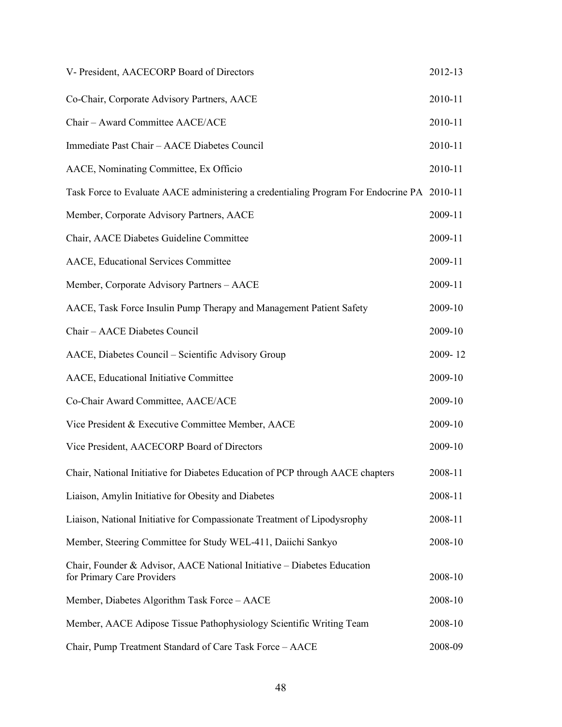| V- President, AACECORP Board of Directors                                                             | 2012-13 |
|-------------------------------------------------------------------------------------------------------|---------|
| Co-Chair, Corporate Advisory Partners, AACE                                                           | 2010-11 |
| Chair - Award Committee AACE/ACE                                                                      | 2010-11 |
| Immediate Past Chair - AACE Diabetes Council                                                          | 2010-11 |
| AACE, Nominating Committee, Ex Officio                                                                | 2010-11 |
| Task Force to Evaluate AACE administering a credentialing Program For Endocrine PA 2010-11            |         |
| Member, Corporate Advisory Partners, AACE                                                             | 2009-11 |
| Chair, AACE Diabetes Guideline Committee                                                              | 2009-11 |
| AACE, Educational Services Committee                                                                  | 2009-11 |
| Member, Corporate Advisory Partners - AACE                                                            | 2009-11 |
| AACE, Task Force Insulin Pump Therapy and Management Patient Safety                                   | 2009-10 |
| Chair - AACE Diabetes Council                                                                         | 2009-10 |
| AACE, Diabetes Council - Scientific Advisory Group                                                    | 2009-12 |
| AACE, Educational Initiative Committee                                                                | 2009-10 |
| Co-Chair Award Committee, AACE/ACE                                                                    | 2009-10 |
| Vice President & Executive Committee Member, AACE                                                     | 2009-10 |
| Vice President, AACECORP Board of Directors                                                           | 2009-10 |
| Chair, National Initiative for Diabetes Education of PCP through AACE chapters                        | 2008-11 |
| Liaison, Amylin Initiative for Obesity and Diabetes                                                   | 2008-11 |
| Liaison, National Initiative for Compassionate Treatment of Lipodysrophy                              | 2008-11 |
| Member, Steering Committee for Study WEL-411, Daiichi Sankyo                                          | 2008-10 |
| Chair, Founder & Advisor, AACE National Initiative - Diabetes Education<br>for Primary Care Providers | 2008-10 |
| Member, Diabetes Algorithm Task Force - AACE                                                          | 2008-10 |
| Member, AACE Adipose Tissue Pathophysiology Scientific Writing Team                                   | 2008-10 |
| Chair, Pump Treatment Standard of Care Task Force - AACE                                              | 2008-09 |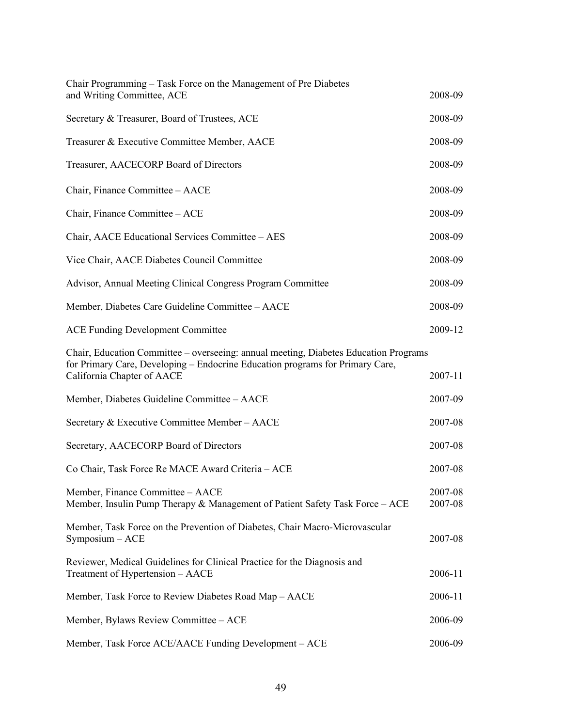| Chair Programming – Task Force on the Management of Pre Diabetes<br>and Writing Committee, ACE                   | 2008-09            |
|------------------------------------------------------------------------------------------------------------------|--------------------|
|                                                                                                                  |                    |
| Secretary & Treasurer, Board of Trustees, ACE                                                                    | 2008-09            |
| Treasurer & Executive Committee Member, AACE                                                                     | 2008-09            |
| Treasurer, AACECORP Board of Directors                                                                           | 2008-09            |
| Chair, Finance Committee - AACE                                                                                  | 2008-09            |
| Chair, Finance Committee - ACE                                                                                   | 2008-09            |
| Chair, AACE Educational Services Committee - AES                                                                 | 2008-09            |
| Vice Chair, AACE Diabetes Council Committee                                                                      | 2008-09            |
| Advisor, Annual Meeting Clinical Congress Program Committee                                                      | 2008-09            |
| Member, Diabetes Care Guideline Committee - AACE                                                                 | 2008-09            |
| <b>ACE Funding Development Committee</b>                                                                         | 2009-12            |
| Chair, Education Committee – overseeing: annual meeting, Diabetes Education Programs                             |                    |
| for Primary Care, Developing - Endocrine Education programs for Primary Care,<br>California Chapter of AACE      | 2007-11            |
| Member, Diabetes Guideline Committee - AACE                                                                      | 2007-09            |
| Secretary & Executive Committee Member - AACE                                                                    | 2007-08            |
| Secretary, AACECORP Board of Directors                                                                           | 2007-08            |
| Co Chair, Task Force Re MACE Award Criteria - ACE                                                                | 2007-08            |
| Member, Finance Committee - AACE<br>Member, Insulin Pump Therapy & Management of Patient Safety Task Force - ACE | 2007-08<br>2007-08 |
| Member, Task Force on the Prevention of Diabetes, Chair Macro-Microvascular<br>Symposium - ACE                   | 2007-08            |
| Reviewer, Medical Guidelines for Clinical Practice for the Diagnosis and<br>Treatment of Hypertension - AACE     | 2006-11            |
| Member, Task Force to Review Diabetes Road Map – AACE                                                            | 2006-11            |
| Member, Bylaws Review Committee - ACE                                                                            | 2006-09            |
| Member, Task Force ACE/AACE Funding Development - ACE                                                            | 2006-09            |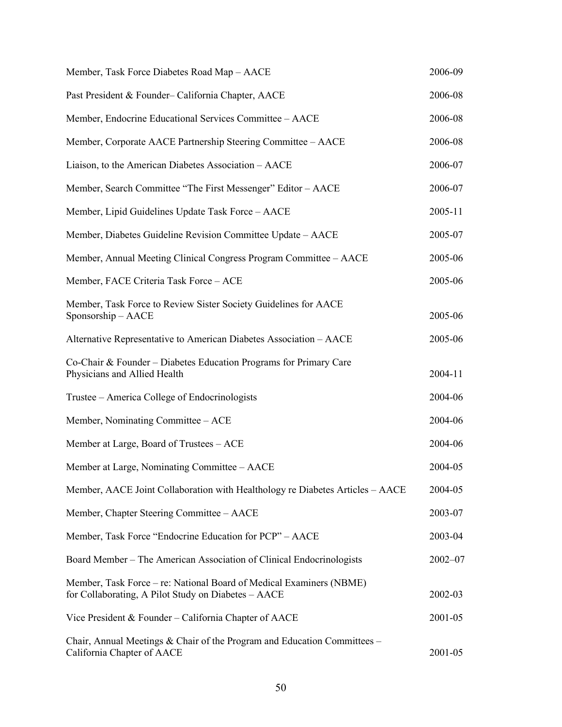| Member, Task Force Diabetes Road Map - AACE                                                                                | 2006-09     |
|----------------------------------------------------------------------------------------------------------------------------|-------------|
| Past President & Founder-California Chapter, AACE                                                                          | 2006-08     |
| Member, Endocrine Educational Services Committee - AACE                                                                    | 2006-08     |
| Member, Corporate AACE Partnership Steering Committee - AACE                                                               | 2006-08     |
| Liaison, to the American Diabetes Association - AACE                                                                       | 2006-07     |
| Member, Search Committee "The First Messenger" Editor - AACE                                                               | 2006-07     |
| Member, Lipid Guidelines Update Task Force - AACE                                                                          | 2005-11     |
| Member, Diabetes Guideline Revision Committee Update - AACE                                                                | 2005-07     |
| Member, Annual Meeting Clinical Congress Program Committee – AACE                                                          | 2005-06     |
| Member, FACE Criteria Task Force - ACE                                                                                     | 2005-06     |
| Member, Task Force to Review Sister Society Guidelines for AACE<br>Sponsorship - AACE                                      | 2005-06     |
| Alternative Representative to American Diabetes Association - AACE                                                         | 2005-06     |
| Co-Chair & Founder – Diabetes Education Programs for Primary Care<br>Physicians and Allied Health                          | 2004-11     |
| Trustee – America College of Endocrinologists                                                                              | 2004-06     |
| Member, Nominating Committee – ACE                                                                                         | 2004-06     |
| Member at Large, Board of Trustees - ACE                                                                                   | 2004-06     |
| Member at Large, Nominating Committee – AACE                                                                               | 2004-05     |
| Member, AACE Joint Collaboration with Healthology re Diabetes Articles – AACE                                              | 2004-05     |
| Member, Chapter Steering Committee - AACE                                                                                  | 2003-07     |
| Member, Task Force "Endocrine Education for PCP" - AACE                                                                    | 2003-04     |
| Board Member - The American Association of Clinical Endocrinologists                                                       | $2002 - 07$ |
| Member, Task Force – re: National Board of Medical Examiners (NBME)<br>for Collaborating, A Pilot Study on Diabetes - AACE | 2002-03     |
| Vice President & Founder – California Chapter of AACE                                                                      | 2001-05     |
| Chair, Annual Meetings & Chair of the Program and Education Committees -<br>California Chapter of AACE                     | 2001-05     |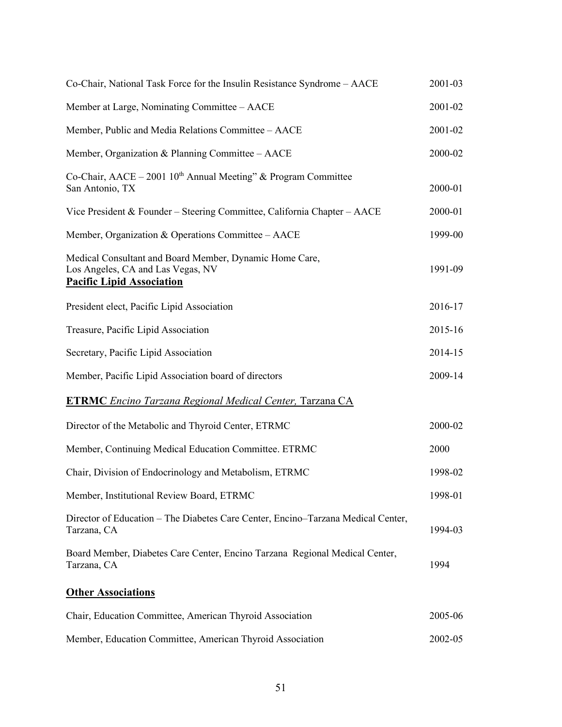| Co-Chair, National Task Force for the Insulin Resistance Syndrome - AACE                                                         | 2001-03 |
|----------------------------------------------------------------------------------------------------------------------------------|---------|
| Member at Large, Nominating Committee – AACE                                                                                     | 2001-02 |
| Member, Public and Media Relations Committee - AACE                                                                              | 2001-02 |
| Member, Organization & Planning Committee - AACE                                                                                 | 2000-02 |
| Co-Chair, AACE - 2001 $10^{th}$ Annual Meeting" & Program Committee<br>San Antonio, TX                                           | 2000-01 |
| Vice President & Founder - Steering Committee, California Chapter - AACE                                                         | 2000-01 |
| Member, Organization & Operations Committee - AACE                                                                               | 1999-00 |
| Medical Consultant and Board Member, Dynamic Home Care,<br>Los Angeles, CA and Las Vegas, NV<br><b>Pacific Lipid Association</b> | 1991-09 |
| President elect, Pacific Lipid Association                                                                                       | 2016-17 |
| Treasure, Pacific Lipid Association                                                                                              | 2015-16 |
| Secretary, Pacific Lipid Association                                                                                             | 2014-15 |
| Member, Pacific Lipid Association board of directors                                                                             | 2009-14 |
| <b>ETRMC</b> Encino Tarzana Regional Medical Center, Tarzana CA                                                                  |         |
| Director of the Metabolic and Thyroid Center, ETRMC                                                                              | 2000-02 |
| Member, Continuing Medical Education Committee. ETRMC                                                                            | 2000    |
| Chair, Division of Endocrinology and Metabolism, ETRMC                                                                           | 1998-02 |
| Member, Institutional Review Board, ETRMC                                                                                        | 1998-01 |
| Director of Education – The Diabetes Care Center, Encino–Tarzana Medical Center,<br>Tarzana, CA                                  | 1994-03 |
| Board Member, Diabetes Care Center, Encino Tarzana Regional Medical Center,<br>Tarzana, CA                                       | 1994    |
| <b>Other Associations</b>                                                                                                        |         |
| Chair, Education Committee, American Thyroid Association                                                                         | 2005-06 |
| Member, Education Committee, American Thyroid Association                                                                        | 2002-05 |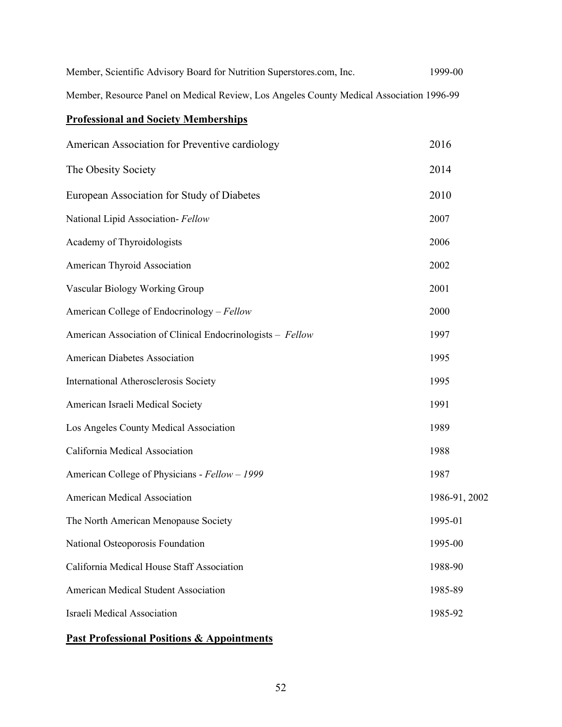| Member, Scientific Advisory Board for Nutrition Superstores.com, Inc.                    | 1999-00 |
|------------------------------------------------------------------------------------------|---------|
| Member, Resource Panel on Medical Review, Los Angeles County Medical Association 1996-99 |         |

# **Professional and Society Memberships**

| American Association for Preventive cardiology             | 2016          |
|------------------------------------------------------------|---------------|
| The Obesity Society                                        | 2014          |
| European Association for Study of Diabetes                 | 2010          |
| National Lipid Association- Fellow                         | 2007          |
| Academy of Thyroidologists                                 | 2006          |
| American Thyroid Association                               | 2002          |
| Vascular Biology Working Group                             | 2001          |
| American College of Endocrinology - Fellow                 | 2000          |
| American Association of Clinical Endocrinologists - Fellow | 1997          |
| <b>American Diabetes Association</b>                       | 1995          |
| <b>International Atherosclerosis Society</b>               | 1995          |
| American Israeli Medical Society                           | 1991          |
| Los Angeles County Medical Association                     | 1989          |
| California Medical Association                             | 1988          |
| American College of Physicians - Fellow - 1999             | 1987          |
| <b>American Medical Association</b>                        | 1986-91, 2002 |
| The North American Menopause Society                       | 1995-01       |
| National Osteoporosis Foundation                           | 1995-00       |
| California Medical House Staff Association                 | 1988-90       |
| <b>American Medical Student Association</b>                | 1985-89       |
| Israeli Medical Association                                | 1985-92       |
|                                                            |               |

# **Past Professional Positions & Appointments**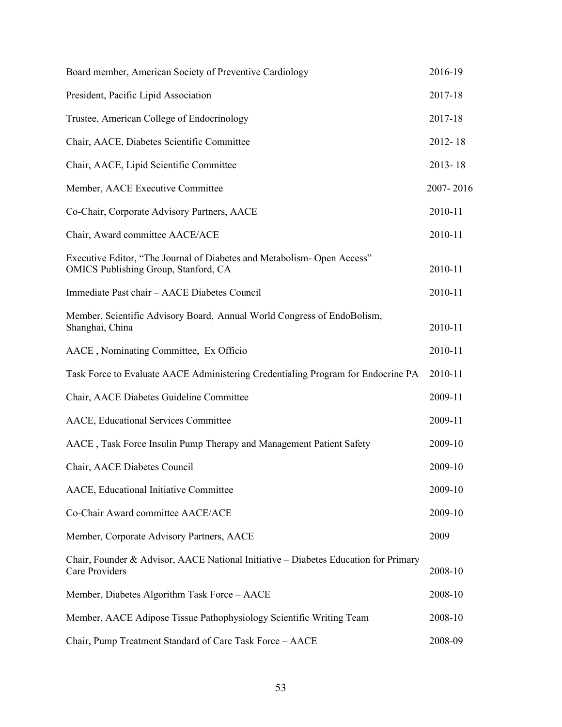| Board member, American Society of Preventive Cardiology                                                         | 2016-19     |
|-----------------------------------------------------------------------------------------------------------------|-------------|
| President, Pacific Lipid Association                                                                            | 2017-18     |
| Trustee, American College of Endocrinology                                                                      | 2017-18     |
| Chair, AACE, Diabetes Scientific Committee                                                                      | 2012-18     |
| Chair, AACE, Lipid Scientific Committee                                                                         | $2013 - 18$ |
| Member, AACE Executive Committee                                                                                | 2007-2016   |
| Co-Chair, Corporate Advisory Partners, AACE                                                                     | 2010-11     |
| Chair, Award committee AACE/ACE                                                                                 | 2010-11     |
| Executive Editor, "The Journal of Diabetes and Metabolism- Open Access"<br>OMICS Publishing Group, Stanford, CA | 2010-11     |
| Immediate Past chair - AACE Diabetes Council                                                                    | 2010-11     |
| Member, Scientific Advisory Board, Annual World Congress of EndoBolism,<br>Shanghai, China                      | 2010-11     |
| AACE, Nominating Committee, Ex Officio                                                                          | 2010-11     |
| Task Force to Evaluate AACE Administering Credentialing Program for Endocrine PA                                | 2010-11     |
| Chair, AACE Diabetes Guideline Committee                                                                        | 2009-11     |
| AACE, Educational Services Committee                                                                            | 2009-11     |
| AACE, Task Force Insulin Pump Therapy and Management Patient Safety                                             | 2009-10     |
| Chair, AACE Diabetes Council                                                                                    | 2009-10     |
| AACE, Educational Initiative Committee                                                                          | 2009-10     |
| Co-Chair Award committee AACE/ACE                                                                               | 2009-10     |
| Member, Corporate Advisory Partners, AACE                                                                       | 2009        |
| Chair, Founder & Advisor, AACE National Initiative – Diabetes Education for Primary<br>Care Providers           | 2008-10     |
| Member, Diabetes Algorithm Task Force - AACE                                                                    | 2008-10     |
| Member, AACE Adipose Tissue Pathophysiology Scientific Writing Team                                             | 2008-10     |
| Chair, Pump Treatment Standard of Care Task Force - AACE                                                        | 2008-09     |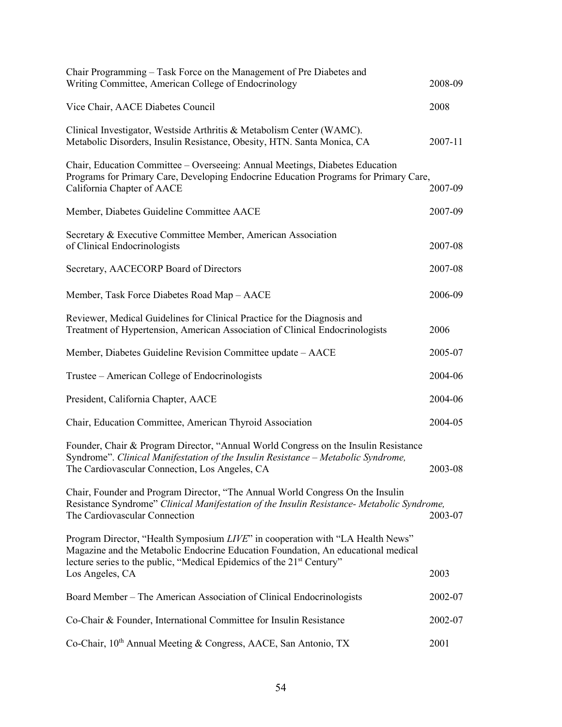| Chair Programming – Task Force on the Management of Pre Diabetes and<br>Writing Committee, American College of Endocrinology                                                                                                                             | 2008-09 |
|----------------------------------------------------------------------------------------------------------------------------------------------------------------------------------------------------------------------------------------------------------|---------|
| Vice Chair, AACE Diabetes Council                                                                                                                                                                                                                        | 2008    |
| Clinical Investigator, Westside Arthritis & Metabolism Center (WAMC).<br>Metabolic Disorders, Insulin Resistance, Obesity, HTN. Santa Monica, CA                                                                                                         | 2007-11 |
| Chair, Education Committee – Overseeing: Annual Meetings, Diabetes Education<br>Programs for Primary Care, Developing Endocrine Education Programs for Primary Care,<br>California Chapter of AACE                                                       | 2007-09 |
| Member, Diabetes Guideline Committee AACE                                                                                                                                                                                                                | 2007-09 |
| Secretary & Executive Committee Member, American Association<br>of Clinical Endocrinologists                                                                                                                                                             | 2007-08 |
| Secretary, AACECORP Board of Directors                                                                                                                                                                                                                   | 2007-08 |
| Member, Task Force Diabetes Road Map - AACE                                                                                                                                                                                                              | 2006-09 |
| Reviewer, Medical Guidelines for Clinical Practice for the Diagnosis and<br>Treatment of Hypertension, American Association of Clinical Endocrinologists                                                                                                 | 2006    |
| Member, Diabetes Guideline Revision Committee update - AACE                                                                                                                                                                                              | 2005-07 |
| Trustee – American College of Endocrinologists                                                                                                                                                                                                           | 2004-06 |
| President, California Chapter, AACE                                                                                                                                                                                                                      | 2004-06 |
| Chair, Education Committee, American Thyroid Association                                                                                                                                                                                                 | 2004-05 |
| Founder, Chair & Program Director, "Annual World Congress on the Insulin Resistance<br>Syndrome". Clinical Manifestation of the Insulin Resistance - Metabolic Syndrome,<br>The Cardiovascular Connection, Los Angeles, CA                               | 2003-08 |
| Chair, Founder and Program Director, "The Annual World Congress On the Insulin<br>Resistance Syndrome" Clinical Manifestation of the Insulin Resistance- Metabolic Syndrome,<br>The Cardiovascular Connection                                            | 2003-07 |
| Program Director, "Health Symposium LIVE" in cooperation with "LA Health News"<br>Magazine and the Metabolic Endocrine Education Foundation, An educational medical<br>lecture series to the public, "Medical Epidemics of the 21 <sup>st</sup> Century" |         |
| Los Angeles, CA                                                                                                                                                                                                                                          | 2003    |
| Board Member - The American Association of Clinical Endocrinologists                                                                                                                                                                                     | 2002-07 |
| Co-Chair & Founder, International Committee for Insulin Resistance                                                                                                                                                                                       | 2002-07 |
| Co-Chair, 10 <sup>th</sup> Annual Meeting & Congress, AACE, San Antonio, TX                                                                                                                                                                              | 2001    |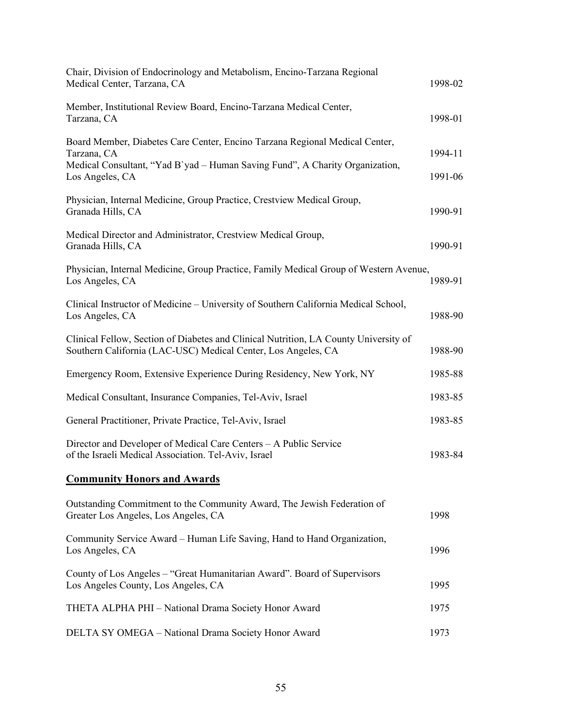| Chair, Division of Endocrinology and Metabolism, Encino-Tarzana Regional<br>Medical Center, Tarzana, CA                                                                                       | 1998-02            |
|-----------------------------------------------------------------------------------------------------------------------------------------------------------------------------------------------|--------------------|
| Member, Institutional Review Board, Encino-Tarzana Medical Center,<br>Tarzana, CA                                                                                                             | 1998-01            |
| Board Member, Diabetes Care Center, Encino Tarzana Regional Medical Center,<br>Tarzana, CA<br>Medical Consultant, "Yad B`yad – Human Saving Fund", A Charity Organization,<br>Los Angeles, CA | 1994-11<br>1991-06 |
| Physician, Internal Medicine, Group Practice, Crestview Medical Group,<br>Granada Hills, CA                                                                                                   | 1990-91            |
| Medical Director and Administrator, Crestview Medical Group,<br>Granada Hills, CA                                                                                                             | 1990-91            |
| Physician, Internal Medicine, Group Practice, Family Medical Group of Western Avenue,<br>Los Angeles, CA                                                                                      | 1989-91            |
| Clinical Instructor of Medicine – University of Southern California Medical School,<br>Los Angeles, CA                                                                                        | 1988-90            |
| Clinical Fellow, Section of Diabetes and Clinical Nutrition, LA County University of<br>Southern California (LAC-USC) Medical Center, Los Angeles, CA                                         | 1988-90            |
| Emergency Room, Extensive Experience During Residency, New York, NY                                                                                                                           | 1985-88            |
| Medical Consultant, Insurance Companies, Tel-Aviv, Israel                                                                                                                                     | 1983-85            |
| General Practitioner, Private Practice, Tel-Aviv, Israel                                                                                                                                      | 1983-85            |
| Director and Developer of Medical Care Centers - A Public Service<br>of the Israeli Medical Association. Tel-Aviv, Israel                                                                     | 1983-84            |
| <b>Community Honors and Awards</b>                                                                                                                                                            |                    |
| Outstanding Commitment to the Community Award, The Jewish Federation of<br>Greater Los Angeles, Los Angeles, CA                                                                               | 1998               |
| Community Service Award - Human Life Saving, Hand to Hand Organization,<br>Los Angeles, CA                                                                                                    | 1996               |
| County of Los Angeles - "Great Humanitarian Award". Board of Supervisors<br>Los Angeles County, Los Angeles, CA                                                                               | 1995               |
| THETA ALPHA PHI - National Drama Society Honor Award                                                                                                                                          | 1975               |
| DELTA SY OMEGA - National Drama Society Honor Award                                                                                                                                           | 1973               |
|                                                                                                                                                                                               |                    |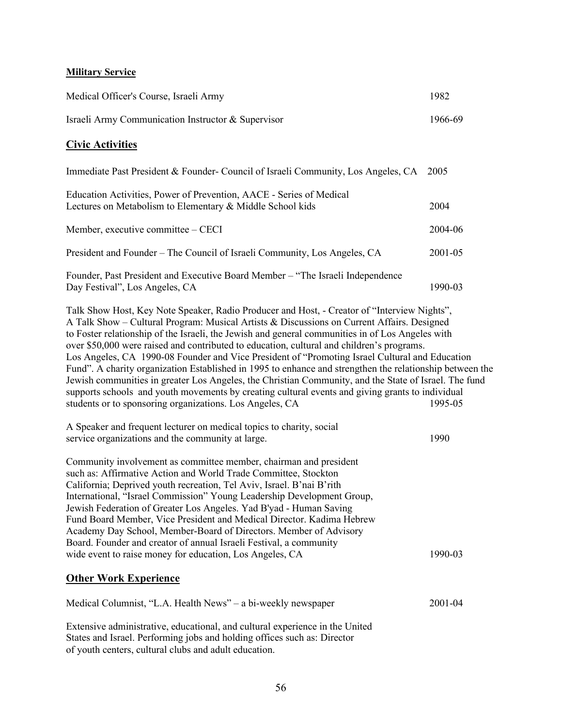### **Military Service**

| Medical Officer's Course, Israeli Army                                                                                                                                                                                                                                                                                                                                                                                                                                                                                                                                                                                                                                                                                                                                                                                                                                            | 1982    |
|-----------------------------------------------------------------------------------------------------------------------------------------------------------------------------------------------------------------------------------------------------------------------------------------------------------------------------------------------------------------------------------------------------------------------------------------------------------------------------------------------------------------------------------------------------------------------------------------------------------------------------------------------------------------------------------------------------------------------------------------------------------------------------------------------------------------------------------------------------------------------------------|---------|
| Israeli Army Communication Instructor & Supervisor                                                                                                                                                                                                                                                                                                                                                                                                                                                                                                                                                                                                                                                                                                                                                                                                                                | 1966-69 |
| <b>Civic Activities</b>                                                                                                                                                                                                                                                                                                                                                                                                                                                                                                                                                                                                                                                                                                                                                                                                                                                           |         |
| Immediate Past President & Founder- Council of Israeli Community, Los Angeles, CA 2005                                                                                                                                                                                                                                                                                                                                                                                                                                                                                                                                                                                                                                                                                                                                                                                            |         |
| Education Activities, Power of Prevention, AACE - Series of Medical<br>Lectures on Metabolism to Elementary & Middle School kids                                                                                                                                                                                                                                                                                                                                                                                                                                                                                                                                                                                                                                                                                                                                                  | 2004    |
| Member, executive committee – CECI                                                                                                                                                                                                                                                                                                                                                                                                                                                                                                                                                                                                                                                                                                                                                                                                                                                | 2004-06 |
| President and Founder - The Council of Israeli Community, Los Angeles, CA                                                                                                                                                                                                                                                                                                                                                                                                                                                                                                                                                                                                                                                                                                                                                                                                         | 2001-05 |
| Founder, Past President and Executive Board Member - "The Israeli Independence<br>Day Festival", Los Angeles, CA                                                                                                                                                                                                                                                                                                                                                                                                                                                                                                                                                                                                                                                                                                                                                                  | 1990-03 |
| Talk Show Host, Key Note Speaker, Radio Producer and Host, - Creator of "Interview Nights",<br>A Talk Show – Cultural Program: Musical Artists & Discussions on Current Affairs. Designed<br>to Foster relationship of the Israeli, the Jewish and general communities in of Los Angeles with<br>over \$50,000 were raised and contributed to education, cultural and children's programs.<br>Los Angeles, CA 1990-08 Founder and Vice President of "Promoting Israel Cultural and Education<br>Fund". A charity organization Established in 1995 to enhance and strengthen the relationship between the<br>Jewish communities in greater Los Angeles, the Christian Community, and the State of Israel. The fund<br>supports schools and youth movements by creating cultural events and giving grants to individual<br>students or to sponsoring organizations. Los Angeles, CA | 1995-05 |
| A Speaker and frequent lecturer on medical topics to charity, social<br>service organizations and the community at large.                                                                                                                                                                                                                                                                                                                                                                                                                                                                                                                                                                                                                                                                                                                                                         | 1990    |
| Community involvement as committee member, chairman and president<br>such as: Affirmative Action and World Trade Committee, Stockton<br>California; Deprived youth recreation, Tel Aviv, Israel. B'nai B'rith<br>International, "Israel Commission" Young Leadership Development Group,<br>Jewish Federation of Greater Los Angeles. Yad B'yad - Human Saving<br>Fund Board Member, Vice President and Medical Director. Kadima Hebrew<br>Academy Day School, Member-Board of Directors. Member of Advisory<br>Board. Founder and creator of annual Israeli Festival, a community<br>wide event to raise money for education, Los Angeles, CA                                                                                                                                                                                                                                     | 1990-03 |
| <b>Other Work Experience</b>                                                                                                                                                                                                                                                                                                                                                                                                                                                                                                                                                                                                                                                                                                                                                                                                                                                      |         |
| Medical Columnist, "L.A. Health News" – a bi-weekly newspaper                                                                                                                                                                                                                                                                                                                                                                                                                                                                                                                                                                                                                                                                                                                                                                                                                     | 2001-04 |
| Extensive administrative, educational, and cultural experience in the United<br>States and Israel. Performing jobs and holding offices such as: Director<br>of youth centers, cultural clubs and adult education.                                                                                                                                                                                                                                                                                                                                                                                                                                                                                                                                                                                                                                                                 |         |